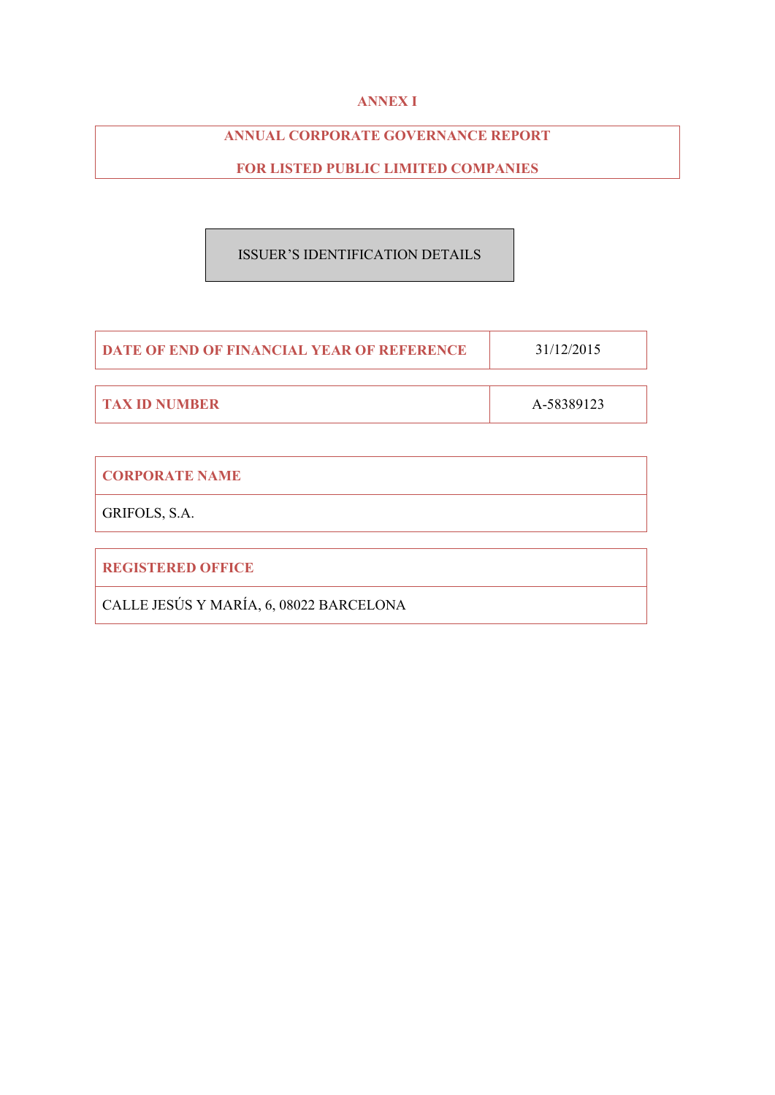# **ANNEX I**

# **ANNUAL CORPORATE GOVERNANCE REPORT**

# **FOR LISTED PUBLIC LIMITED COMPANIES**

# ISSUER'S IDENTIFICATION DETAILS

| <b>DATE OF END OF FINANCIAL YEAR OF REFERENCE</b> | 31/12/2015 |
|---------------------------------------------------|------------|
|                                                   |            |
| <b>TAX ID NUMBER</b>                              | A-58389123 |

| <b>CORPORATE NAME</b>                   |
|-----------------------------------------|
| GRIFOLS, S.A.                           |
|                                         |
| <b>REGISTERED OFFICE</b>                |
| CALLE JESÚS Y MARÍA, 6, 08022 BARCELONA |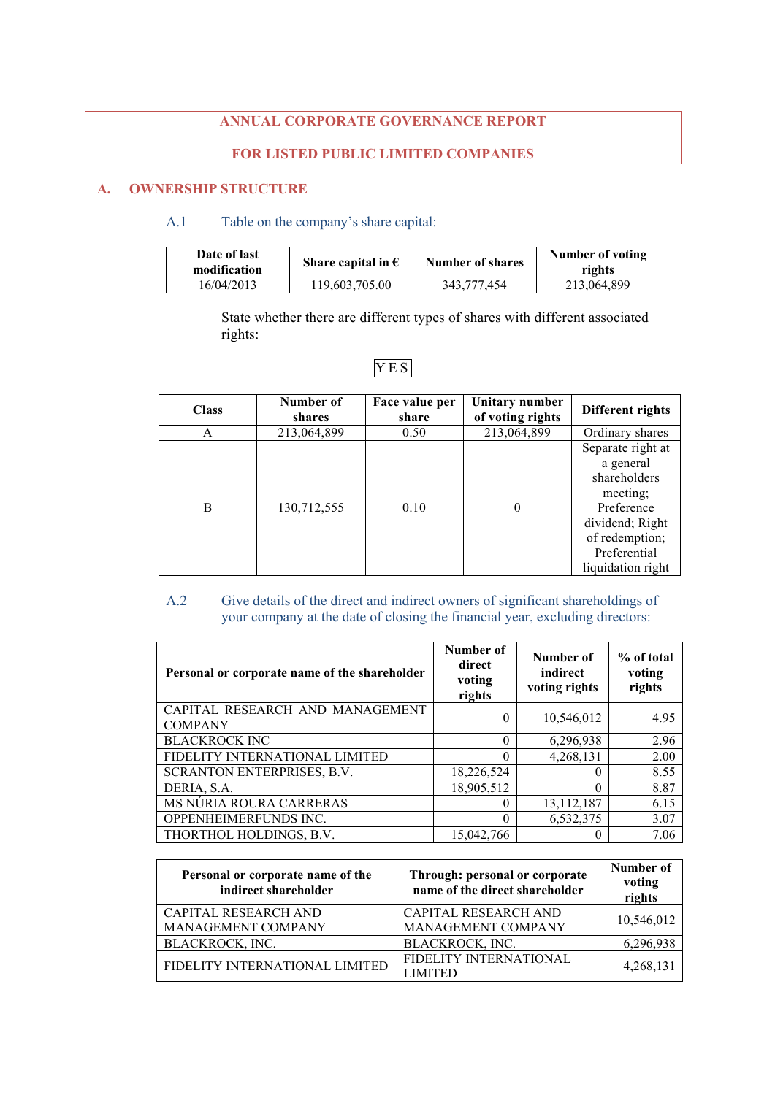# **ANNUAL CORPORATE GOVERNANCE REPORT**

# **FOR LISTED PUBLIC LIMITED COMPANIES**

# **A. OWNERSHIP STRUCTURE**

# A.1 Table on the company's share capital:

| Date of last<br>modification | Share capital in $\epsilon$ | Number of shares | Number of voting<br>rights |
|------------------------------|-----------------------------|------------------|----------------------------|
| 16/04/2013                   | 119,603,705.00              | 343.777.454      | 213,064,899                |

State whether there are different types of shares with different associated rights:

| <b>Class</b> | Number of<br>shares | Face value per<br>share | Unitary number<br>of voting rights | Different rights                                                                                                                                   |
|--------------|---------------------|-------------------------|------------------------------------|----------------------------------------------------------------------------------------------------------------------------------------------------|
| A            | 213,064,899         | 0.50                    | 213,064,899                        | Ordinary shares                                                                                                                                    |
| B            | 130,712,555         | 0.10                    | $\Omega$                           | Separate right at<br>a general<br>shareholders<br>meeting;<br>Preference<br>dividend; Right<br>of redemption;<br>Preferential<br>liquidation right |

# YES

# A.2 Give details of the direct and indirect owners of significant shareholdings of your company at the date of closing the financial year, excluding directors:

| Personal or corporate name of the shareholder     | Number of<br>direct<br>voting<br>rights | Number of<br>indirect<br>voting rights | % of total<br>voting<br>rights |
|---------------------------------------------------|-----------------------------------------|----------------------------------------|--------------------------------|
| CAPITAL RESEARCH AND MANAGEMENT<br><b>COMPANY</b> | 0                                       | 10,546,012                             | 4.95                           |
| <b>BLACKROCK INC</b>                              | $\Omega$                                | 6,296,938                              | 2.96                           |
| FIDELITY INTERNATIONAL LIMITED                    | 0                                       | 4,268,131                              | 2.00                           |
| SCRANTON ENTERPRISES, B.V.                        | 18,226,524                              | $\left($                               | 8.55                           |
| DERIA, S.A.                                       | 18,905,512                              | 0                                      | 8.87                           |
| MS NÚRIA ROURA CARRERAS                           | 0                                       | 13, 112, 187                           | 6.15                           |
| OPPENHEIMERFUNDS INC.                             | $\Omega$                                | 6,532,375                              | 3.07                           |
| THORTHOL HOLDINGS, B.V.                           | 15,042,766                              |                                        | 7.06                           |

| Personal or corporate name of the<br>indirect shareholder | Through: personal or corporate<br>name of the direct shareholder | Number of<br>voting<br>rights |
|-----------------------------------------------------------|------------------------------------------------------------------|-------------------------------|
| CAPITAL RESEARCH AND                                      | CAPITAL RESEARCH AND                                             | 10,546,012                    |
| MANAGEMENT COMPANY                                        | MANAGEMENT COMPANY                                               |                               |
| BLACKROCK, INC.                                           | BLACKROCK, INC.                                                  | 6,296,938                     |
| FIDELITY INTERNATIONAL LIMITED                            | FIDELITY INTERNATIONAL<br><b>LIMITED</b>                         | 4,268,131                     |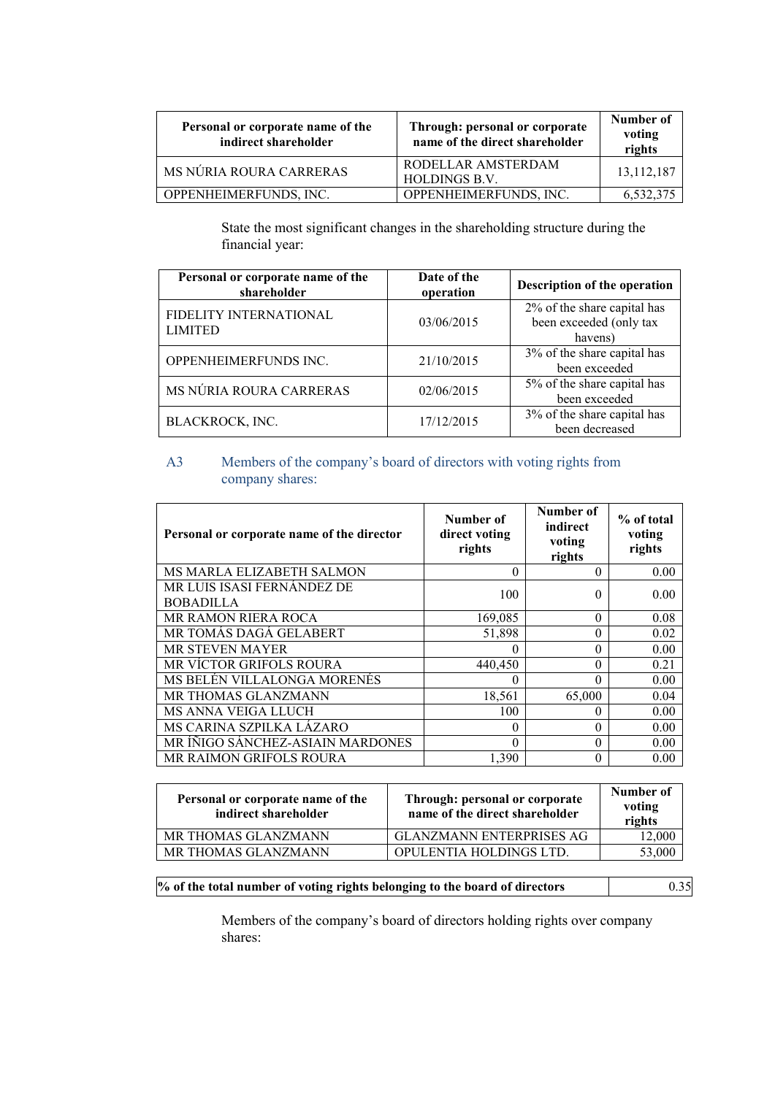| Personal or corporate name of the<br>indirect shareholder | Through: personal or corporate<br>name of the direct shareholder | Number of<br>voting<br>rights |
|-----------------------------------------------------------|------------------------------------------------------------------|-------------------------------|
| MS NÚRIA ROURA CARRERAS                                   | RODELLAR AMSTERDAM<br><b>HOLDINGS B.V.</b>                       | 13,112,187                    |
| OPPENHEIMERFUNDS, INC.                                    | OPPENHEIMERFUNDS, INC.                                           | 6,532,375                     |

State the most significant changes in the shareholding structure during the financial year:

| Personal or corporate name of the<br>shareholder | Date of the<br>operation | Description of the operation                                      |
|--------------------------------------------------|--------------------------|-------------------------------------------------------------------|
| FIDELITY INTERNATIONAL<br><b>LIMITED</b>         | 03/06/2015               | 2% of the share capital has<br>been exceeded (only tax<br>havens) |
| OPPENHEIMERFUNDS INC.                            | 21/10/2015               | 3% of the share capital has<br>been exceeded                      |
| MS NÚRIA ROURA CARRERAS                          | 02/06/2015               | 5% of the share capital has<br>been exceeded                      |
| BLACKROCK, INC.                                  | 17/12/2015               | 3% of the share capital has<br>been decreased                     |

# A3 Members of the company's board of directors with voting rights from company shares:

| Personal or corporate name of the director     | Number of<br>direct voting<br>rights | Number of<br>indirect<br>voting<br>rights | % of total<br>voting<br>rights |
|------------------------------------------------|--------------------------------------|-------------------------------------------|--------------------------------|
| MS MARLA ELIZABETH SALMON                      | $\Omega$                             | 0                                         | 0.00                           |
| MR LUIS ISASI FERNÁNDEZ DE<br><b>BOBADILLA</b> | 100                                  | 0                                         | 0.00                           |
| MR RAMON RIERA ROCA                            | 169,085                              | $\Omega$                                  | 0.08                           |
| MR TOMÁS DAGÁ GELABERT                         | 51,898                               | $\theta$                                  | 0.02                           |
| <b>MR STEVEN MAYER</b>                         | $\Omega$                             | $\Omega$                                  | 0.00                           |
| MR VÍCTOR GRIFOLS ROURA                        | 440,450                              | 0                                         | 0.21                           |
| MS BELÉN VILLALONGA MORENÉS                    | $\theta$                             | $\theta$                                  | 0.00                           |
| MR THOMAS GLANZMANN                            | 18,561                               | 65,000                                    | 0.04                           |
| MS ANNA VEIGA LLUCH                            | 100                                  | $\Omega$                                  | 0.00                           |
| MS CARINA SZPILKA LÁZARO                       | $\Omega$                             | $\Omega$                                  | 0.00                           |
| MR ÍÑIGO SÁNCHEZ-ASIAIN MARDONES               | $\Omega$                             | $\Omega$                                  | 0.00                           |
| MR RAIMON GRIFOLS ROURA                        | 1,390                                | $\theta$                                  | 0.00                           |

| Personal or corporate name of the<br>indirect shareholder | Through: personal or corporate<br>name of the direct shareholder | Number of<br>voting<br>rights |
|-----------------------------------------------------------|------------------------------------------------------------------|-------------------------------|
| MR THOMAS GLANZMANN                                       | GLANZMANN ENTERPRISES AG                                         | 12,000                        |
| MR THOMAS GLANZMANN                                       | OPULENTIA HOLDINGS LTD.                                          | 53,000                        |

**% of the total number of voting rights belonging to the board of directors** 0.35

Members of the company's board of directors holding rights over company shares: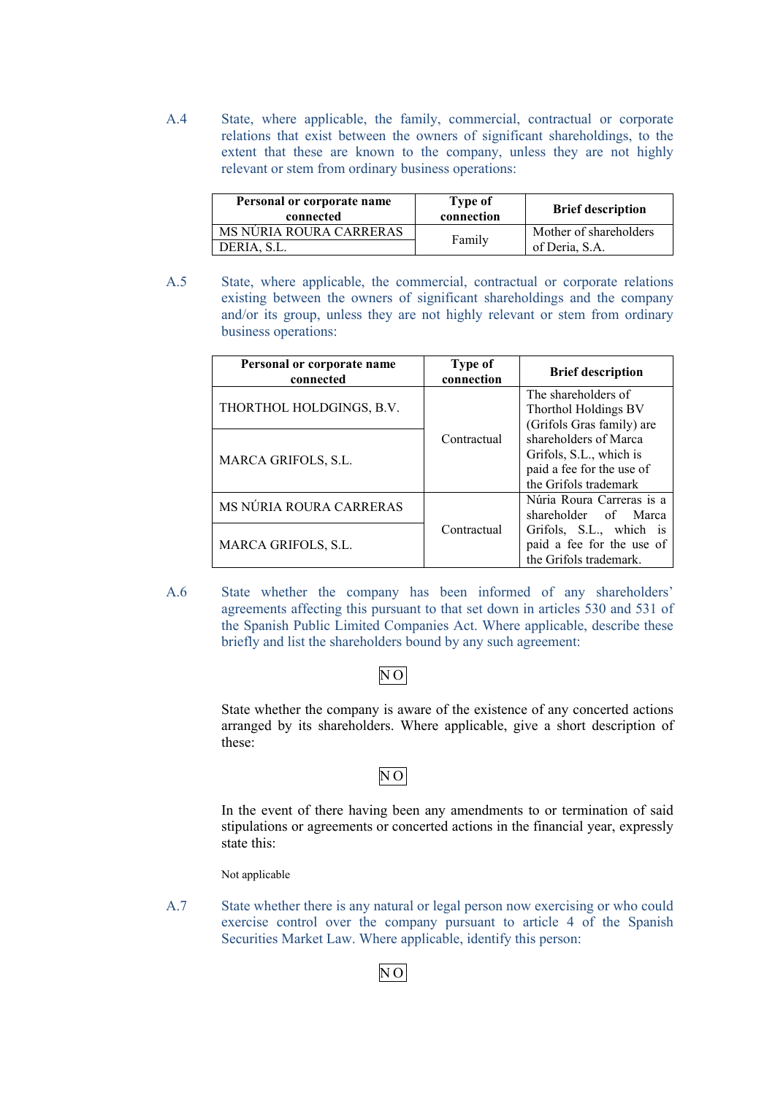A.4 State, where applicable, the family, commercial, contractual or corporate relations that exist between the owners of significant shareholdings, to the extent that these are known to the company, unless they are not highly relevant or stem from ordinary business operations:

| Personal or corporate name<br>connected | Type of<br>connection | <b>Brief description</b> |
|-----------------------------------------|-----------------------|--------------------------|
| MS NÚRIA ROURA CARRERAS                 | Family                | Mother of shareholders   |
| DERIA, S.L.                             |                       | of Deria, S.A.           |

A.5 State, where applicable, the commercial, contractual or corporate relations existing between the owners of significant shareholdings and the company and/or its group, unless they are not highly relevant or stem from ordinary business operations:

| Personal or corporate name<br>connected | Type of<br>connection | <b>Brief description</b>                                                                               |
|-----------------------------------------|-----------------------|--------------------------------------------------------------------------------------------------------|
| THORTHOL HOLDGINGS, B.V.                |                       | The shareholders of<br>Thorthol Holdings BV<br>(Grifols Gras family) are                               |
| <b>MARCA GRIFOLS, S.L.</b>              | Contractual           | shareholders of Marca<br>Grifols, S.L., which is<br>paid a fee for the use of<br>the Grifols trademark |
| MS NÚRIA ROURA CARRERAS                 |                       | Núria Roura Carreras is a<br>shareholder of Marca                                                      |
| <b>MARCA GRIFOLS, S.L.</b>              | Contractual           | Grifols, S.L., which is<br>paid a fee for the use of<br>the Grifols trademark.                         |

A.6 State whether the company has been informed of any shareholders' agreements affecting this pursuant to that set down in articles 530 and 531 of the Spanish Public Limited Companies Act. Where applicable, describe these briefly and list the shareholders bound by any such agreement:

# N O

State whether the company is aware of the existence of any concerted actions arranged by its shareholders. Where applicable, give a short description of these:

# $\overline{NO}$

In the event of there having been any amendments to or termination of said stipulations or agreements or concerted actions in the financial year, expressly state this:

Not applicable

A.7 State whether there is any natural or legal person now exercising or who could exercise control over the company pursuant to article 4 of the Spanish Securities Market Law. Where applicable, identify this person:

N O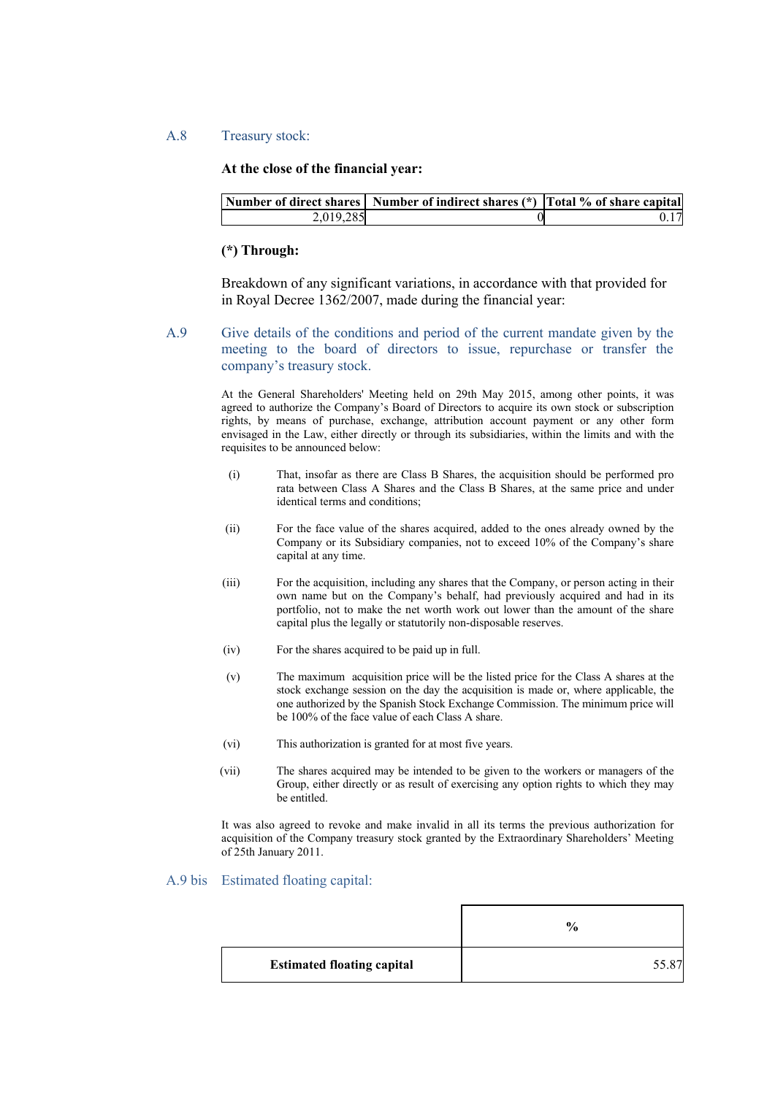### A.8 Treasury stock:

# **At the close of the financial year:**

|           | Number of direct shares   Number of indirect shares (*)   Total % of share capital |    |
|-----------|------------------------------------------------------------------------------------|----|
| 2,019,285 |                                                                                    | 17 |

### **(\*) Through:**

Breakdown of any significant variations, in accordance with that provided for in Royal Decree 1362/2007, made during the financial year:

A.9 Give details of the conditions and period of the current mandate given by the meeting to the board of directors to issue, repurchase or transfer the company's treasury stock.

> At the General Shareholders' Meeting held on 29th May 2015, among other points, it was agreed to authorize the Company's Board of Directors to acquire its own stock or subscription rights, by means of purchase, exchange, attribution account payment or any other form envisaged in the Law, either directly or through its subsidiaries, within the limits and with the requisites to be announced below:

- (i) That, insofar as there are Class B Shares, the acquisition should be performed pro rata between Class A Shares and the Class B Shares, at the same price and under identical terms and conditions;
- (ii) For the face value of the shares acquired, added to the ones already owned by the Company or its Subsidiary companies, not to exceed 10% of the Company's share capital at any time.
- (iii) For the acquisition, including any shares that the Company, or person acting in their own name but on the Company's behalf, had previously acquired and had in its portfolio, not to make the net worth work out lower than the amount of the share capital plus the legally or statutorily non-disposable reserves.
- (iv) For the shares acquired to be paid up in full.
- (v) The maximum acquisition price will be the listed price for the Class A shares at the stock exchange session on the day the acquisition is made or, where applicable, the one authorized by the Spanish Stock Exchange Commission. The minimum price will be 100% of the face value of each Class A share.
- (vi) This authorization is granted for at most five years.
- (vii) The shares acquired may be intended to be given to the workers or managers of the Group, either directly or as result of exercising any option rights to which they may be entitled.

It was also agreed to revoke and make invalid in all its terms the previous authorization for acquisition of the Company treasury stock granted by the Extraordinary Shareholders' Meeting of 25th January 2011.

### A.9 bis Estimated floating capital:

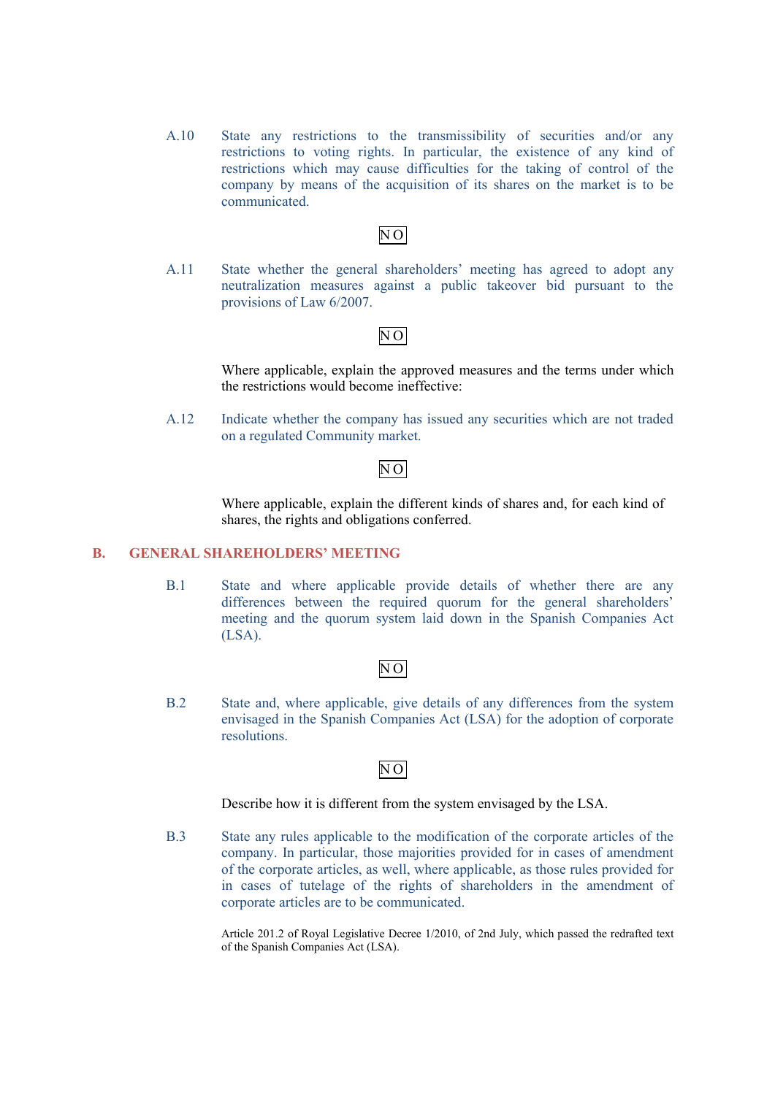A.10 State any restrictions to the transmissibility of securities and/or any restrictions to voting rights. In particular, the existence of any kind of restrictions which may cause difficulties for the taking of control of the company by means of the acquisition of its shares on the market is to be communicated.

# N O

A.11 State whether the general shareholders' meeting has agreed to adopt any neutralization measures against a public takeover bid pursuant to the provisions of Law 6/2007.

# N O

Where applicable, explain the approved measures and the terms under which the restrictions would become ineffective:

A.12 Indicate whether the company has issued any securities which are not traded on a regulated Community market.

# $\overline{NO}$

Where applicable, explain the different kinds of shares and, for each kind of shares, the rights and obligations conferred.

# **B. GENERAL SHAREHOLDERS' MEETING**

B.1 State and where applicable provide details of whether there are any differences between the required quorum for the general shareholders' meeting and the quorum system laid down in the Spanish Companies Act  $(LSA)$ .

# $\overline{NO}$

B.2 State and, where applicable, give details of any differences from the system envisaged in the Spanish Companies Act (LSA) for the adoption of corporate resolutions.

# N O

Describe how it is different from the system envisaged by the LSA.

B.3 State any rules applicable to the modification of the corporate articles of the company. In particular, those majorities provided for in cases of amendment of the corporate articles, as well, where applicable, as those rules provided for in cases of tutelage of the rights of shareholders in the amendment of corporate articles are to be communicated.

> Article 201.2 of Royal Legislative Decree 1/2010, of 2nd July, which passed the redrafted text of the Spanish Companies Act (LSA).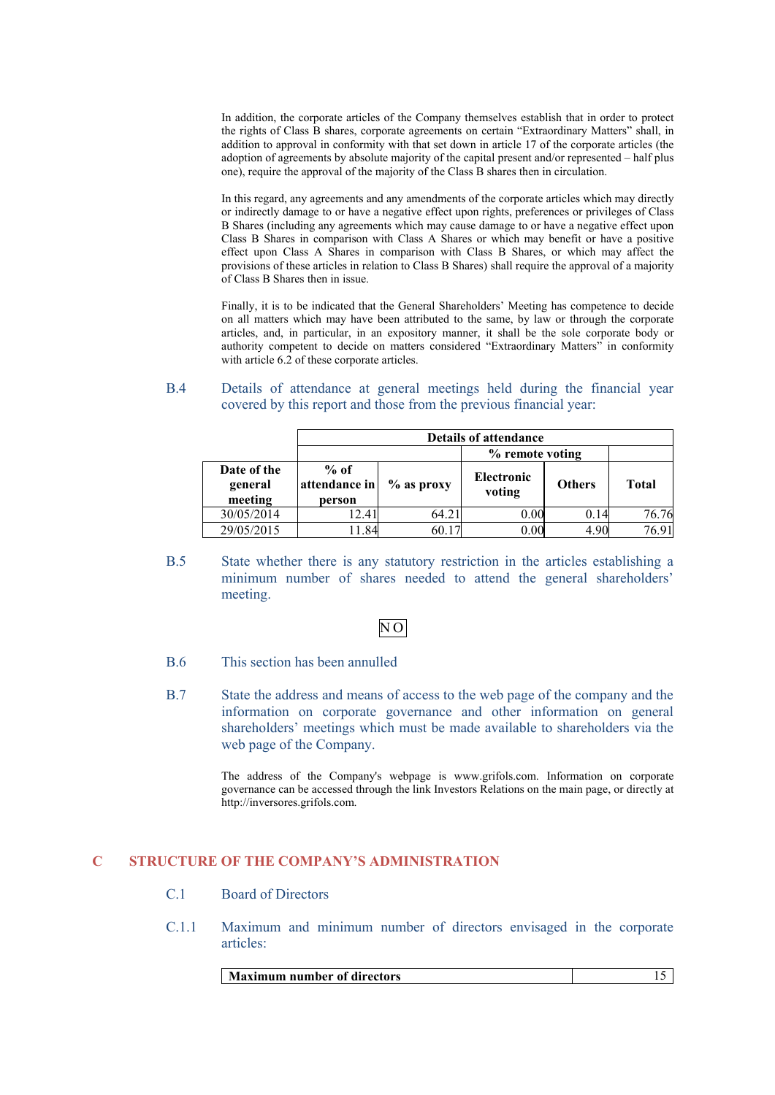In addition, the corporate articles of the Company themselves establish that in order to protect the rights of Class B shares, corporate agreements on certain "Extraordinary Matters" shall, in addition to approval in conformity with that set down in article 17 of the corporate articles (the adoption of agreements by absolute majority of the capital present and/or represented – half plus one), require the approval of the majority of the Class B shares then in circulation.

In this regard, any agreements and any amendments of the corporate articles which may directly or indirectly damage to or have a negative effect upon rights, preferences or privileges of Class B Shares (including any agreements which may cause damage to or have a negative effect upon Class B Shares in comparison with Class A Shares or which may benefit or have a positive effect upon Class A Shares in comparison with Class B Shares, or which may affect the provisions of these articles in relation to Class B Shares) shall require the approval of a majority of Class B Shares then in issue.

Finally, it is to be indicated that the General Shareholders' Meeting has competence to decide on all matters which may have been attributed to the same, by law or through the corporate articles, and, in particular, in an expository manner, it shall be the sole corporate body or authority competent to decide on matters considered "Extraordinary Matters" in conformity with article 6.2 of these corporate articles.

### B.4 Details of attendance at general meetings held during the financial year covered by this report and those from the previous financial year:

|                                   | <b>Details of attendance</b>      |              |                             |               |              |
|-----------------------------------|-----------------------------------|--------------|-----------------------------|---------------|--------------|
|                                   | % remote voting                   |              |                             |               |              |
| Date of the<br>general<br>meeting | $%$ of<br>attendance in<br>person | $%$ as proxy | <b>Electronic</b><br>voting | <b>Others</b> | <b>Total</b> |
| 30/05/2014                        | 12.41                             | 64.21        | 0.00                        | 0.14          | 76.76        |
| 29/05/2015                        | .84                               | 60.17        | 0.00                        | 4.90          | 76.91        |

B.5 State whether there is any statutory restriction in the articles establishing a minimum number of shares needed to attend the general shareholders' meeting.

# N O

- B.6 This section has been annulled
- B.7 State the address and means of access to the web page of the company and the information on corporate governance and other information on general shareholders' meetings which must be made available to shareholders via the web page of the Company.

The address of the Company's webpage is [www.grifols.com.](http://www.grifols.com/) Information on corporate governance can be accessed through the link Investors Relations on the main page, or directly at http://inversores.grifols.com.

# **C STRUCTURE OF THE COMPANY'S ADMINISTRATION**

- C.1 Board of Directors
- C.1.1 Maximum and minimum number of directors envisaged in the corporate articles:

| <b>Maximum number of directors</b> |  |
|------------------------------------|--|
|                                    |  |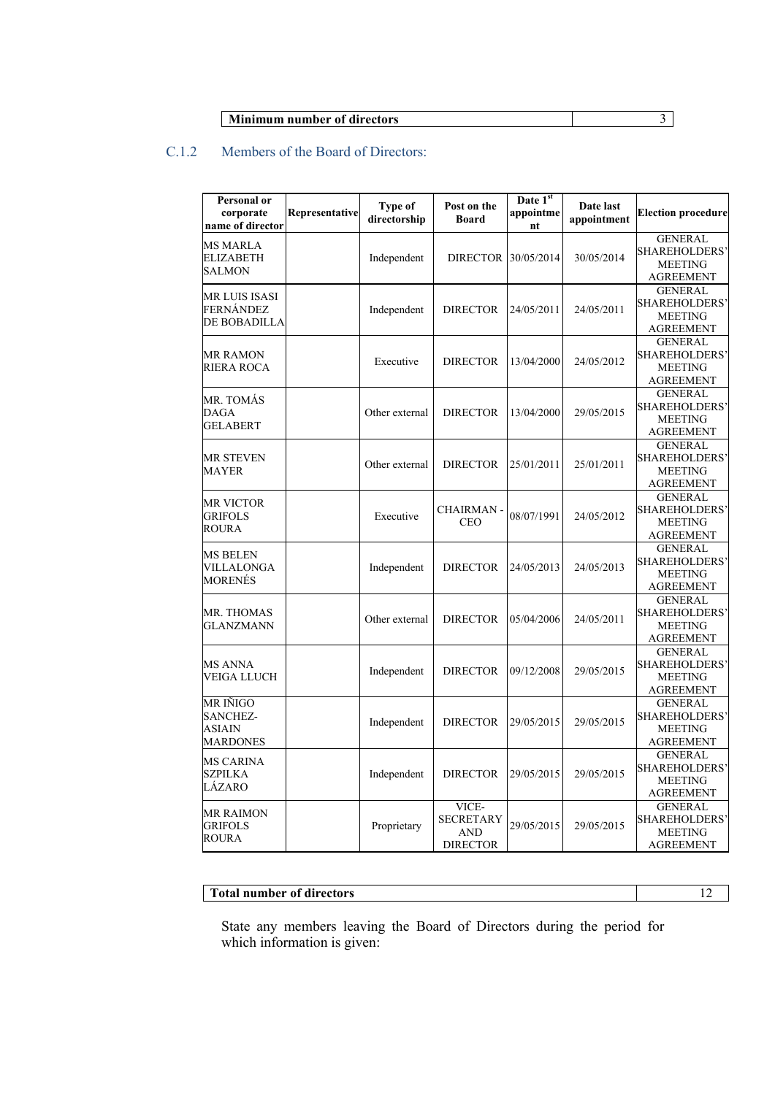| <b>Minimum number of directors</b> |  |
|------------------------------------|--|

# C.1.2 Members of the Board of Directors:

| <b>Personal or</b><br>corporate<br>name of director      | Representative | Type of<br>directorship | Post on the<br><b>Board</b>                                | Date 1st<br>appointme<br>nt | Date last<br>appointment | <b>Election procedure</b>                                                    |
|----------------------------------------------------------|----------------|-------------------------|------------------------------------------------------------|-----------------------------|--------------------------|------------------------------------------------------------------------------|
| <b>MS MARLA</b><br>ELIZABETH<br><b>SALMON</b>            |                | Independent             | <b>DIRECTOR</b>                                            | 30/05/2014                  | 30/05/2014               | <b>GENERAL</b><br><b>SHAREHOLDERS'</b><br><b>MEETING</b><br><b>AGREEMENT</b> |
| MR LUIS ISASI<br>FERNÁNDEZ<br>DE BOBADILLA               |                | Independent             | <b>DIRECTOR</b>                                            | 24/05/2011                  | 24/05/2011               | <b>GENERAL</b><br>SHAREHOLDERS'<br><b>MEETING</b><br><b>AGREEMENT</b>        |
| MR RAMON<br>RIERA ROCA                                   |                | Executive               | <b>DIRECTOR</b>                                            | 13/04/2000                  | 24/05/2012               | <b>GENERAL</b><br><b>SHAREHOLDERS'</b><br><b>MEETING</b><br><b>AGREEMENT</b> |
| MR. TOMÁS<br>DAGA<br><b>GELABERT</b>                     |                | Other external          | <b>DIRECTOR</b>                                            | 13/04/2000                  | 29/05/2015               | <b>GENERAL</b><br>SHAREHOLDERS'<br><b>MEETING</b><br><b>AGREEMENT</b>        |
| <b>MR STEVEN</b><br>MAYER                                |                | Other external          | <b>DIRECTOR</b>                                            | 25/01/2011                  | 25/01/2011               | <b>GENERAL</b><br>SHAREHOLDERS'<br><b>MEETING</b><br>AGREEMENT               |
| <b>MR VICTOR</b><br><b>GRIFOLS</b><br>ROURA              |                | Executive               | <b>CHAIRMAN-</b><br><b>CEO</b>                             | 08/07/1991                  | 24/05/2012               | <b>GENERAL</b><br><b>SHAREHOLDERS'</b><br><b>MEETING</b><br><b>AGREEMENT</b> |
| MS BELEN<br>VILLALONGA<br>MORENÉS                        |                | Independent             | <b>DIRECTOR</b>                                            | 24/05/2013                  | 24/05/2013               | <b>GENERAL</b><br>SHAREHOLDERS'<br><b>MEETING</b><br>AGREEMENT               |
| MR. THOMAS<br><b>GLANZMANN</b>                           |                | Other external          | <b>DIRECTOR</b>                                            | 05/04/2006                  | 24/05/2011               | <b>GENERAL</b><br>SHAREHOLDERS'<br><b>MEETING</b><br><b>AGREEMENT</b>        |
| <b>MS ANNA</b><br>VEIGA LLUCH                            |                | Independent             | <b>DIRECTOR</b>                                            | 09/12/2008                  | 29/05/2015               | <b>GENERAL</b><br><b>SHAREHOLDERS'</b><br><b>MEETING</b><br><b>AGREEMENT</b> |
| <b>MR IÑIGO</b><br>SANCHEZ-<br><b>ASIAIN</b><br>MARDONES |                | Independent             | <b>DIRECTOR</b>                                            | 29/05/2015                  | 29/05/2015               | <b>GENERAL</b><br><b>SHAREHOLDERS'</b><br><b>MEETING</b><br>AGREEMENT        |
| <b>MS CARINA</b><br><b>SZPILKA</b><br>LÁZARO             |                | Independent             | <b>DIRECTOR</b>                                            | 29/05/2015                  | 29/05/2015               | <b>GENERAL</b><br>SHAREHOLDERS'<br><b>MEETING</b><br><b>AGREEMENT</b>        |
| <b>MR RAIMON</b><br><b>GRIFOLS</b><br>ROURA              |                | Proprietary             | VICE-<br><b>SECRETARY</b><br><b>AND</b><br><b>DIRECTOR</b> | 29/05/2015                  | 29/05/2015               | <b>GENERAL</b><br>SHAREHOLDERS'<br><b>MEETING</b><br>AGREEMENT               |

# **Total number of directors** 12

State any members leaving the Board of Directors during the period for which information is given: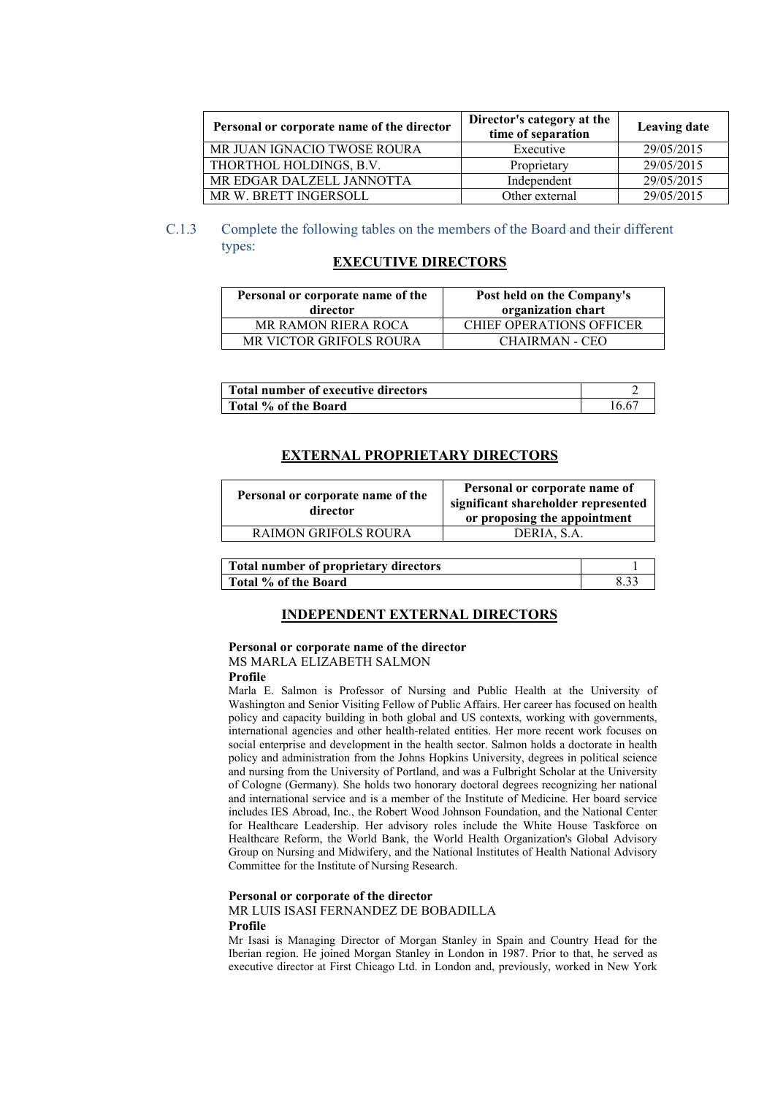| Personal or corporate name of the director | Director's category at the<br>time of separation | <b>Leaving date</b> |
|--------------------------------------------|--------------------------------------------------|---------------------|
| MR JUAN IGNACIO TWOSE ROURA                | Executive                                        | 29/05/2015          |
| THORTHOL HOLDINGS, B.V.                    | Proprietary                                      | 29/05/2015          |
| MR EDGAR DALZELL JANNOTTA                  | Independent                                      | 29/05/2015          |
| MR W. BRETT INGERSOLL                      | Other external                                   | 29/05/2015          |

# C.1.3 Complete the following tables on the members of the Board and their different types:

### **EXECUTIVE DIRECTORS**

| Personal or corporate name of the<br>director | Post held on the Company's<br>organization chart |  |
|-----------------------------------------------|--------------------------------------------------|--|
| <b>MR RAMON RIERA ROCA</b>                    | <b>CHIEF OPERATIONS OFFICER</b>                  |  |
| MR VICTOR GRIFOLS ROURA                       | CHAIRMAN - CEO                                   |  |

| <b>Total number of executive directors</b> |     |
|--------------------------------------------|-----|
| Total % of the Board                       | '66 |

### **EXTERNAL PROPRIETARY DIRECTORS**

| Personal or corporate name of the<br>director | Personal or corporate name of<br>significant shareholder represented<br>or proposing the appointment |
|-----------------------------------------------|------------------------------------------------------------------------------------------------------|
| <b>RAIMON GRIFOLS ROURA</b>                   | DERIA, S.A.                                                                                          |
|                                               |                                                                                                      |

| Total number of proprietary directors |  |
|---------------------------------------|--|
| Total % of the Board                  |  |

### **INDEPENDENT EXTERNAL DIRECTORS**

### **Personal or corporate name of the director** MS MARLA ELIZABETH SALMON

### **Profile**

Marla E. Salmon is Professor of Nursing and Public Health at the University of Washington and Senior Visiting Fellow of Public Affairs. Her career has focused on health policy and capacity building in both global and US contexts, working with governments, international agencies and other health-related entities. Her more recent work focuses on social enterprise and development in the health sector. Salmon holds a doctorate in health policy and administration from the Johns Hopkins University, degrees in political science and nursing from the University of Portland, and was a Fulbright Scholar at the University of Cologne (Germany). She holds two honorary doctoral degrees recognizing her national and international service and is a member of the Institute of Medicine. Her board service includes IES Abroad, Inc., the Robert Wood Johnson Foundation, and the National Center for Healthcare Leadership. Her advisory roles include the White House Taskforce on Healthcare Reform, the World Bank, the World Health Organization's Global Advisory Group on Nursing and Midwifery, and the National Institutes of Health National Advisory Committee for the Institute of Nursing Research.

#### **Personal or corporate of the director**

#### MR LUIS ISASI FERNANDEZ DE BOBADILLA **Profile**

Mr Isasi is Managing Director of Morgan Stanley in Spain and Country Head for the Iberian region. He joined Morgan Stanley in London in 1987. Prior to that, he served as executive director at First Chicago Ltd. in London and, previously, worked in New York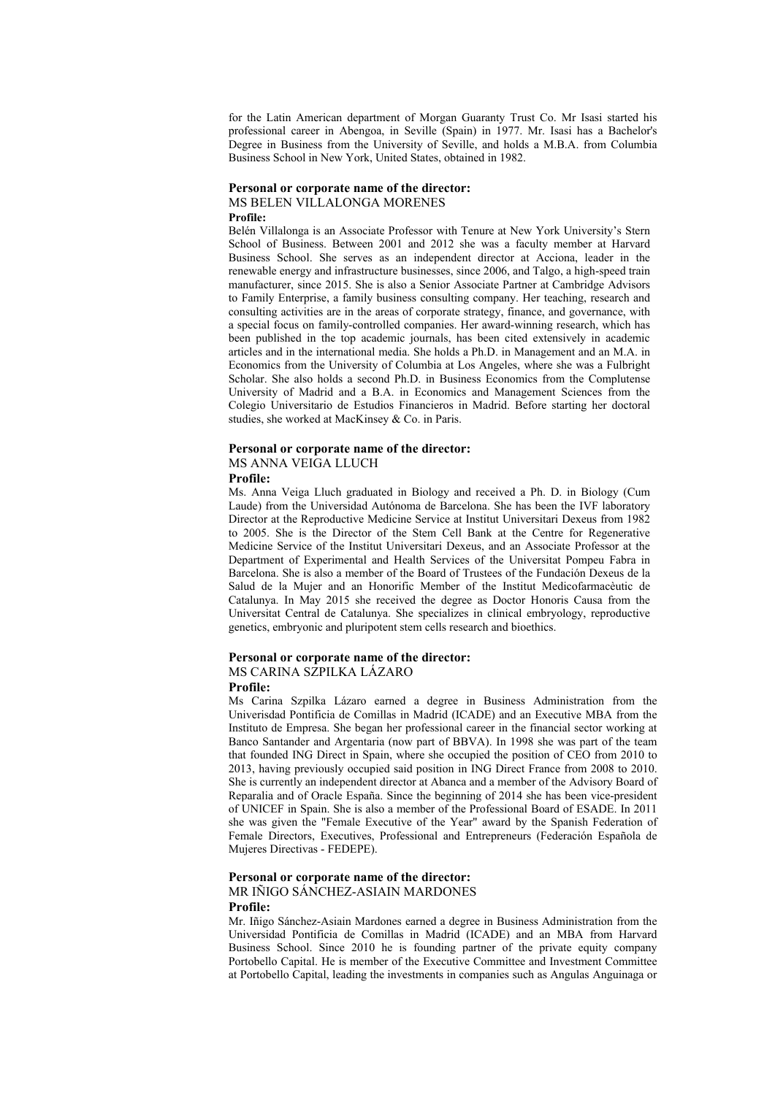for the Latin American department of Morgan Guaranty Trust Co. Mr Isasi started his professional career in Abengoa, in Seville (Spain) in 1977. Mr. Isasi has a Bachelor's Degree in Business from the University of Seville, and holds a M.B.A. from Columbia Business School in New York, United States, obtained in 1982.

#### **Personal or corporate name of the director:**

### MS BELEN VILLALONGA MORENES

#### **Profile:**

Belén Villalonga is an Associate Professor with Tenure at New York University's Stern School of Business. Between 2001 and 2012 she was a faculty member at Harvard Business School. She serves as an independent director at Acciona, leader in the renewable energy and infrastructure businesses, since 2006, and Talgo, a high-speed train manufacturer, since 2015. She is also a Senior Associate Partner at Cambridge Advisors to Family Enterprise, a family business consulting company. Her teaching, research and consulting activities are in the areas of corporate strategy, finance, and governance, with a special focus on family-controlled companies. Her award-winning research, which has been published in the top academic journals, has been cited extensively in academic articles and in the international media. She holds a Ph.D. in Management and an M.A. in Economics from the University of Columbia at Los Angeles, where she was a Fulbright Scholar. She also holds a second Ph.D. in Business Economics from the Complutense University of Madrid and a B.A. in Economics and Management Sciences from the Colegio Universitario de Estudios Financieros in Madrid. Before starting her doctoral studies, she worked at MacKinsey & Co. in Paris.

#### **Personal or corporate name of the director:**

### MS ANNA VEIGA LLUCH

#### **Profile:**

Ms. Anna Veiga Lluch graduated in Biology and received a Ph. D. in Biology (Cum Laude) from the Universidad Autónoma de Barcelona. She has been the IVF laboratory Director at the Reproductive Medicine Service at Institut Universitari Dexeus from 1982 to 2005. She is the Director of the Stem Cell Bank at the Centre for Regenerative Medicine Service of the Institut Universitari Dexeus, and an Associate Professor at the Department of Experimental and Health Services of the Universitat Pompeu Fabra in Barcelona. She is also a member of the Board of Trustees of the Fundación Dexeus de la Salud de la Mujer and an Honorific Member of the Institut Medicofarmacèutic de Catalunya. In May 2015 she received the degree as Doctor Honoris Causa from the Universitat Central de Catalunya. She specializes in clinical embryology, reproductive genetics, embryonic and pluripotent stem cells research and bioethics.

# **Personal or corporate name of the director:** MS CARINA SZPILKA LÁZARO

### **Profile:**

Ms Carina Szpilka Lázaro earned a degree in Business Administration from the Univerisdad Pontificia de Comillas in Madrid (ICADE) and an Executive MBA from the Instituto de Empresa. She began her professional career in the financial sector working at Banco Santander and Argentaria (now part of BBVA). In 1998 she was part of the team that founded ING Direct in Spain, where she occupied the position of CEO from 2010 to 2013, having previously occupied said position in ING Direct France from 2008 to 2010. She is currently an independent director at Abanca and a member of the Advisory Board of Reparalia and of Oracle España. Since the beginning of 2014 she has been vice-president of UNICEF in Spain. She is also a member of the Professional Board of ESADE. In 2011 she was given the "Female Executive of the Year" award by the Spanish Federation of Female Directors, Executives, Professional and Entrepreneurs (Federación Española de Mujeres Directivas - FEDEPE).

# **Personal or corporate name of the director:**

MR IÑIGO SÁNCHEZ-ASIAIN MARDONES **Profile:**

Mr. Iñigo Sánchez-Asiain Mardones earned a degree in Business Administration from the Universidad Pontificia de Comillas in Madrid (ICADE) and an MBA from Harvard Business School. Since 2010 he is founding partner of the private equity company Portobello Capital. He is member of the Executive Committee and Investment Committee at Portobello Capital, leading the investments in companies such as Angulas Anguinaga or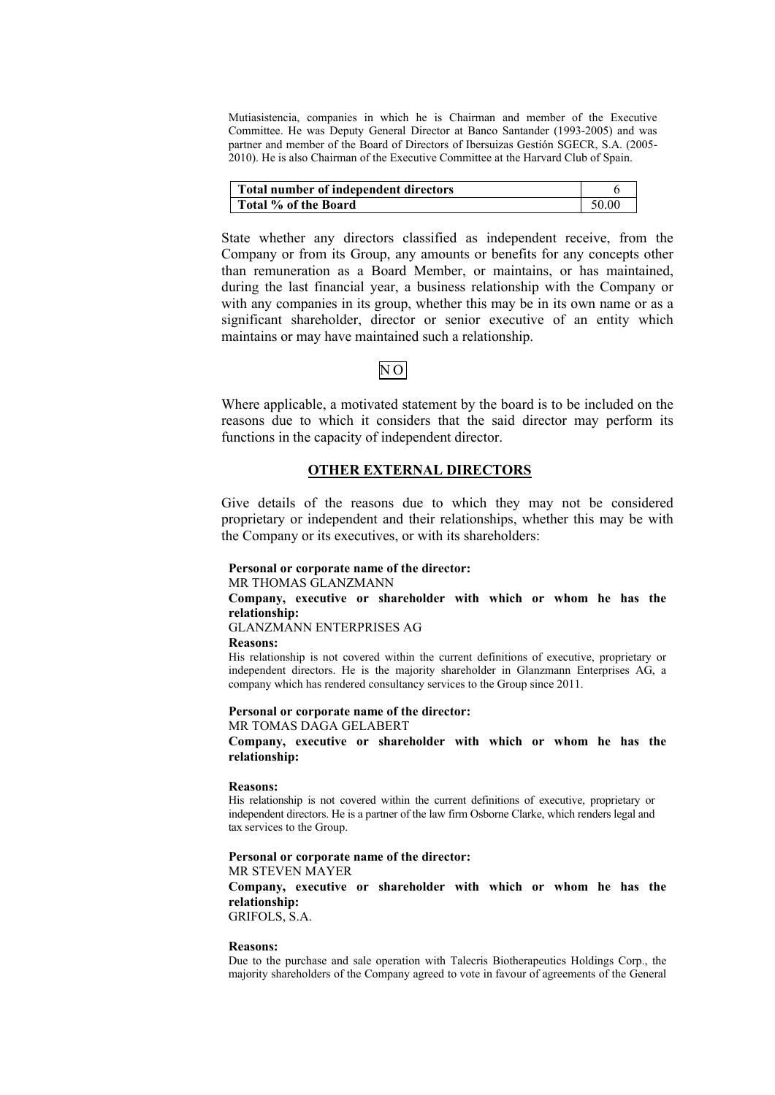Mutiasistencia, companies in which he is Chairman and member of the Executive Committee. He was Deputy General Director at Banco Santander (1993-2005) and was partner and member of the Board of Directors of Ibersuizas Gestión SGECR, S.A. (2005- 2010). He is also Chairman of the Executive Committee at the Harvard Club of Spain.

| Total number of independent directors |       |
|---------------------------------------|-------|
| Total % of the Board                  | 50.00 |

State whether any directors classified as independent receive, from the Company or from its Group, any amounts or benefits for any concepts other than remuneration as a Board Member, or maintains, or has maintained, during the last financial year, a business relationship with the Company or with any companies in its group, whether this may be in its own name or as a significant shareholder, director or senior executive of an entity which maintains or may have maintained such a relationship.

# N O

Where applicable, a motivated statement by the board is to be included on the reasons due to which it considers that the said director may perform its functions in the capacity of independent director.

### **OTHER EXTERNAL DIRECTORS**

Give details of the reasons due to which they may not be considered proprietary or independent and their relationships, whether this may be with the Company or its executives, or with its shareholders:

#### **Personal or corporate name of the director:**

MR THOMAS GLANZMANN

**Company, executive or shareholder with which or whom he has the relationship:**

GLANZMANN ENTERPRISES AG

#### **Reasons:**

His relationship is not covered within the current definitions of executive, proprietary or independent directors. He is the majority shareholder in Glanzmann Enterprises AG, a company which has rendered consultancy services to the Group since 2011.

#### **Personal or corporate name of the director:** MR TOMAS DAGA GELABERT

**Company, executive or shareholder with which or whom he has the relationship:**

#### **Reasons:**

His relationship is not covered within the current definitions of executive, proprietary or independent directors. He is a partner of the law firm Osborne Clarke, which renders legal and tax services to the Group.

### **Personal or corporate name of the director:**

MR STEVEN MAYER

**Company, executive or shareholder with which or whom he has the relationship:**

GRIFOLS, S.A.

### **Reasons:**

Due to the purchase and sale operation with Talecris Biotherapeutics Holdings Corp., the majority shareholders of the Company agreed to vote in favour of agreements of the General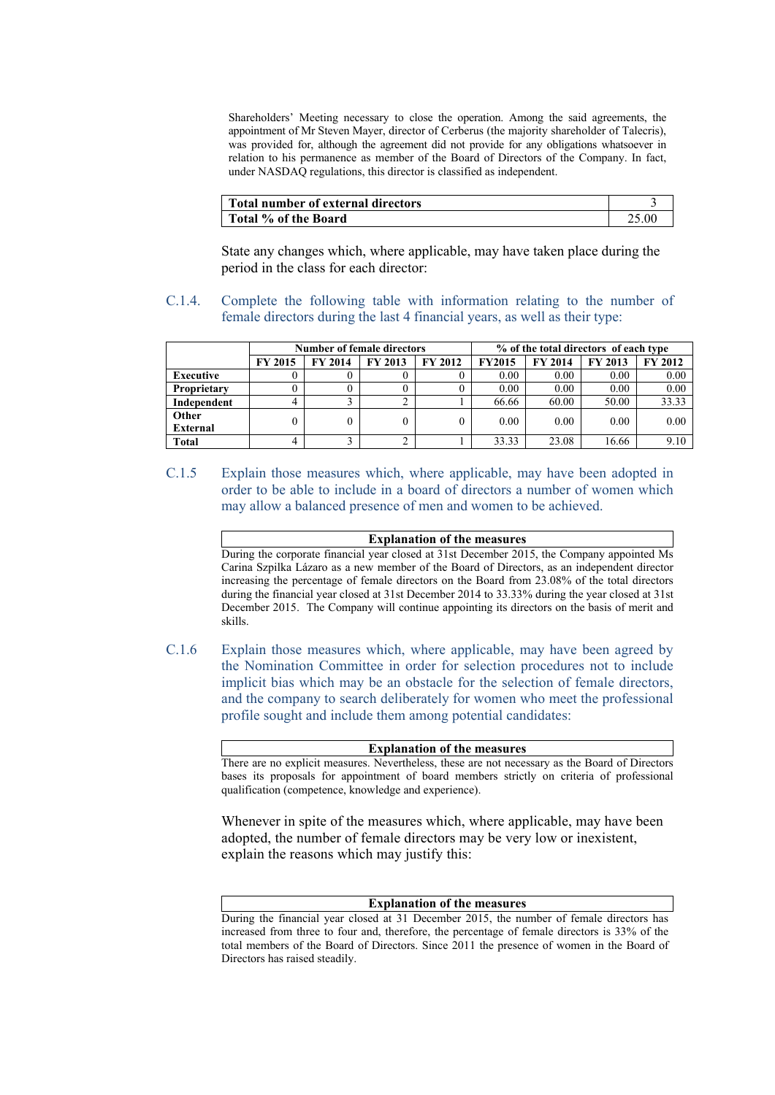Shareholders' Meeting necessary to close the operation. Among the said agreements, the appointment of Mr Steven Mayer, director of Cerberus (the majority shareholder of Talecris), was provided for, although the agreement did not provide for any obligations whatsoever in relation to his permanence as member of the Board of Directors of the Company. In fact, under NASDAQ regulations, this director is classified as independent.

| Total number of external directors |  |
|------------------------------------|--|
| Total % of the Board               |  |

State any changes which, where applicable, may have taken place during the period in the class for each director:

C.1.4. Complete the following table with information relating to the number of female directors during the last 4 financial years, as well as their type:

|                 |                | <b>Number of female directors</b> |                |                | % of the total directors of each type |                |                |                |
|-----------------|----------------|-----------------------------------|----------------|----------------|---------------------------------------|----------------|----------------|----------------|
|                 | <b>FY 2015</b> | <b>FY 2014</b>                    | <b>FY 2013</b> | <b>FY 2012</b> | <b>FY2015</b>                         | <b>FY 2014</b> | <b>FY 2013</b> | <b>FY 2012</b> |
| Executive       |                |                                   |                |                | 0.00                                  | 0.00           | 0.00           | 0.00           |
| Proprietary     |                |                                   |                |                | 0.00                                  | 0.00           | 0.00           | 0.00           |
| Independent     |                |                                   |                |                | 66.66                                 | 60.00          | 50.00          | 33.33          |
| Other           | 0              | 0                                 |                | 0              | 0.00                                  | 0.00           | 0.00           | 0.00           |
| <b>External</b> |                |                                   |                |                |                                       |                |                |                |
| <b>Total</b>    | 4              |                                   |                |                | 33.33                                 | 23.08          | 16.66          | 9.10           |

C.1.5 Explain those measures which, where applicable, may have been adopted in order to be able to include in a board of directors a number of women which may allow a balanced presence of men and women to be achieved.

> **Explanation of the measures** During the corporate financial year closed at 31st December 2015, the Company appointed Ms Carina Szpilka Lázaro as a new member of the Board of Directors, as an independent director increasing the percentage of female directors on the Board from 23.08% of the total directors during the financial year closed at 31st December 2014 to 33.33% during the year closed at 31st December 2015. The Company will continue appointing its directors on the basis of merit and skills.

C.1.6 Explain those measures which, where applicable, may have been agreed by the Nomination Committee in order for selection procedures not to include implicit bias which may be an obstacle for the selection of female directors, and the company to search deliberately for women who meet the professional profile sought and include them among potential candidates:

**Explanation of the measures**

There are no explicit measures. Nevertheless, these are not necessary as the Board of Directors bases its proposals for appointment of board members strictly on criteria of professional qualification (competence, knowledge and experience).

Whenever in spite of the measures which, where applicable, may have been adopted, the number of female directors may be very low or inexistent, explain the reasons which may justify this:

### **Explanation of the measures**

During the financial year closed at 31 December 2015, the number of female directors has increased from three to four and, therefore, the percentage of female directors is 33% of the total members of the Board of Directors. Since 2011 the presence of women in the Board of Directors has raised steadily.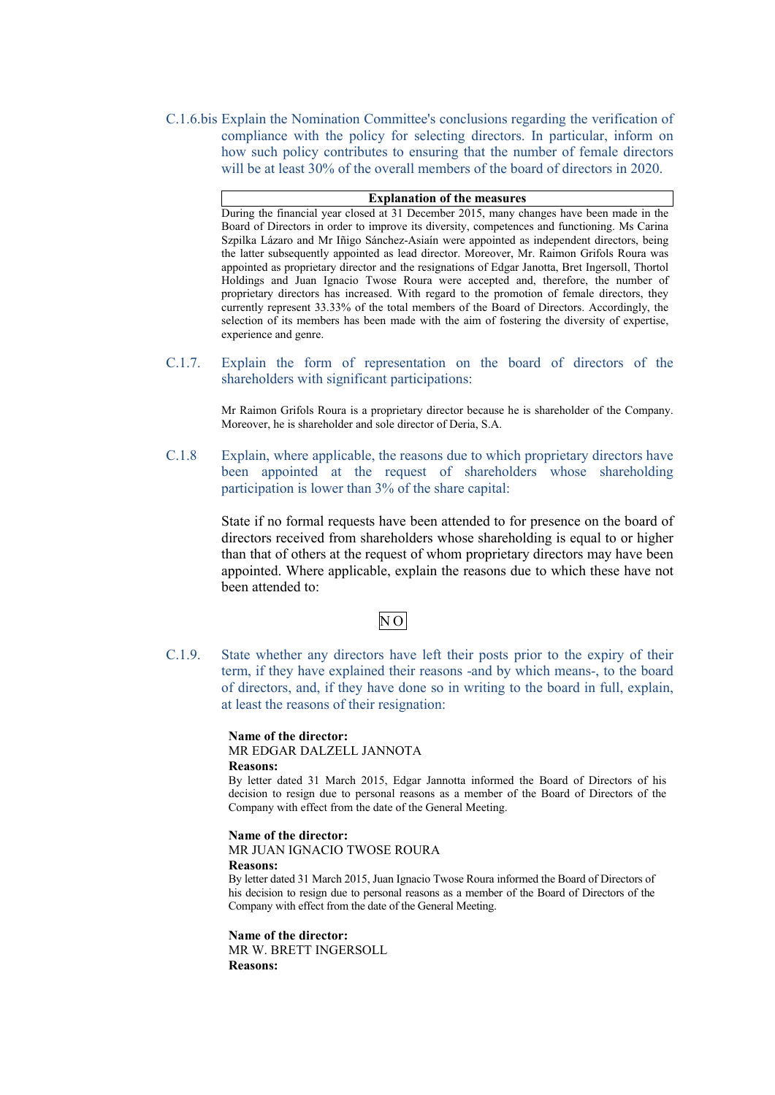C.1.6.bis Explain the Nomination Committee's conclusions regarding the verification of compliance with the policy for selecting directors. In particular, inform on how such policy contributes to ensuring that the number of female directors will be at least 30% of the overall members of the board of directors in 2020.

### **Explanation of the measures**

During the financial year closed at 31 December 2015, many changes have been made in the Board of Directors in order to improve its diversity, competences and functioning. Ms Carina Szpilka Lázaro and Mr Iñigo Sánchez-Asiaín were appointed as independent directors, being the latter subsequently appointed as lead director. Moreover, Mr. Raimon Grifols Roura was appointed as proprietary director and the resignations of Edgar Janotta, Bret Ingersoll, Thortol Holdings and Juan Ignacio Twose Roura were accepted and, therefore, the number of proprietary directors has increased. With regard to the promotion of female directors, they currently represent 33.33% of the total members of the Board of Directors. Accordingly, the selection of its members has been made with the aim of fostering the diversity of expertise, experience and genre.

C.1.7. Explain the form of representation on the board of directors of the shareholders with significant participations:

> Mr Raimon Grifols Roura is a proprietary director because he is shareholder of the Company. Moreover, he is shareholder and sole director of Deria, S.A.

C.1.8 Explain, where applicable, the reasons due to which proprietary directors have been appointed at the request of shareholders whose shareholding participation is lower than 3% of the share capital:

> State if no formal requests have been attended to for presence on the board of directors received from shareholders whose shareholding is equal to or higher than that of others at the request of whom proprietary directors may have been appointed. Where applicable, explain the reasons due to which these have not been attended to:

# N O

C.1.9. State whether any directors have left their posts prior to the expiry of their term, if they have explained their reasons -and by which means-, to the board of directors, and, if they have done so in writing to the board in full, explain, at least the reasons of their resignation:

> **Name of the director:** MR EDGAR DALZELL JANNOTA **Reasons:**

By letter dated 31 March 2015, Edgar Jannotta informed the Board of Directors of his decision to resign due to personal reasons as a member of the Board of Directors of the Company with effect from the date of the General Meeting.

**Name of the director:**

MR JUAN IGNACIO TWOSE ROURA

### **Reasons:**

By letter dated 31 March 2015, Juan Ignacio Twose Roura informed the Board of Directors of his decision to resign due to personal reasons as a member of the Board of Directors of the Company with effect from the date of the General Meeting.

**Name of the director:** MR W. BRETT INGERSOLL **Reasons:**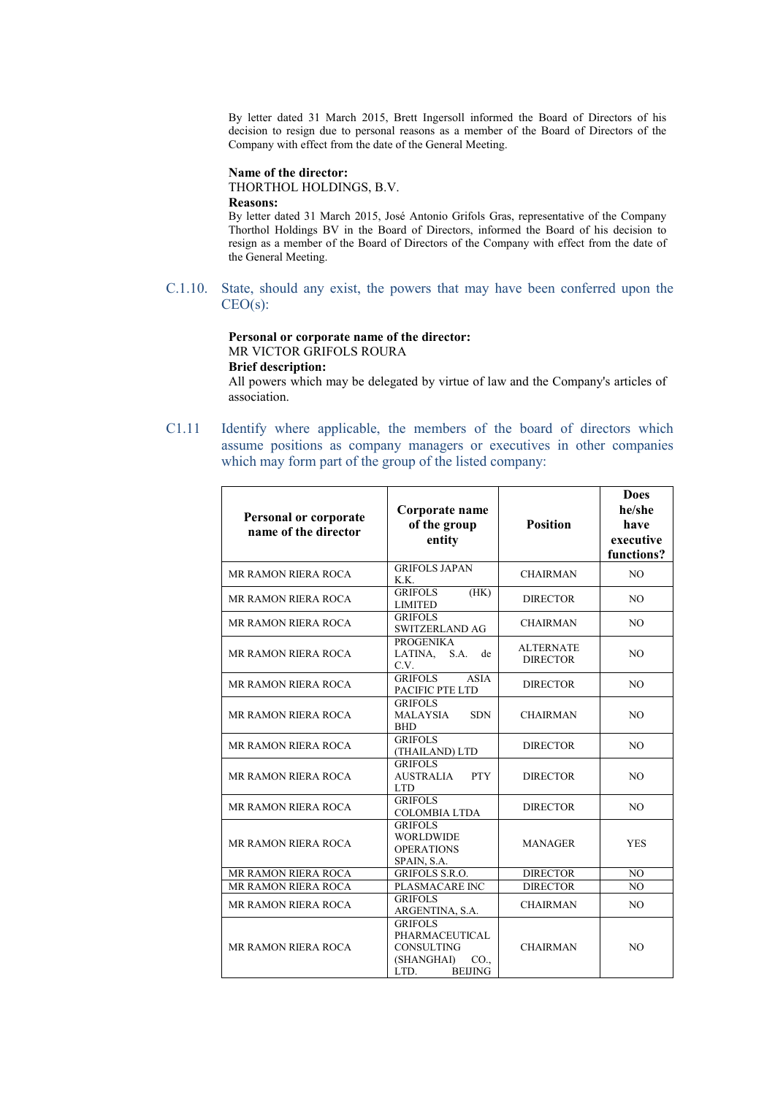By letter dated 31 March 2015, Brett Ingersoll informed the Board of Directors of his decision to resign due to personal reasons as a member of the Board of Directors of the Company with effect from the date of the General Meeting.

### **Name of the director:**

THORTHOL HOLDINGS, B.V.

#### **Reasons:**

By letter dated 31 March 2015, José Antonio Grifols Gras, representative of the Company Thorthol Holdings BV in the Board of Directors, informed the Board of his decision to resign as a member of the Board of Directors of the Company with effect from the date of the General Meeting.

C.1.10. State, should any exist, the powers that may have been conferred upon the CEO(s):

#### **Personal or corporate name of the director:** MR VICTOR GRIFOLS ROURA

# **Brief description:**

All powers which may be delegated by virtue of law and the Company's articles of association.

C1.11 Identify where applicable, the members of the board of directors which assume positions as company managers or executives in other companies which may form part of the group of the listed company:

| <b>Personal or corporate</b><br>name of the director | Corporate name<br>of the group<br>entity                                                                         | <b>Position</b>                     | <b>Does</b><br>he/she<br>have<br>executive<br>functions? |
|------------------------------------------------------|------------------------------------------------------------------------------------------------------------------|-------------------------------------|----------------------------------------------------------|
| MR RAMON RIERA ROCA                                  | <b>GRIFOLS JAPAN</b><br>K.K.                                                                                     | <b>CHAIRMAN</b>                     | N <sub>O</sub>                                           |
| <b>MR RAMON RIERA ROCA</b>                           | <b>GRIFOLS</b><br>(HK)<br><b>LIMITED</b>                                                                         | <b>DIRECTOR</b>                     | NO.                                                      |
| MR RAMON RIERA ROCA                                  | <b>GRIFOLS</b><br>SWITZERLAND AG                                                                                 | <b>CHAIRMAN</b>                     | N <sub>O</sub>                                           |
| <b>MR RAMON RIERA ROCA</b>                           | <b>PROGENIKA</b><br>LATINA.<br>S.A.<br>de<br>C.V.                                                                | <b>ALTERNATE</b><br><b>DIRECTOR</b> | NO.                                                      |
| MR RAMON RIERA ROCA                                  | <b>GRIFOLS</b><br><b>ASIA</b><br>PACIFIC PTE LTD                                                                 | <b>DIRECTOR</b>                     | N <sub>O</sub>                                           |
| MR RAMON RIERA ROCA                                  | <b>GRIFOLS</b><br><b>MALAYSIA</b><br><b>SDN</b><br><b>BHD</b>                                                    | <b>CHAIRMAN</b>                     | NO.                                                      |
| <b>MR RAMON RIERA ROCA</b>                           | <b>GRIFOLS</b><br>(THAILAND) LTD                                                                                 | <b>DIRECTOR</b>                     | N <sub>O</sub>                                           |
| MR RAMON RIERA ROCA                                  | <b>GRIFOLS</b><br><b>AUSTRALIA</b><br><b>PTY</b><br><b>LTD</b>                                                   | <b>DIRECTOR</b>                     | N <sub>O</sub>                                           |
| MR RAMON RIERA ROCA                                  | <b>GRIFOLS</b><br><b>COLOMBIA LTDA</b>                                                                           | <b>DIRECTOR</b>                     | N <sub>O</sub>                                           |
| MR RAMON RIERA ROCA                                  | <b>GRIFOLS</b><br><b>WORLDWIDE</b><br><b>OPERATIONS</b><br>SPAIN, S.A.                                           | <b>MANAGER</b>                      | <b>YES</b>                                               |
| MR RAMON RIERA ROCA                                  | <b>GRIFOLS S.R.O.</b>                                                                                            | <b>DIRECTOR</b>                     | NO                                                       |
| MR RAMON RIERA ROCA                                  | PLASMACARE INC                                                                                                   | <b>DIRECTOR</b>                     | N <sub>O</sub>                                           |
| MR RAMON RIERA ROCA                                  | <b>GRIFOLS</b><br>ARGENTINA, S.A.                                                                                | <b>CHAIRMAN</b>                     | N <sub>O</sub>                                           |
| MR RAMON RIERA ROCA                                  | <b>GRIFOLS</b><br>PHARMACEUTICAL<br><b>CONSULTING</b><br>(SHANGHAI)<br>CO <sub>1</sub><br>LTD.<br><b>BEIJING</b> | <b>CHAIRMAN</b>                     | N <sub>O</sub>                                           |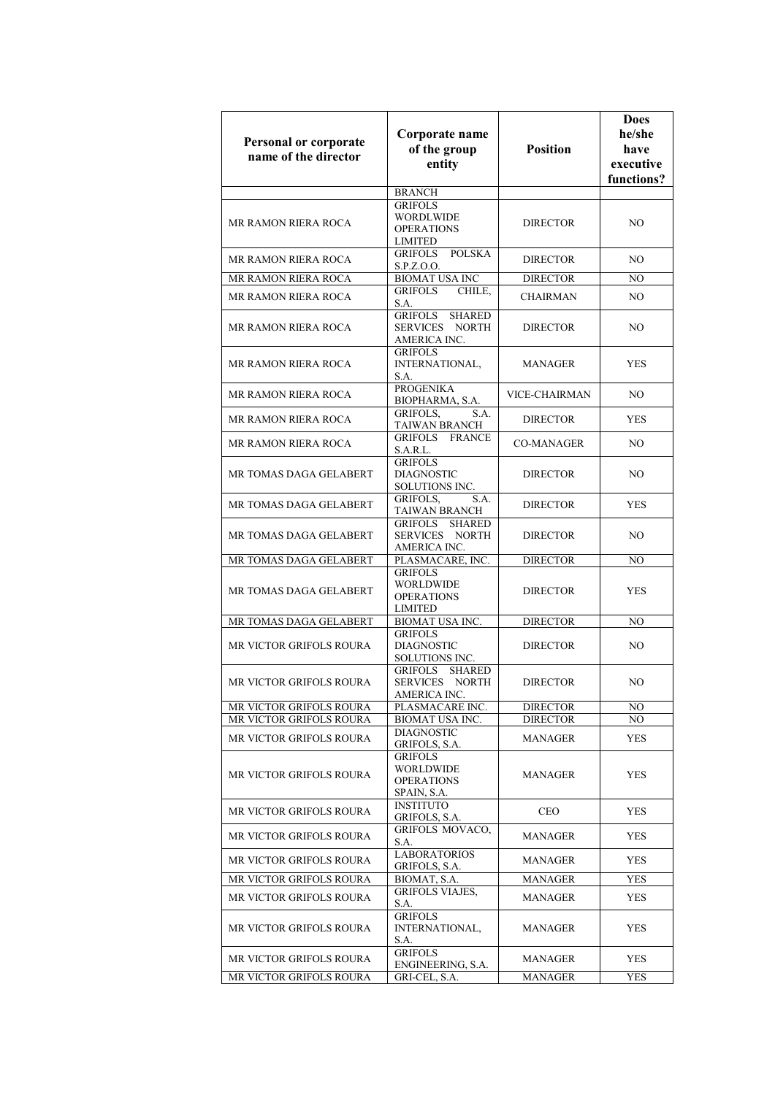| Personal or corporate<br>name of the director | Corporate name<br>of the group<br>entity                                           | <b>Position</b>   | <b>Does</b><br>he/she<br>have<br>executive<br>functions? |
|-----------------------------------------------|------------------------------------------------------------------------------------|-------------------|----------------------------------------------------------|
|                                               | <b>BRANCH</b>                                                                      |                   |                                                          |
| MR RAMON RIERA ROCA                           | <b>GRIFOLS</b><br><b>WORDLWIDE</b><br><b>OPERATIONS</b><br><b>LIMITED</b>          | <b>DIRECTOR</b>   | NO                                                       |
| <b>MR RAMON RIERA ROCA</b>                    | <b>POLSKA</b><br><b>GRIFOLS</b><br>S.P.Z.O.O.                                      | <b>DIRECTOR</b>   | NO.                                                      |
| MR RAMON RIERA ROCA                           | <b>BIOMAT USA INC</b>                                                              | <b>DIRECTOR</b>   | NO.                                                      |
| <b>MR RAMON RIERA ROCA</b>                    | <b>GRIFOLS</b><br>CHILE,<br>S.A.                                                   | <b>CHAIRMAN</b>   | NO.                                                      |
| <b>MR RAMON RIERA ROCA</b>                    | <b>GRIFOLS</b><br><b>SHARED</b><br><b>NORTH</b><br>SERVICES<br>AMERICA INC.        | <b>DIRECTOR</b>   | NO.                                                      |
| <b>MR RAMON RIERA ROCA</b>                    | <b>GRIFOLS</b><br>INTERNATIONAL,<br>S.A.                                           | <b>MANAGER</b>    | YES                                                      |
| <b>MR RAMON RIERA ROCA</b>                    | <b>PROGENIKA</b><br>BIOPHARMA, S.A.                                                | VICE-CHAIRMAN     | NO.                                                      |
| MR RAMON RIERA ROCA                           | <b>GRIFOLS,</b><br>S.A.<br><b>TAIWAN BRANCH</b>                                    | <b>DIRECTOR</b>   | YES                                                      |
| MR RAMON RIERA ROCA                           | <b>GRIFOLS</b><br><b>FRANCE</b><br>S.A.R.L.                                        | <b>CO-MANAGER</b> | NO.                                                      |
| MR TOMAS DAGA GELABERT                        | <b>GRIFOLS</b><br><b>DIAGNOSTIC</b><br>SOLUTIONS INC.                              | <b>DIRECTOR</b>   | NO.                                                      |
| MR TOMAS DAGA GELABERT                        | <b>GRIFOLS,</b><br>S.A.<br><b>TAIWAN BRANCH</b>                                    | <b>DIRECTOR</b>   | YES                                                      |
| MR TOMAS DAGA GELABERT                        | <b>GRIFOLS</b><br><b>SHARED</b><br>SERVICES<br><b>NORTH</b><br>AMERICA INC.        | <b>DIRECTOR</b>   | NO.                                                      |
| MR TOMAS DAGA GELABERT                        | PLASMACARE, INC.                                                                   | <b>DIRECTOR</b>   | NO.                                                      |
| MR TOMAS DAGA GELABERT                        | <b>GRIFOLS</b><br><b>WORLDWIDE</b><br><b>OPERATIONS</b><br><b>LIMITED</b>          | <b>DIRECTOR</b>   | YES                                                      |
| MR TOMAS DAGA GELABERT                        | <b>BIOMAT USA INC.</b>                                                             | <b>DIRECTOR</b>   | NO                                                       |
| <b>MR VICTOR GRIFOLS ROURA</b>                | <b>GRIFOLS</b><br><b>DIAGNOSTIC</b><br>SOLUTIONS INC.                              | <b>DIRECTOR</b>   | NO.                                                      |
| MR VICTOR GRIFOLS ROURA                       | <b>GRIFOLS</b><br><b>SHARED</b><br><b>SERVICES</b><br><b>NORTH</b><br>AMERICA INC. | <b>DIRECTOR</b>   | NO.                                                      |
| MR VICTOR GRIFOLS ROURA                       | PLASMACARE INC.                                                                    | <b>DIRECTOR</b>   | NO.                                                      |
| MR VICTOR GRIFOLS ROURA                       | <b>BIOMAT USA INC.</b>                                                             | <b>DIRECTOR</b>   | NO.                                                      |
| MR VICTOR GRIFOLS ROURA                       | <b>DIAGNOSTIC</b><br><b>GRIFOLS, S.A.</b>                                          | <b>MANAGER</b>    | YES                                                      |
| MR VICTOR GRIFOLS ROURA                       | <b>GRIFOLS</b><br>WORLDWIDE<br><b>OPERATIONS</b><br>SPAIN, S.A.                    | MANAGER           | YES                                                      |
| <b>MR VICTOR GRIFOLS ROURA</b>                | <b>INSTITUTO</b><br>GRIFOLS, S.A.                                                  | <b>CEO</b>        | YES                                                      |
| MR VICTOR GRIFOLS ROURA                       | <b>GRIFOLS MOVACO,</b><br>S.A.                                                     | MANAGER           | YES                                                      |
| MR VICTOR GRIFOLS ROURA                       | <b>LABORATORIOS</b><br>GRIFOLS, S.A.                                               | MANAGER           | YES                                                      |
| MR VICTOR GRIFOLS ROURA                       | BIOMAT, S.A.                                                                       | MANAGER           | <b>YES</b>                                               |
| MR VICTOR GRIFOLS ROURA                       | <b>GRIFOLS VIAJES,</b><br>S.A.                                                     | MANAGER           | YES                                                      |
| MR VICTOR GRIFOLS ROURA                       | <b>GRIFOLS</b><br>INTERNATIONAL,<br>S.A.                                           | MANAGER           | YES                                                      |
| MR VICTOR GRIFOLS ROURA                       | <b>GRIFOLS</b><br>ENGINEERING, S.A.                                                | MANAGER           | YES                                                      |
| MR VICTOR GRIFOLS ROURA                       | GRI-CEL, S.A.                                                                      | MANAGER           | YES                                                      |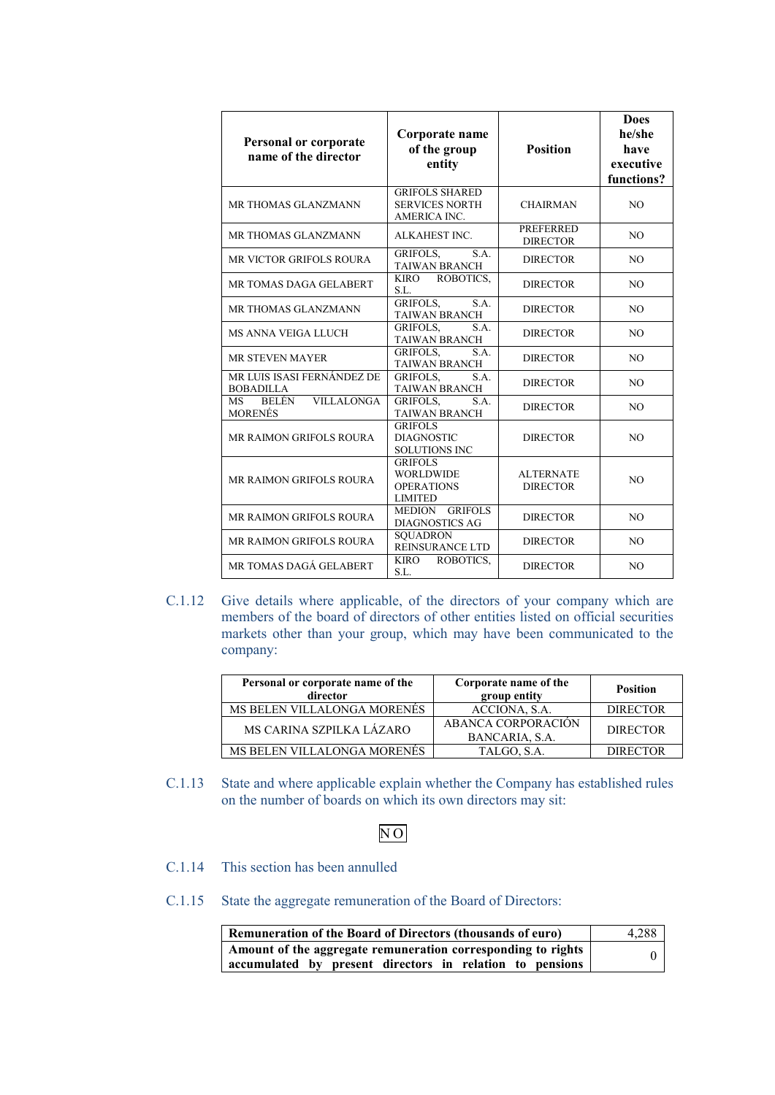| Personal or corporate<br>name of the director             | Corporate name<br>of the group<br>entity                                  | <b>Position</b>                     | <b>Does</b><br>he/she<br>have<br>executive<br>functions? |
|-----------------------------------------------------------|---------------------------------------------------------------------------|-------------------------------------|----------------------------------------------------------|
| MR THOMAS GLANZMANN                                       | <b>GRIFOLS SHARED</b><br><b>SERVICES NORTH</b><br><b>AMERICA INC.</b>     | <b>CHAIRMAN</b>                     | N <sub>O</sub>                                           |
| MR THOMAS GLANZMANN                                       | ALKAHEST INC.                                                             | <b>PREFERRED</b><br><b>DIRECTOR</b> | N <sub>O</sub>                                           |
| <b>MR VICTOR GRIFOLS ROURA</b>                            | <b>GRIFOLS.</b><br>S.A.<br><b>TAIWAN BRANCH</b>                           | <b>DIRECTOR</b>                     | N <sub>O</sub>                                           |
| MR TOMAS DAGA GELABERT                                    | ROBOTICS,<br><b>KIRO</b><br>S.L.                                          | <b>DIRECTOR</b>                     | N <sub>O</sub>                                           |
| MR THOMAS GLANZMANN                                       | S.A.<br><b>GRIFOLS,</b><br><b>TAIWAN BRANCH</b>                           | <b>DIRECTOR</b>                     | N <sub>O</sub>                                           |
| <b>MS ANNA VEIGA LLUCH</b>                                | <b>GRIFOLS.</b><br>S.A.<br><b>TAIWAN BRANCH</b>                           | <b>DIRECTOR</b>                     | NO.                                                      |
| <b>MR STEVEN MAYER</b>                                    | S.A.<br><b>GRIFOLS.</b><br><b>TAIWAN BRANCH</b>                           | <b>DIRECTOR</b>                     | NO.                                                      |
| MR LUIS ISASI FERNÁNDEZ DE<br><b>BOBADILLA</b>            | S.A.<br><b>GRIFOLS.</b><br><b>TAIWAN BRANCH</b>                           | <b>DIRECTOR</b>                     | N <sub>O</sub>                                           |
| <b>BELÉN</b><br><b>VILLALONGA</b><br>MS<br><b>MORENÉS</b> | <b>GRIFOLS.</b><br>S.A.<br><b>TAIWAN BRANCH</b>                           | <b>DIRECTOR</b>                     | N <sub>O</sub>                                           |
| MR RAIMON GRIFOLS ROURA                                   | <b>GRIFOLS</b><br><b>DIAGNOSTIC</b><br><b>SOLUTIONS INC</b>               | <b>DIRECTOR</b>                     | N <sub>O</sub>                                           |
| <b>MR RAIMON GRIFOLS ROURA</b>                            | <b>GRIFOLS</b><br><b>WORLDWIDE</b><br><b>OPERATIONS</b><br><b>LIMITED</b> | <b>ALTERNATE</b><br><b>DIRECTOR</b> | N <sub>O</sub>                                           |
| <b>MR RAIMON GRIFOLS ROURA</b>                            | MEDION GRIFOLS<br><b>DIAGNOSTICS AG</b>                                   | <b>DIRECTOR</b>                     | N <sub>O</sub>                                           |
| <b>MR RAIMON GRIFOLS ROURA</b>                            | <b>SQUADRON</b><br><b>REINSURANCE LTD</b>                                 | <b>DIRECTOR</b>                     | N <sub>O</sub>                                           |
| MR TOMAS DAGÁ GELABERT                                    | <b>KIRO</b><br>ROBOTICS.<br>S.L.                                          | <b>DIRECTOR</b>                     | N <sub>O</sub>                                           |

C.1.12 Give details where applicable, of the directors of your company which are members of the board of directors of other entities listed on official securities markets other than your group, which may have been communicated to the company:

| Personal or corporate name of the<br>director | Corporate name of the<br>group entity       | <b>Position</b> |
|-----------------------------------------------|---------------------------------------------|-----------------|
| MS BELEN VILLALONGA MORENES                   | ACCIONA, S.A.                               | <b>DIRECTOR</b> |
| MS CARINA SZPILKA LÁZARO                      | <b>ABANCA CORPORACIÓN</b><br>BANCARIA, S.A. | <b>DIRECTOR</b> |
| MS BELEN VILLALONGA MORENES                   | TALGO, S.A.                                 | <b>DIRECTOR</b> |

C.1.13 State and where applicable explain whether the Company has established rules on the number of boards on which its own directors may sit:

# N O

- C.1.14 This section has been annulled
- C.1.15 State the aggregate remuneration of the Board of Directors:

| <b>Remuneration of the Board of Directors (thousands of euro)</b> | 4,288 |
|-------------------------------------------------------------------|-------|
| Amount of the aggregate remuneration corresponding to rights      |       |
| accumulated by present directors in relation to pensions          |       |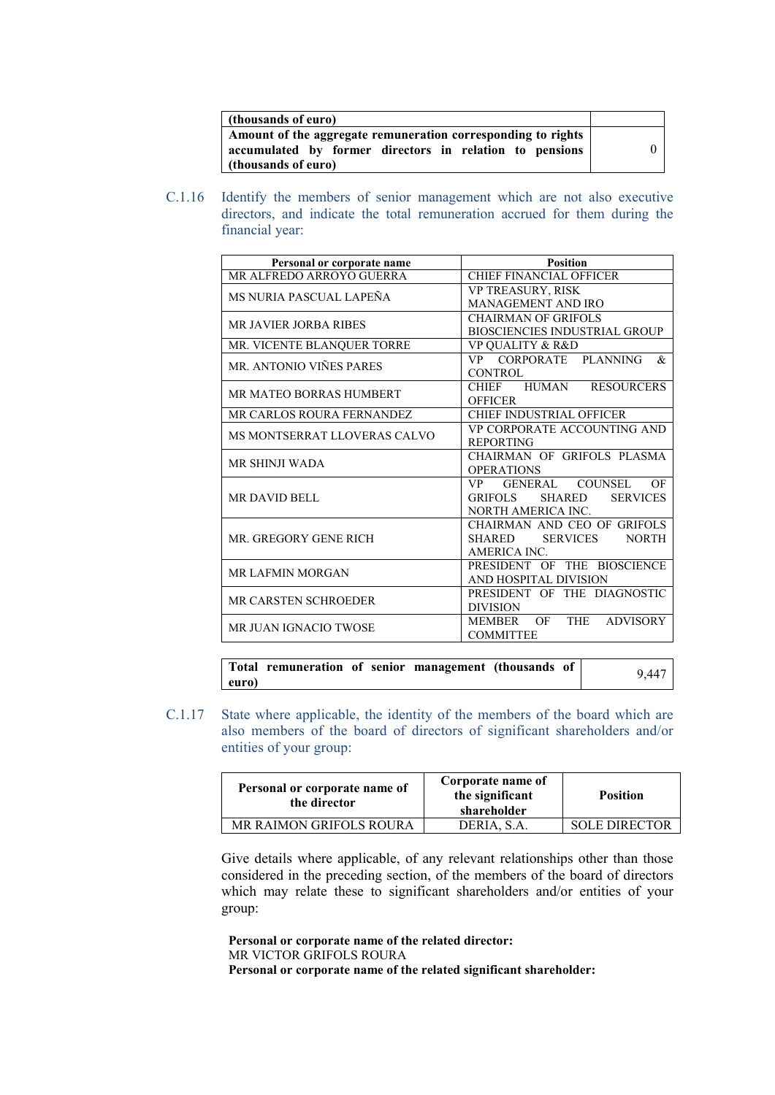| (thousands of euro)                                                                                                                            |  |
|------------------------------------------------------------------------------------------------------------------------------------------------|--|
| Amount of the aggregate remuneration corresponding to rights<br>accumulated by former directors in relation to pensions<br>(thousands of euro) |  |

C.1.16 Identify the members of senior management which are not also executive directors, and indicate the total remuneration accrued for them during the financial year:

| Personal or corporate name   | <b>Position</b>                                      |
|------------------------------|------------------------------------------------------|
| MR ALFREDO ARROYO GUERRA     | <b>CHIEF FINANCIAL OFFICER</b>                       |
| MS NURIA PASCUAL LAPEÑA      | VP TREASURY, RISK                                    |
|                              | <b>MANAGEMENT AND IRO</b>                            |
| <b>MR JAVIER JORBA RIBES</b> | <b>CHAIRMAN OF GRIFOLS</b>                           |
|                              | <b>BIOSCIENCIES INDUSTRIAL GROUP</b>                 |
| MR. VICENTE BLANQUER TORRE   | VP QUALITY & R&D                                     |
| MR. ANTONIO VIÑES PARES      | CORPORATE<br><b>PLANNING</b><br>&<br>VP —            |
|                              | <b>CONTROL</b>                                       |
| MR MATEO BORRAS HUMBERT      | CHIEF HUMAN<br><b>RESOURCERS</b>                     |
|                              | <b>OFFICER</b>                                       |
| MR CARLOS ROURA FERNANDEZ    | CHIEF INDUSTRIAL OFFICER                             |
| MS MONTSERRAT LLOVERAS CALVO | VP CORPORATE ACCOUNTING AND                          |
|                              | <b>REPORTING</b>                                     |
| <b>MR SHINJI WADA</b>        | CHAIRMAN OF GRIFOLS PLASMA                           |
|                              | <b>OPERATIONS</b>                                    |
|                              | GENERAL COUNSEL<br>OF<br>VP.                         |
| <b>MR DAVID BELL</b>         | <b>GRIFOLS</b><br><b>SHARED</b><br><b>SERVICES</b>   |
|                              | NORTH AMERICA INC.                                   |
|                              | CHAIRMAN AND CEO OF GRIFOLS                          |
| MR. GREGORY GENE RICH        | <b>SHARED</b><br><b>SERVICES</b><br><b>NORTH</b>     |
|                              | AMERICA INC.                                         |
| <b>MR LAFMIN MORGAN</b>      | PRESIDENT OF THE BIOSCIENCE                          |
|                              | AND HOSPITAL DIVISION                                |
| MR CARSTEN SCHROEDER         | PRESIDENT OF THE DIAGNOSTIC                          |
|                              | <b>DIVISION</b>                                      |
| MR JUAN IGNACIO TWOSE        | <b>THE</b><br><b>MEMBER</b><br>OF<br><b>ADVISORY</b> |
|                              | <b>COMMITTEE</b>                                     |

|       | Total remuneration of senior management (thousands of |  |  | 9.447 |
|-------|-------------------------------------------------------|--|--|-------|
| euro) |                                                       |  |  |       |

C.1.17 State where applicable, the identity of the members of the board which are also members of the board of directors of significant shareholders and/or entities of your group:

| Personal or corporate name of<br>the director | Corporate name of<br>the significant<br>shareholder | <b>Position</b>      |
|-----------------------------------------------|-----------------------------------------------------|----------------------|
| MR RAIMON GRIFOLS ROURA                       | DERIA, S.A.                                         | <b>SOLE DIRECTOR</b> |

Give details where applicable, of any relevant relationships other than those considered in the preceding section, of the members of the board of directors which may relate these to significant shareholders and/or entities of your group:

**Personal or corporate name of the related director:** MR VICTOR GRIFOLS ROURA **Personal or corporate name of the related significant shareholder:**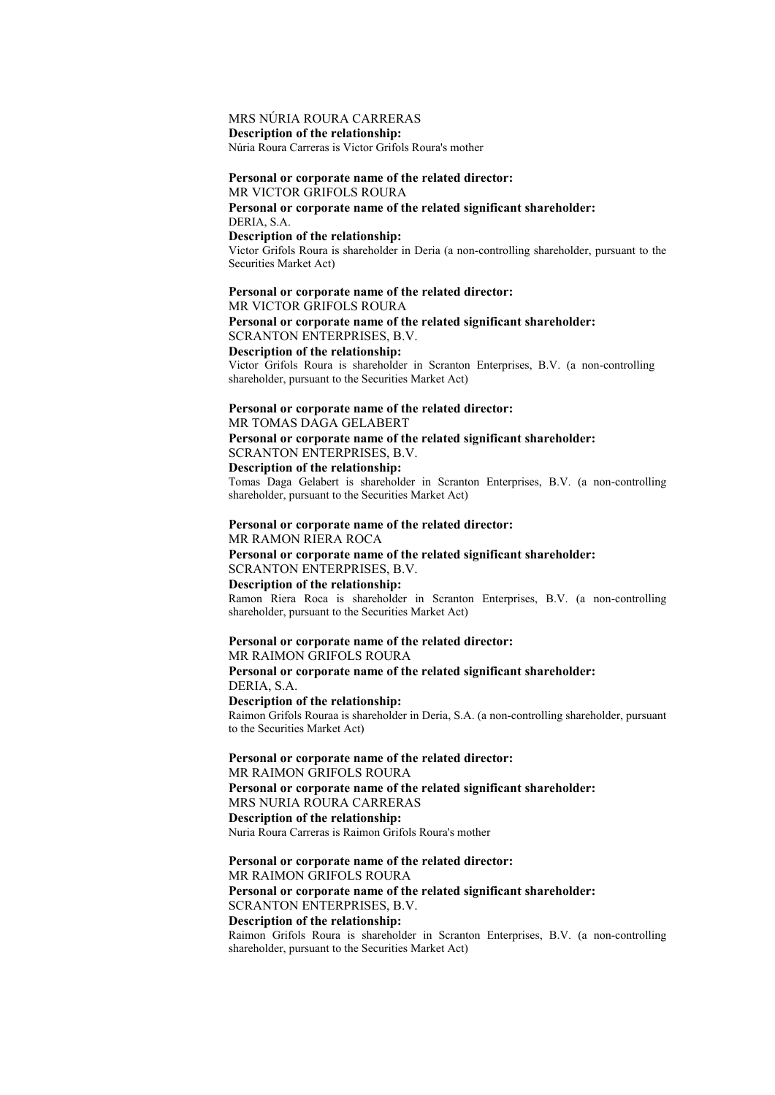# MRS NÚRIA ROURA CARRERAS

**Description of the relationship:**

Núria Roura Carreras is Victor Grifols Roura's mother

### **Personal or corporate name of the related director:**

MR VICTOR GRIFOLS ROURA **Personal or corporate name of the related significant shareholder:** DERIA, S.A.

#### **Description of the relationship:**

Victor Grifols Roura is shareholder in Deria (a non-controlling shareholder, pursuant to the Securities Market Act)

#### **Personal or corporate name of the related director:**

MR VICTOR GRIFOLS ROURA

### **Personal or corporate name of the related significant shareholder:** SCRANTON ENTERPRISES, B.V.

**Description of the relationship:**

Victor Grifols Roura is shareholder in Scranton Enterprises, B.V. (a non-controlling shareholder, pursuant to the Securities Market Act)

# **Personal or corporate name of the related director:**

MR TOMAS DAGA GELABERT

**Personal or corporate name of the related significant shareholder:** SCRANTON ENTERPRISES, B.V. **Description of the relationship:**

Tomas Daga Gelabert is shareholder in Scranton Enterprises, B.V. (a non-controlling shareholder, pursuant to the Securities Market Act)

# **Personal or corporate name of the related director:**

MR RAMON RIERA ROCA **Personal or corporate name of the related significant shareholder:** SCRANTON ENTERPRISES, B.V. **Description of the relationship:**

Ramon Riera Roca is shareholder in Scranton Enterprises, B.V. (a non-controlling shareholder, pursuant to the Securities Market Act)

### **Personal or corporate name of the related director:** MR RAIMON GRIFOLS ROURA

**Personal or corporate name of the related significant shareholder:** DERIA, S.A.

### **Description of the relationship:**

Raimon Grifols Rouraa is shareholder in Deria, S.A. (a non-controlling shareholder, pursuant to the Securities Market Act)

**Personal or corporate name of the related director:** MR RAIMON GRIFOLS ROURA **Personal or corporate name of the related significant shareholder:** MRS NURIA ROURA CARRERAS **Description of the relationship:** Nuria Roura Carreras is Raimon Grifols Roura's mother

### **Personal or corporate name of the related director:** MR RAIMON GRIFOLS ROURA **Personal or corporate name of the related significant shareholder:** SCRANTON ENTERPRISES, B.V.

### **Description of the relationship:**

Raimon Grifols Roura is shareholder in Scranton Enterprises, B.V. (a non-controlling shareholder, pursuant to the Securities Market Act)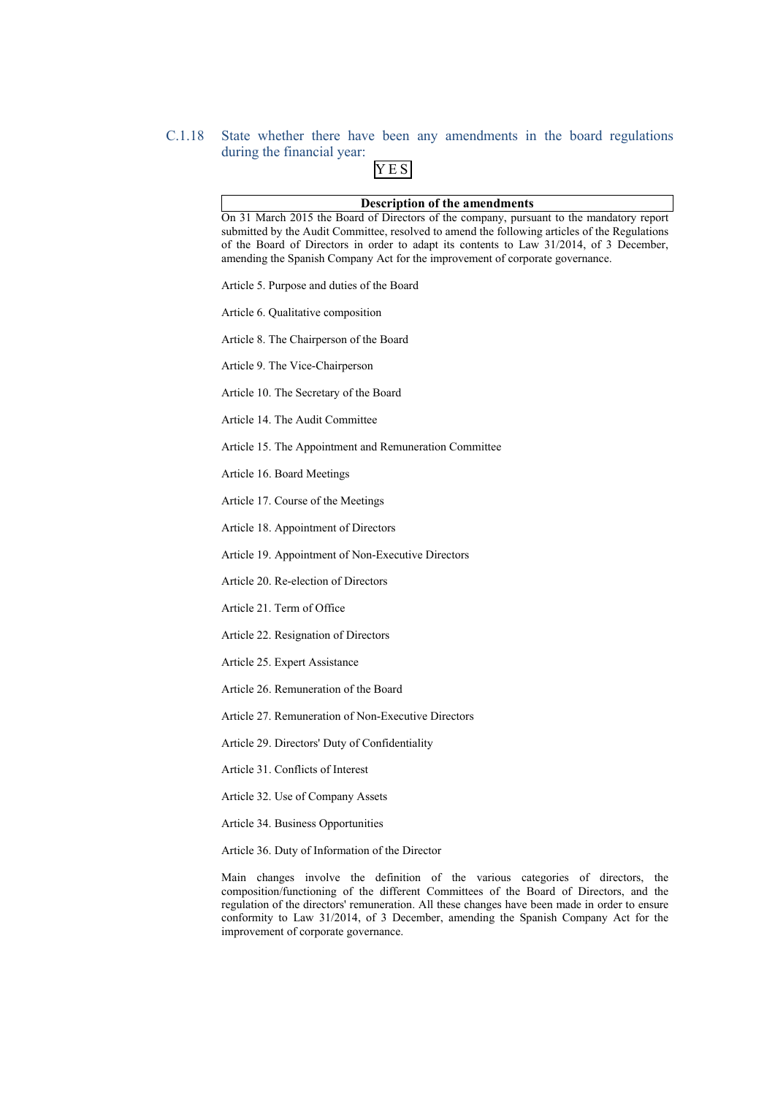# C.1.18 State whether there have been any amendments in the board regulations during the financial year: YES

| <b>Description of the amendments</b>                                                                                                                                                                                                                                                                                                                                  |
|-----------------------------------------------------------------------------------------------------------------------------------------------------------------------------------------------------------------------------------------------------------------------------------------------------------------------------------------------------------------------|
| On 31 March 2015 the Board of Directors of the company, pursuant to the mandatory report<br>submitted by the Audit Committee, resolved to amend the following articles of the Regulations<br>of the Board of Directors in order to adapt its contents to Law 31/2014, of 3 December,<br>amending the Spanish Company Act for the improvement of corporate governance. |
| Article 5. Purpose and duties of the Board                                                                                                                                                                                                                                                                                                                            |
| Article 6. Qualitative composition                                                                                                                                                                                                                                                                                                                                    |
| Article 8. The Chairperson of the Board                                                                                                                                                                                                                                                                                                                               |
| Article 9. The Vice-Chairperson                                                                                                                                                                                                                                                                                                                                       |
| Article 10. The Secretary of the Board                                                                                                                                                                                                                                                                                                                                |
| Article 14. The Audit Committee                                                                                                                                                                                                                                                                                                                                       |
| Article 15. The Appointment and Remuneration Committee                                                                                                                                                                                                                                                                                                                |
| Article 16. Board Meetings                                                                                                                                                                                                                                                                                                                                            |
| Article 17. Course of the Meetings                                                                                                                                                                                                                                                                                                                                    |
| Article 18. Appointment of Directors                                                                                                                                                                                                                                                                                                                                  |
| Article 19. Appointment of Non-Executive Directors                                                                                                                                                                                                                                                                                                                    |
| Article 20. Re-election of Directors                                                                                                                                                                                                                                                                                                                                  |
| Article 21. Term of Office                                                                                                                                                                                                                                                                                                                                            |
| Article 22. Resignation of Directors                                                                                                                                                                                                                                                                                                                                  |
| Article 25. Expert Assistance                                                                                                                                                                                                                                                                                                                                         |
| Article 26. Remuneration of the Board                                                                                                                                                                                                                                                                                                                                 |
| Article 27. Remuneration of Non-Executive Directors                                                                                                                                                                                                                                                                                                                   |
| Article 29. Directors' Duty of Confidentiality                                                                                                                                                                                                                                                                                                                        |
| Article 31. Conflicts of Interest                                                                                                                                                                                                                                                                                                                                     |
| Article 32. Use of Company Assets                                                                                                                                                                                                                                                                                                                                     |
| Article 34. Business Opportunities                                                                                                                                                                                                                                                                                                                                    |

Article 36. Duty of Information of the Director

Main changes involve the definition of the various categories of directors, the composition/functioning of the different Committees of the Board of Directors, and the regulation of the directors' remuneration. All these changes have been made in order to ensure conformity to Law 31/2014, of 3 December, amending the Spanish Company Act for the improvement of corporate governance.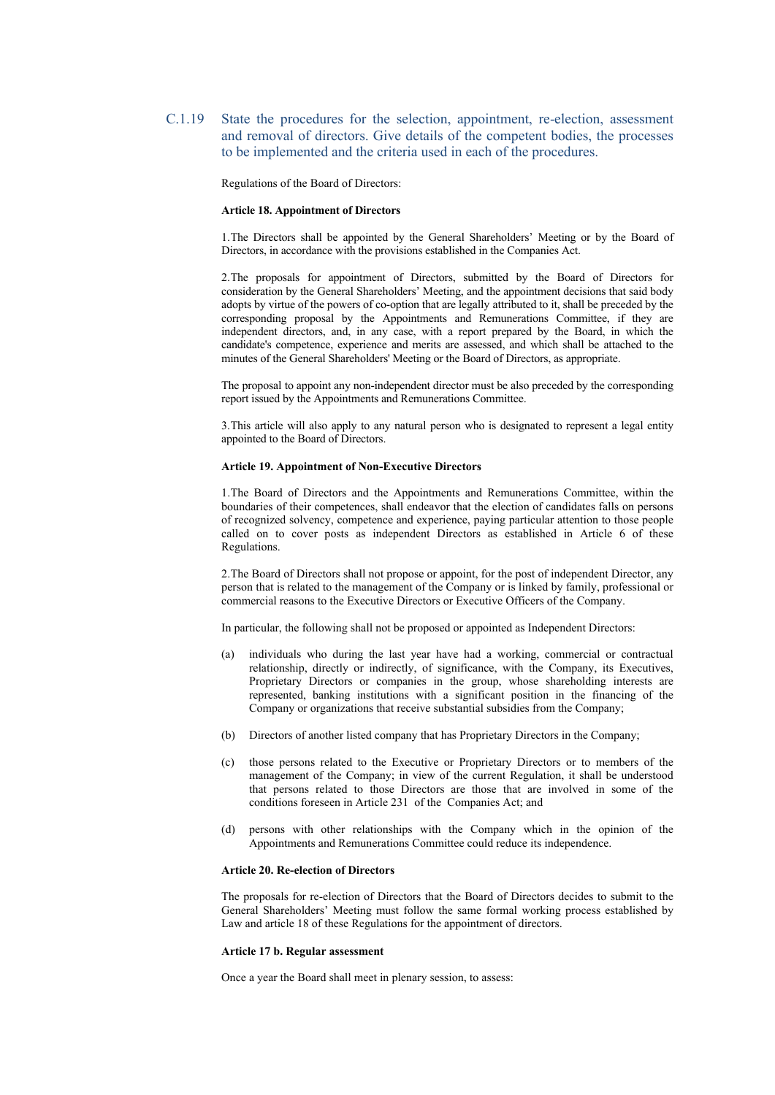C.1.19 State the procedures for the selection, appointment, re-election, assessment and removal of directors. Give details of the competent bodies, the processes to be implemented and the criteria used in each of the procedures.

Regulations of the Board of Directors:

#### **Article 18. Appointment of Directors**

1.The Directors shall be appointed by the General Shareholders' Meeting or by the Board of Directors, in accordance with the provisions established in the Companies Act.

2.The proposals for appointment of Directors, submitted by the Board of Directors for consideration by the General Shareholders' Meeting, and the appointment decisions that said body adopts by virtue of the powers of co-option that are legally attributed to it, shall be preceded by the corresponding proposal by the Appointments and Remunerations Committee, if they are independent directors, and, in any case, with a report prepared by the Board, in which the candidate's competence, experience and merits are assessed, and which shall be attached to the minutes of the General Shareholders' Meeting or the Board of Directors, as appropriate.

The proposal to appoint any non-independent director must be also preceded by the corresponding report issued by the Appointments and Remunerations Committee.

3.This article will also apply to any natural person who is designated to represent a legal entity appointed to the Board of Directors.

#### **Article 19. Appointment of Non-Executive Directors**

1.The Board of Directors and the Appointments and Remunerations Committee, within the boundaries of their competences, shall endeavor that the election of candidates falls on persons of recognized solvency, competence and experience, paying particular attention to those people called on to cover posts as independent Directors as established in Article 6 of these Regulations.

2.The Board of Directors shall not propose or appoint, for the post of independent Director, any person that is related to the management of the Company or is linked by family, professional or commercial reasons to the Executive Directors or Executive Officers of the Company.

In particular, the following shall not be proposed or appointed as Independent Directors:

- (a) individuals who during the last year have had a working, commercial or contractual relationship, directly or indirectly, of significance, with the Company, its Executives, Proprietary Directors or companies in the group, whose shareholding interests are represented, banking institutions with a significant position in the financing of the Company or organizations that receive substantial subsidies from the Company;
- (b) Directors of another listed company that has Proprietary Directors in the Company;
- (c) those persons related to the Executive or Proprietary Directors or to members of the management of the Company; in view of the current Regulation, it shall be understood that persons related to those Directors are those that are involved in some of the conditions foreseen in Article 231 of the Companies Act; and
- (d) persons with other relationships with the Company which in the opinion of the Appointments and Remunerations Committee could reduce its independence.

#### **Article 20. Re-election of Directors**

The proposals for re-election of Directors that the Board of Directors decides to submit to the General Shareholders' Meeting must follow the same formal working process established by Law and article 18 of these Regulations for the appointment of directors.

#### **Article 17 b. Regular assessment**

Once a year the Board shall meet in plenary session, to assess: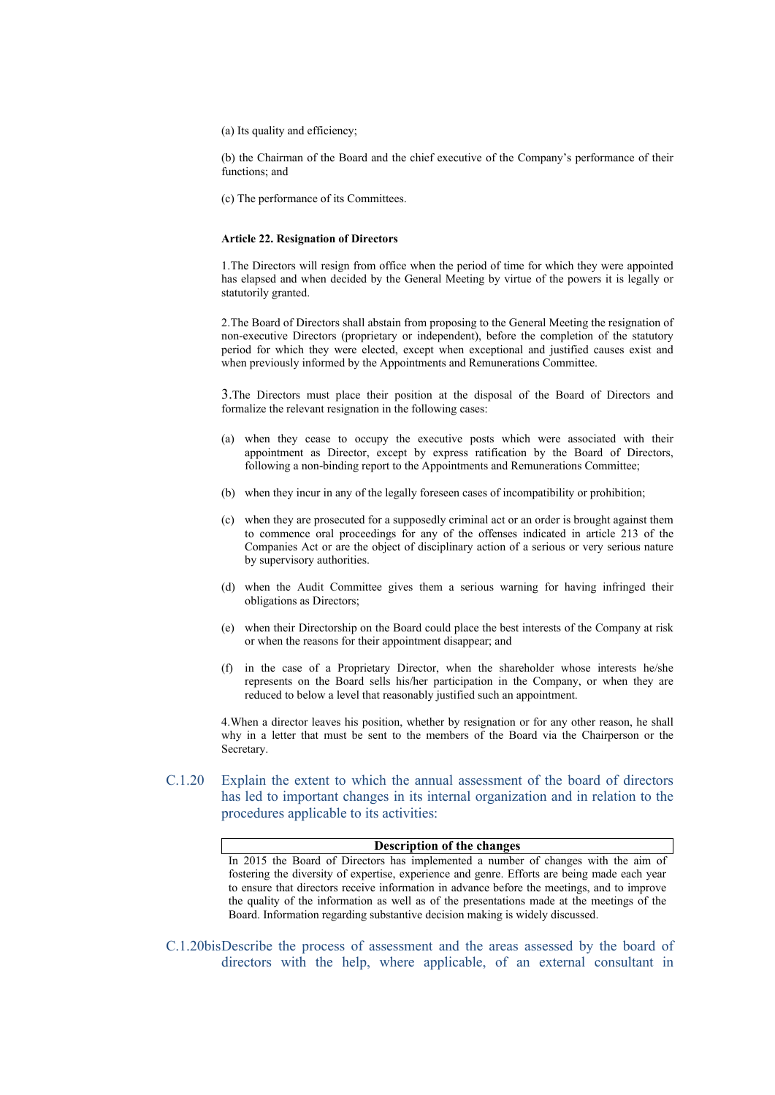(a) Its quality and efficiency;

(b) the Chairman of the Board and the chief executive of the Company's performance of their functions; and

(c) The performance of its Committees.

#### **Article 22. Resignation of Directors**

1.The Directors will resign from office when the period of time for which they were appointed has elapsed and when decided by the General Meeting by virtue of the powers it is legally or statutorily granted.

2.The Board of Directors shall abstain from proposing to the General Meeting the resignation of non-executive Directors (proprietary or independent), before the completion of the statutory period for which they were elected, except when exceptional and justified causes exist and when previously informed by the Appointments and Remunerations Committee.

3.The Directors must place their position at the disposal of the Board of Directors and formalize the relevant resignation in the following cases:

- (a) when they cease to occupy the executive posts which were associated with their appointment as Director, except by express ratification by the Board of Directors, following a non-binding report to the Appointments and Remunerations Committee;
- (b) when they incur in any of the legally foreseen cases of incompatibility or prohibition;
- (c) when they are prosecuted for a supposedly criminal act or an order is brought against them to commence oral proceedings for any of the offenses indicated in article 213 of the Companies Act or are the object of disciplinary action of a serious or very serious nature by supervisory authorities.
- (d) when the Audit Committee gives them a serious warning for having infringed their obligations as Directors;
- (e) when their Directorship on the Board could place the best interests of the Company at risk or when the reasons for their appointment disappear; and
- (f) in the case of a Proprietary Director, when the shareholder whose interests he/she represents on the Board sells his/her participation in the Company, or when they are reduced to below a level that reasonably justified such an appointment.

4.When a director leaves his position, whether by resignation or for any other reason, he shall why in a letter that must be sent to the members of the Board via the Chairperson or the Secretary.

C.1.20 Explain the extent to which the annual assessment of the board of directors has led to important changes in its internal organization and in relation to the procedures applicable to its activities:

#### **Description of the changes**

In 2015 the Board of Directors has implemented a number of changes with the aim of fostering the diversity of expertise, experience and genre. Efforts are being made each year to ensure that directors receive information in advance before the meetings, and to improve the quality of the information as well as of the presentations made at the meetings of the Board. Information regarding substantive decision making is widely discussed.

C.1.20bisDescribe the process of assessment and the areas assessed by the board of directors with the help, where applicable, of an external consultant in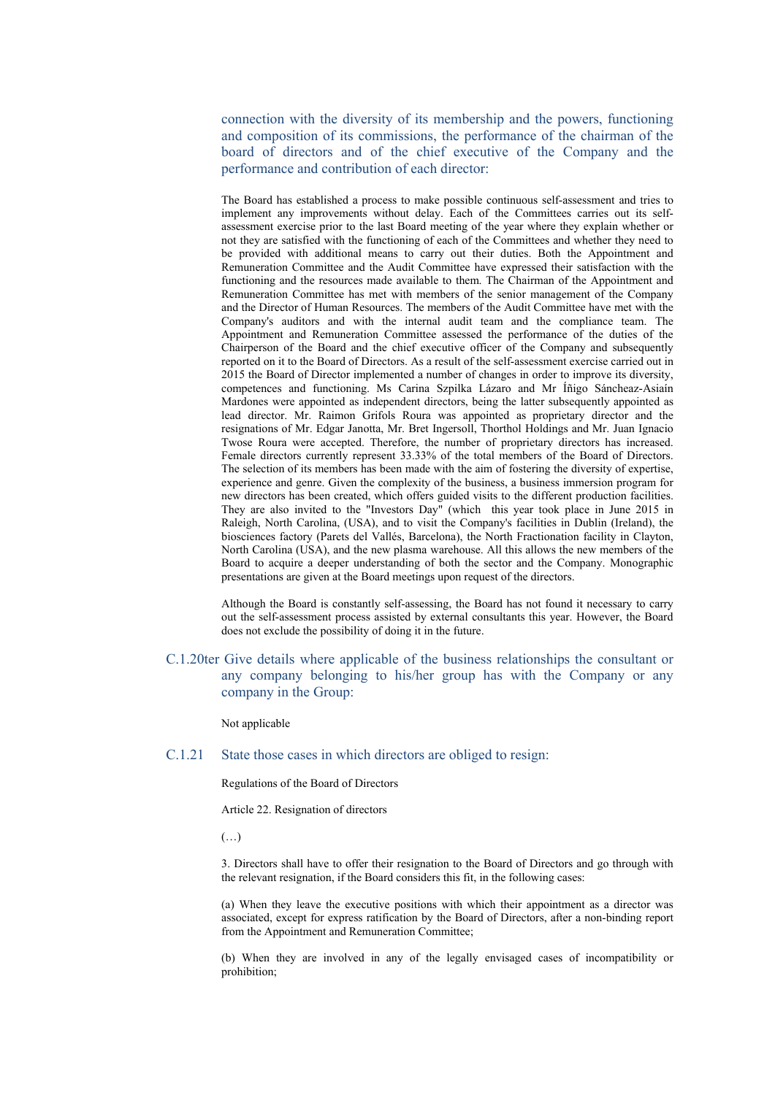connection with the diversity of its membership and the powers, functioning and composition of its commissions, the performance of the chairman of the board of directors and of the chief executive of the Company and the performance and contribution of each director:

The Board has established a process to make possible continuous self-assessment and tries to implement any improvements without delay. Each of the Committees carries out its selfassessment exercise prior to the last Board meeting of the year where they explain whether or not they are satisfied with the functioning of each of the Committees and whether they need to be provided with additional means to carry out their duties. Both the Appointment and Remuneration Committee and the Audit Committee have expressed their satisfaction with the functioning and the resources made available to them. The Chairman of the Appointment and Remuneration Committee has met with members of the senior management of the Company and the Director of Human Resources. The members of the Audit Committee have met with the Company's auditors and with the internal audit team and the compliance team. The Appointment and Remuneration Committee assessed the performance of the duties of the Chairperson of the Board and the chief executive officer of the Company and subsequently reported on it to the Board of Directors. As a result of the self-assessment exercise carried out in 2015 the Board of Director implemented a number of changes in order to improve its diversity, competences and functioning. Ms Carina Szpilka Lázaro and Mr Íñigo Sáncheaz-Asiaín Mardones were appointed as independent directors, being the latter subsequently appointed as lead director. Mr. Raimon Grifols Roura was appointed as proprietary director and the resignations of Mr. Edgar Janotta, Mr. Bret Ingersoll, Thorthol Holdings and Mr. Juan Ignacio Twose Roura were accepted. Therefore, the number of proprietary directors has increased. Female directors currently represent 33.33% of the total members of the Board of Directors. The selection of its members has been made with the aim of fostering the diversity of expertise, experience and genre. Given the complexity of the business, a business immersion program for new directors has been created, which offers guided visits to the different production facilities. They are also invited to the "Investors Day" (which this year took place in June 2015 in Raleigh, North Carolina, (USA), and to visit the Company's facilities in Dublin (Ireland), the biosciences factory (Parets del Vallés, Barcelona), the North Fractionation facility in Clayton, North Carolina (USA), and the new plasma warehouse. All this allows the new members of the Board to acquire a deeper understanding of both the sector and the Company. Monographic presentations are given at the Board meetings upon request of the directors.

Although the Board is constantly self-assessing, the Board has not found it necessary to carry out the self-assessment process assisted by external consultants this year. However, the Board does not exclude the possibility of doing it in the future.

C.1.20ter Give details where applicable of the business relationships the consultant or any company belonging to his/her group has with the Company or any company in the Group:

Not applicable

C.1.21 State those cases in which directors are obliged to resign:

Regulations of the Board of Directors

Article 22. Resignation of directors

(…)

3. Directors shall have to offer their resignation to the Board of Directors and go through with the relevant resignation, if the Board considers this fit, in the following cases:

(a) When they leave the executive positions with which their appointment as a director was associated, except for express ratification by the Board of Directors, after a non-binding report from the Appointment and Remuneration Committee;

(b) When they are involved in any of the legally envisaged cases of incompatibility or prohibition;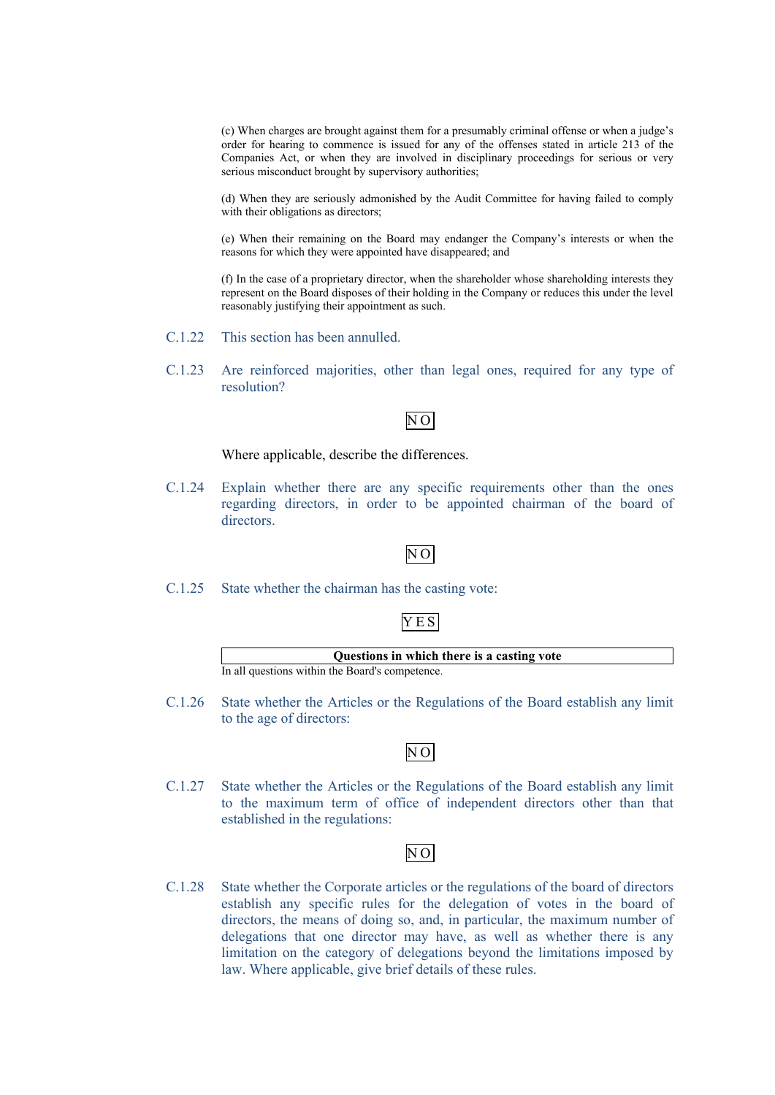(c) When charges are brought against them for a presumably criminal offense or when a judge's order for hearing to commence is issued for any of the offenses stated in article 213 of the Companies Act, or when they are involved in disciplinary proceedings for serious or very serious misconduct brought by supervisory authorities;

(d) When they are seriously admonished by the Audit Committee for having failed to comply with their obligations as directors;

(e) When their remaining on the Board may endanger the Company's interests or when the reasons for which they were appointed have disappeared; and

(f) In the case of a proprietary director, when the shareholder whose shareholding interests they represent on the Board disposes of their holding in the Company or reduces this under the level reasonably justifying their appointment as such.

- C.1.22 This section has been annulled.
- C.1.23 Are reinforced majorities, other than legal ones, required for any type of resolution?

# N O

Where applicable, describe the differences.

C.1.24 Explain whether there are any specific requirements other than the ones regarding directors, in order to be appointed chairman of the board of directors.

### N O

C.1.25 State whether the chairman has the casting vote:

### YES



C.1.26 State whether the Articles or the Regulations of the Board establish any limit to the age of directors:

# $\overline{NO}$

C.1.27 State whether the Articles or the Regulations of the Board establish any limit to the maximum term of office of independent directors other than that established in the regulations:

# N O

C.1.28 State whether the Corporate articles or the regulations of the board of directors establish any specific rules for the delegation of votes in the board of directors, the means of doing so, and, in particular, the maximum number of delegations that one director may have, as well as whether there is any limitation on the category of delegations beyond the limitations imposed by law. Where applicable, give brief details of these rules.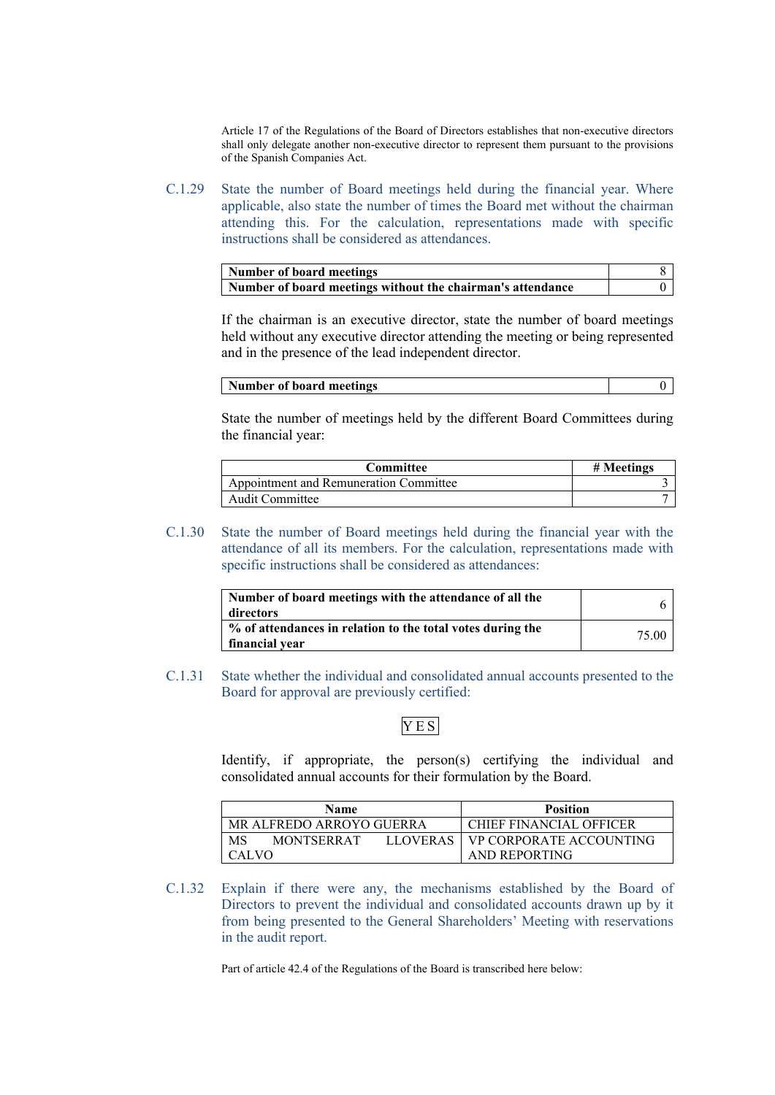Article 17 of the Regulations of the Board of Directors establishes that non-executive directors shall only delegate another non-executive director to represent them pursuant to the provisions of the Spanish Companies Act.

C.1.29 State the number of Board meetings held during the financial year. Where applicable, also state the number of times the Board met without the chairman attending this. For the calculation, representations made with specific instructions shall be considered as attendances.

| Number of board meetings                                   |  |
|------------------------------------------------------------|--|
| Number of board meetings without the chairman's attendance |  |

If the chairman is an executive director, state the number of board meetings held without any executive director attending the meeting or being represented and in the presence of the lead independent director.

| Number of board meetings |  |
|--------------------------|--|
|                          |  |

State the number of meetings held by the different Board Committees during the financial year:

| Committee                              | # Meetings |
|----------------------------------------|------------|
| Appointment and Remuneration Committee |            |
| <b>Audit Committee</b>                 |            |

C.1.30 State the number of Board meetings held during the financial year with the attendance of all its members. For the calculation, representations made with specific instructions shall be considered as attendances:

| Number of board meetings with the attendance of all the<br>directors         |       |
|------------------------------------------------------------------------------|-------|
| % of attendances in relation to the total votes during the<br>financial year | 75.00 |

C.1.31 State whether the individual and consolidated annual accounts presented to the Board for approval are previously certified:

# YES

Identify, if appropriate, the person(s) certifying the individual and consolidated annual accounts for their formulation by the Board.

| Name                                | <b>Position</b>                |  |
|-------------------------------------|--------------------------------|--|
| MR ALFREDO ARROYO GUERRA            | <b>CHIEF FINANCIAL OFFICER</b> |  |
| MS<br>LLOVERAS<br><b>MONTSERRAT</b> | <b>VP CORPORATE ACCOUNTING</b> |  |
| <b>CALVO</b>                        | AND REPORTING                  |  |

C.1.32 Explain if there were any, the mechanisms established by the Board of Directors to prevent the individual and consolidated accounts drawn up by it from being presented to the General Shareholders' Meeting with reservations in the audit report.

Part of article 42.4 of the Regulations of the Board is transcribed here below: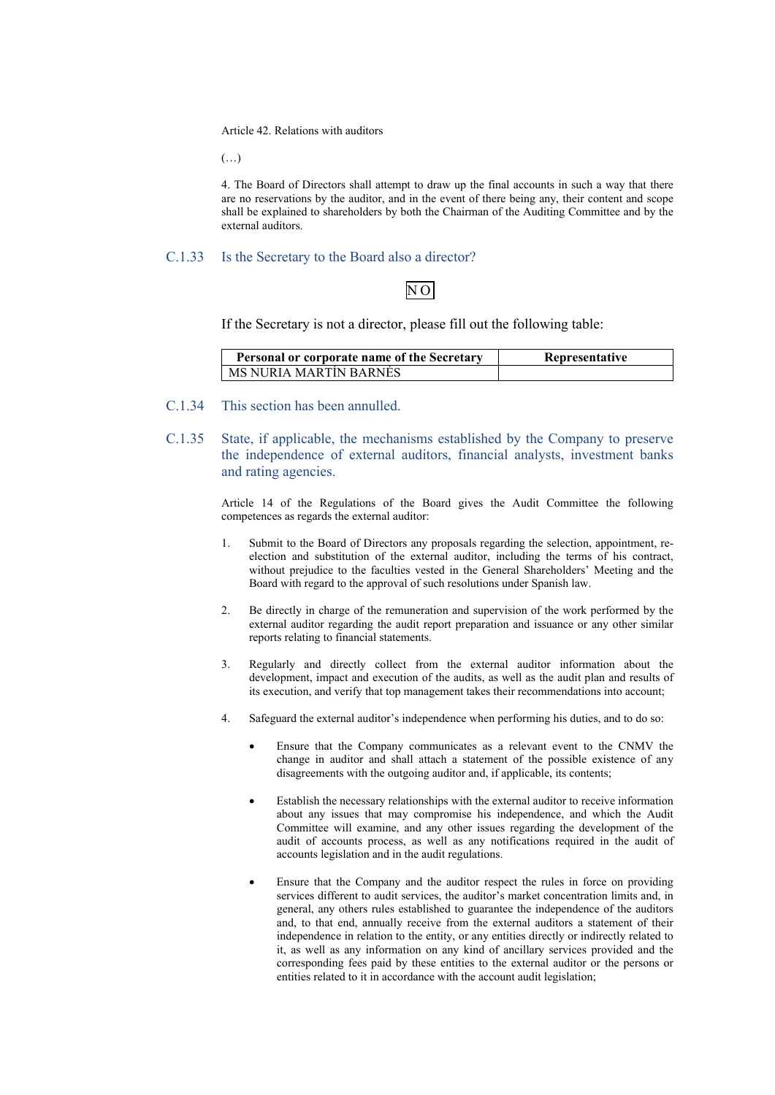Article 42. Relations with auditors

(…)

4. The Board of Directors shall attempt to draw up the final accounts in such a way that there are no reservations by the auditor, and in the event of there being any, their content and scope shall be explained to shareholders by both the Chairman of the Auditing Committee and by the external auditors.

### C.1.33 Is the Secretary to the Board also a director?

# N O

If the Secretary is not a director, please fill out the following table:

| Personal or corporate name of the Secretary | Representative |
|---------------------------------------------|----------------|
| MS NURIA MARTIN BARNES                      |                |

- C.1.34 This section has been annulled.
- C.1.35 State, if applicable, the mechanisms established by the Company to preserve the independence of external auditors, financial analysts, investment banks and rating agencies.

Article 14 of the Regulations of the Board gives the Audit Committee the following competences as regards the external auditor:

- 1. Submit to the Board of Directors any proposals regarding the selection, appointment, reelection and substitution of the external auditor, including the terms of his contract, without prejudice to the faculties vested in the General Shareholders' Meeting and the Board with regard to the approval of such resolutions under Spanish law.
- 2. Be directly in charge of the remuneration and supervision of the work performed by the external auditor regarding the audit report preparation and issuance or any other similar reports relating to financial statements.
- 3. Regularly and directly collect from the external auditor information about the development, impact and execution of the audits, as well as the audit plan and results of its execution, and verify that top management takes their recommendations into account;
- 4. Safeguard the external auditor's independence when performing his duties, and to do so:
	- Ensure that the Company communicates as a relevant event to the CNMV the change in auditor and shall attach a statement of the possible existence of any disagreements with the outgoing auditor and, if applicable, its contents;
	- Establish the necessary relationships with the external auditor to receive information about any issues that may compromise his independence, and which the Audit Committee will examine, and any other issues regarding the development of the audit of accounts process, as well as any notifications required in the audit of accounts legislation and in the audit regulations.
	- Ensure that the Company and the auditor respect the rules in force on providing services different to audit services, the auditor's market concentration limits and, in general, any others rules established to guarantee the independence of the auditors and, to that end, annually receive from the external auditors a statement of their independence in relation to the entity, or any entities directly or indirectly related to it, as well as any information on any kind of ancillary services provided and the corresponding fees paid by these entities to the external auditor or the persons or entities related to it in accordance with the account audit legislation;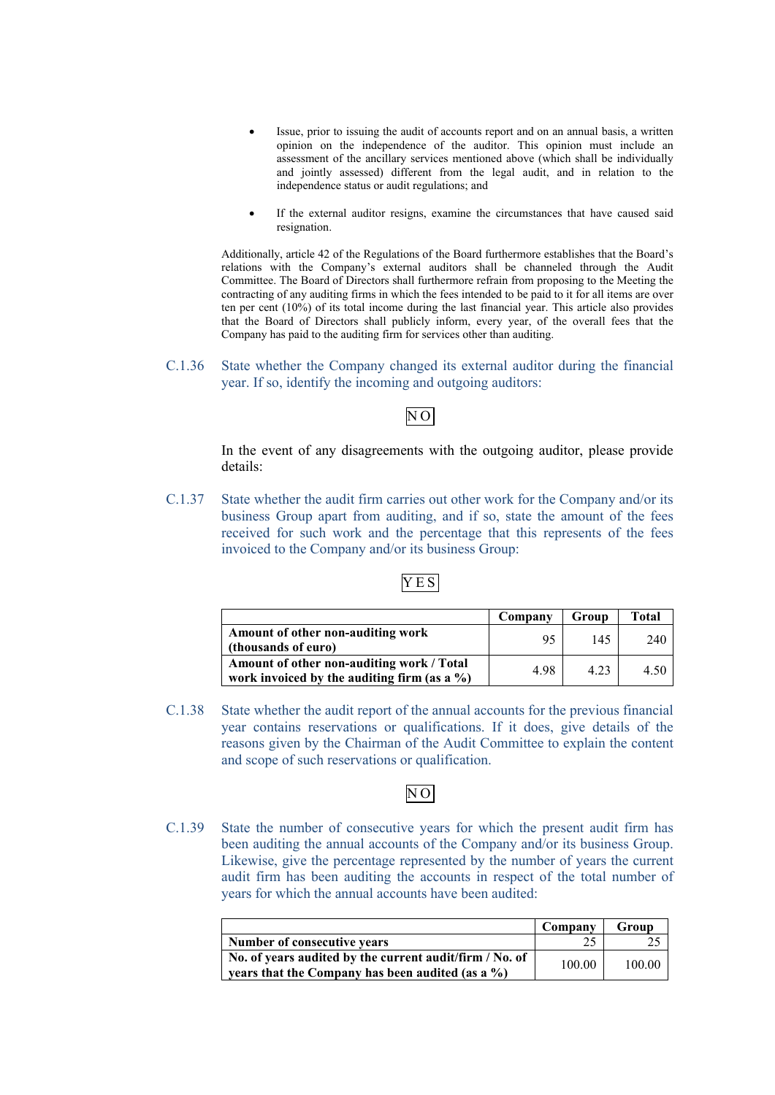- Issue, prior to issuing the audit of accounts report and on an annual basis, a written opinion on the independence of the auditor. This opinion must include an assessment of the ancillary services mentioned above (which shall be individually and jointly assessed) different from the legal audit, and in relation to the independence status or audit regulations; and
- If the external auditor resigns, examine the circumstances that have caused said resignation.

Additionally, article 42 of the Regulations of the Board furthermore establishes that the Board's relations with the Company's external auditors shall be channeled through the Audit Committee. The Board of Directors shall furthermore refrain from proposing to the Meeting the contracting of any auditing firms in which the fees intended to be paid to it for all items are over ten per cent (10%) of its total income during the last financial year. This article also provides that the Board of Directors shall publicly inform, every year, of the overall fees that the Company has paid to the auditing firm for services other than auditing.

C.1.36 State whether the Company changed its external auditor during the financial year. If so, identify the incoming and outgoing auditors:

# N O

In the event of any disagreements with the outgoing auditor, please provide details:

C.1.37 State whether the audit firm carries out other work for the Company and/or its business Group apart from auditing, and if so, state the amount of the fees received for such work and the percentage that this represents of the fees invoiced to the Company and/or its business Group:

# YES

|                                                                                              | Company | Group | Total |
|----------------------------------------------------------------------------------------------|---------|-------|-------|
| Amount of other non-auditing work<br>(thousands of euro)                                     | 95      | 145   | 240   |
| Amount of other non-auditing work / Total<br>work invoiced by the auditing firm (as a $\%$ ) | 4.98    | 4 2 3 | 4.50  |

C.1.38 State whether the audit report of the annual accounts for the previous financial year contains reservations or qualifications. If it does, give details of the reasons given by the Chairman of the Audit Committee to explain the content and scope of such reservations or qualification.

# N O

C.1.39 State the number of consecutive years for which the present audit firm has been auditing the annual accounts of the Company and/or its business Group. Likewise, give the percentage represented by the number of years the current audit firm has been auditing the accounts in respect of the total number of years for which the annual accounts have been audited:

|                                                                                                                 | Company | Group  |
|-----------------------------------------------------------------------------------------------------------------|---------|--------|
| Number of consecutive vears                                                                                     |         |        |
| No. of years audited by the current audit/firm / No. of<br>years that the Company has been audited (as a $\%$ ) | 100.00  | 100.00 |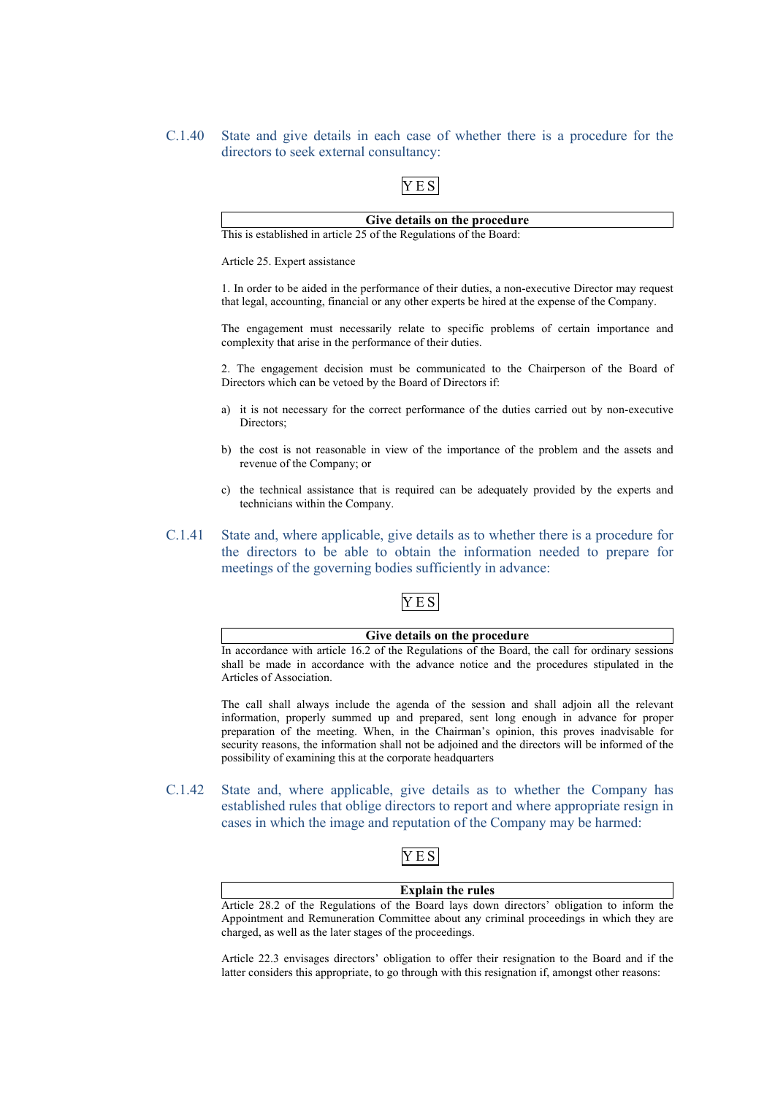C.1.40 State and give details in each case of whether there is a procedure for the directors to seek external consultancy:

# YES

### **Give details on the procedure** This is established in article 25 of the Regulations of the Board:

Article 25. Expert assistance

1. In order to be aided in the performance of their duties, a non-executive Director may request that legal, accounting, financial or any other experts be hired at the expense of the Company.

The engagement must necessarily relate to specific problems of certain importance and complexity that arise in the performance of their duties.

2. The engagement decision must be communicated to the Chairperson of the Board of Directors which can be vetoed by the Board of Directors if:

- a) it is not necessary for the correct performance of the duties carried out by non-executive Directors;
- b) the cost is not reasonable in view of the importance of the problem and the assets and revenue of the Company; or
- c) the technical assistance that is required can be adequately provided by the experts and technicians within the Company.
- C.1.41 State and, where applicable, give details as to whether there is a procedure for the directors to be able to obtain the information needed to prepare for meetings of the governing bodies sufficiently in advance:

# YES

**Give details on the procedure**

In accordance with article 16.2 of the Regulations of the Board, the call for ordinary sessions shall be made in accordance with the advance notice and the procedures stipulated in the Articles of Association.

The call shall always include the agenda of the session and shall adjoin all the relevant information, properly summed up and prepared, sent long enough in advance for proper preparation of the meeting. When, in the Chairman's opinion, this proves inadvisable for security reasons, the information shall not be adjoined and the directors will be informed of the possibility of examining this at the corporate headquarters

C.1.42 State and, where applicable, give details as to whether the Company has established rules that oblige directors to report and where appropriate resign in cases in which the image and reputation of the Company may be harmed:



### **Explain the rules**

Article 28.2 of the Regulations of the Board lays down directors' obligation to inform the Appointment and Remuneration Committee about any criminal proceedings in which they are charged, as well as the later stages of the proceedings.

Article 22.3 envisages directors' obligation to offer their resignation to the Board and if the latter considers this appropriate, to go through with this resignation if, amongst other reasons: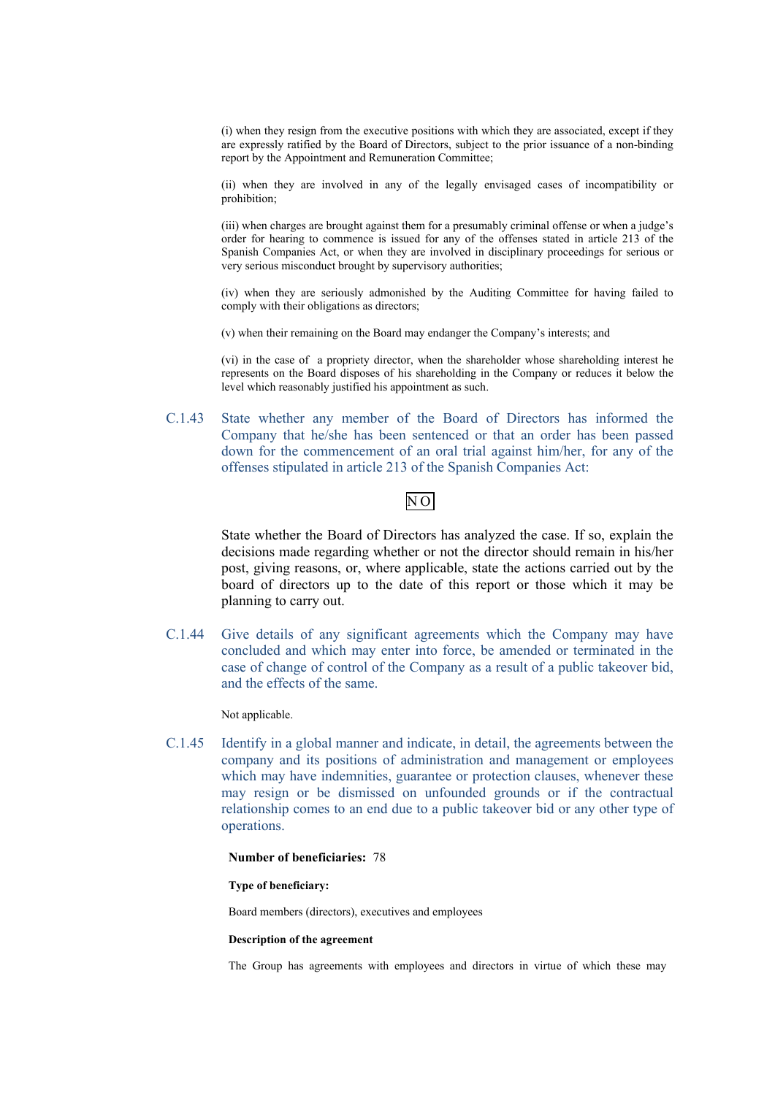(i) when they resign from the executive positions with which they are associated, except if they are expressly ratified by the Board of Directors, subject to the prior issuance of a non-binding report by the Appointment and Remuneration Committee;

(ii) when they are involved in any of the legally envisaged cases of incompatibility or prohibition;

(iii) when charges are brought against them for a presumably criminal offense or when a judge's order for hearing to commence is issued for any of the offenses stated in article 213 of the Spanish Companies Act, or when they are involved in disciplinary proceedings for serious or very serious misconduct brought by supervisory authorities;

(iv) when they are seriously admonished by the Auditing Committee for having failed to comply with their obligations as directors;

(v) when their remaining on the Board may endanger the Company's interests; and

(vi) in the case of a propriety director, when the shareholder whose shareholding interest he represents on the Board disposes of his shareholding in the Company or reduces it below the level which reasonably justified his appointment as such.

C.1.43 State whether any member of the Board of Directors has informed the Company that he/she has been sentenced or that an order has been passed down for the commencement of an oral trial against him/her, for any of the offenses stipulated in article 213 of the Spanish Companies Act:

# N O

State whether the Board of Directors has analyzed the case. If so, explain the decisions made regarding whether or not the director should remain in his/her post, giving reasons, or, where applicable, state the actions carried out by the board of directors up to the date of this report or those which it may be planning to carry out.

C.1.44 Give details of any significant agreements which the Company may have concluded and which may enter into force, be amended or terminated in the case of change of control of the Company as a result of a public takeover bid, and the effects of the same.

Not applicable.

C.1.45 Identify in a global manner and indicate, in detail, the agreements between the company and its positions of administration and management or employees which may have indemnities, guarantee or protection clauses, whenever these may resign or be dismissed on unfounded grounds or if the contractual relationship comes to an end due to a public takeover bid or any other type of operations.

### **Number of beneficiaries:** 78

#### **Type of beneficiary:**

Board members (directors), executives and employees

### **Description of the agreement**

The Group has agreements with employees and directors in virtue of which these may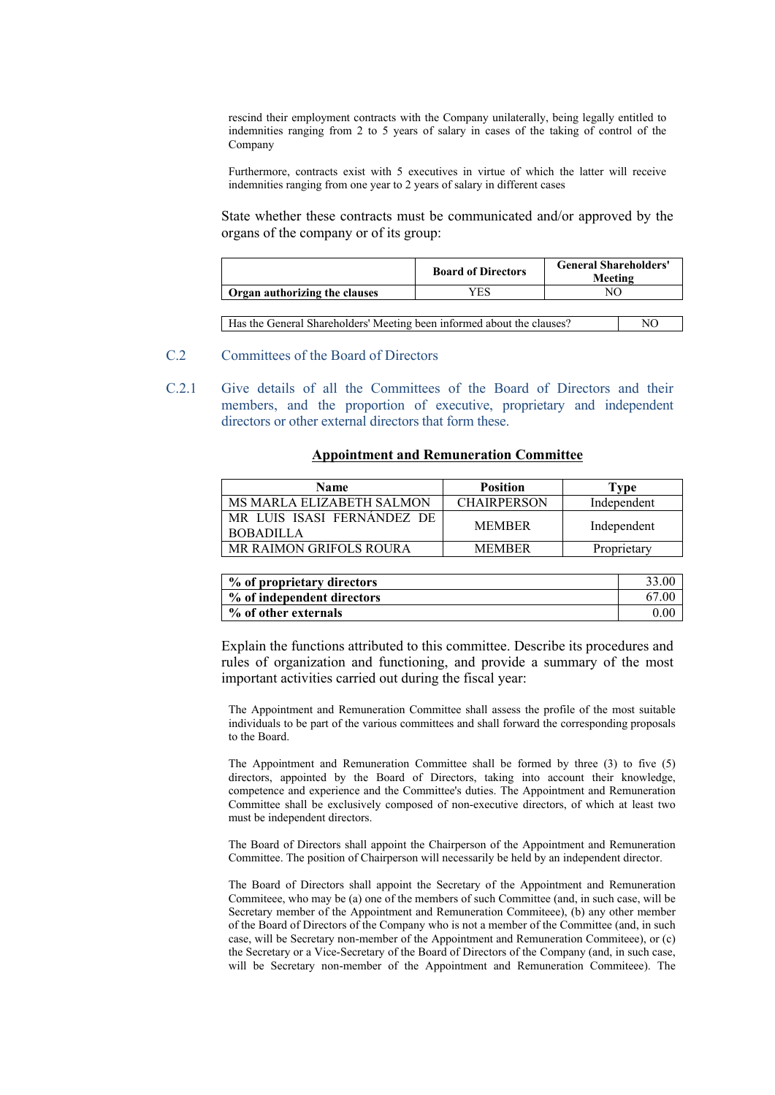rescind their employment contracts with the Company unilaterally, being legally entitled to indemnities ranging from 2 to 5 years of salary in cases of the taking of control of the Company

Furthermore, contracts exist with 5 executives in virtue of which the latter will receive indemnities ranging from one year to 2 years of salary in different cases

State whether these contracts must be communicated and/or approved by the organs of the company or of its group:

|                               | <b>Board of Directors</b> | <b>General Shareholders'</b><br>Meeting |
|-------------------------------|---------------------------|-----------------------------------------|
| Organ authorizing the clauses | YES                       |                                         |
|                               |                           |                                         |

| Has the General Shareholders' Meeting been informed about the clauses? | NC |
|------------------------------------------------------------------------|----|
|------------------------------------------------------------------------|----|

# C.2 Committees of the Board of Directors

C.2.1 Give details of all the Committees of the Board of Directors and their members, and the proportion of executive, proprietary and independent directors or other external directors that form these.

### **Appointment and Remuneration Committee**

| <b>Name</b>                                    | <b>Position</b>    | Type        |
|------------------------------------------------|--------------------|-------------|
| MS MARLA ELIZABETH SALMON                      | <b>CHAIRPERSON</b> | Independent |
| MR LUIS ISASI FERNANDEZ DE<br><b>BOBADILLA</b> | <b>MEMBER</b>      | Independent |
| <b>MR RAIMON GRIFOLS ROURA</b>                 | <b>MEMBER</b>      | Proprietary |

| % of proprietary directors | 33.00 |
|----------------------------|-------|
| % of independent directors | 67.00 |
| % of other externals       | 0.00  |

Explain the functions attributed to this committee. Describe its procedures and rules of organization and functioning, and provide a summary of the most important activities carried out during the fiscal year:

The Appointment and Remuneration Committee shall assess the profile of the most suitable individuals to be part of the various committees and shall forward the corresponding proposals to the Board.

The Appointment and Remuneration Committee shall be formed by three (3) to five (5) directors, appointed by the Board of Directors, taking into account their knowledge, competence and experience and the Committee's duties. The Appointment and Remuneration Committee shall be exclusively composed of non-executive directors, of which at least two must be independent directors.

The Board of Directors shall appoint the Chairperson of the Appointment and Remuneration Committee. The position of Chairperson will necessarily be held by an independent director.

The Board of Directors shall appoint the Secretary of the Appointment and Remuneration Commiteee, who may be (a) one of the members of such Committee (and, in such case, will be Secretary member of the Appointment and Remuneration Commiteee), (b) any other member of the Board of Directors of the Company who is not a member of the Committee (and, in such case, will be Secretary non-member of the Appointment and Remuneration Commiteee), or (c) the Secretary or a Vice-Secretary of the Board of Directors of the Company (and, in such case, will be Secretary non-member of the Appointment and Remuneration Commiteee). The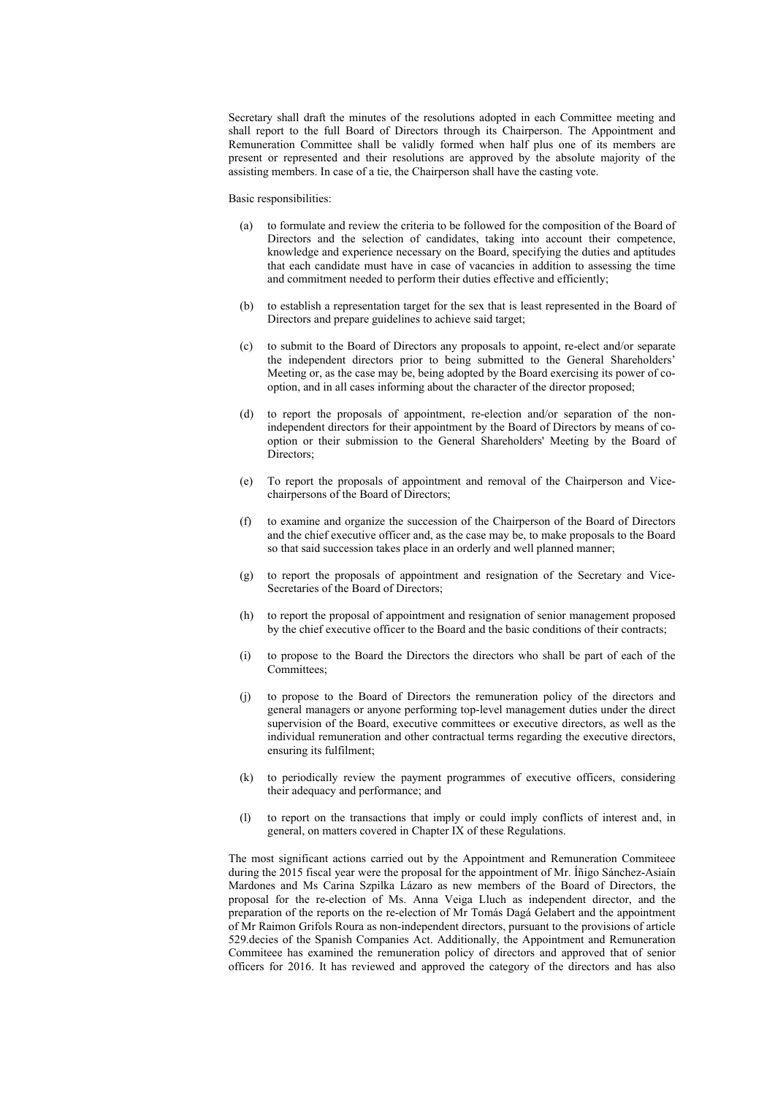Secretary shall draft the minutes of the resolutions adopted in each Committee meeting and shall report to the full Board of Directors through its Chairperson. The Appointment and Remuneration Committee shall be validly formed when half plus one of its members are present or represented and their resolutions are approved by the absolute majority of the assisting members. In case of a tie, the Chairperson shall have the casting vote.

#### Basic responsibilities:

- (a) to formulate and review the criteria to be followed for the composition of the Board of Directors and the selection of candidates, taking into account their competence, knowledge and experience necessary on the Board, specifying the duties and aptitudes that each candidate must have in case of vacancies in addition to assessing the time and commitment needed to perform their duties effective and efficiently;
- (b) to establish a representation target for the sex that is least represented in the Board of Directors and prepare guidelines to achieve said target;
- (c) to submit to the Board of Directors any proposals to appoint, re-elect and/or separate the independent directors prior to being submitted to the General Shareholders' Meeting or, as the case may be, being adopted by the Board exercising its power of cooption, and in all cases informing about the character of the director proposed;
- (d) to report the proposals of appointment, re-election and/or separation of the nonindependent directors for their appointment by the Board of Directors by means of cooption or their submission to the General Shareholders' Meeting by the Board of Directors;
- (e) To report the proposals of appointment and removal of the Chairperson and Vicechairpersons of the Board of Directors;
- (f) to examine and organize the succession of the Chairperson of the Board of Directors and the chief executive officer and, as the case may be, to make proposals to the Board so that said succession takes place in an orderly and well planned manner;
- (g) to report the proposals of appointment and resignation of the Secretary and Vice-Secretaries of the Board of Directors;
- (h) to report the proposal of appointment and resignation of senior management proposed by the chief executive officer to the Board and the basic conditions of their contracts;
- (i) to propose to the Board the Directors the directors who shall be part of each of the Committees:
- (j) to propose to the Board of Directors the remuneration policy of the directors and general managers or anyone performing top-level management duties under the direct supervision of the Board, executive committees or executive directors, as well as the individual remuneration and other contractual terms regarding the executive directors, ensuring its fulfilment;
- (k) to periodically review the payment programmes of executive officers, considering their adequacy and performance; and
- (l) to report on the transactions that imply or could imply conflicts of interest and, in general, on matters covered in Chapter IX of these Regulations.

The most significant actions carried out by the Appointment and Remuneration Commiteee during the 2015 fiscal year were the proposal for the appointment of Mr. Íñigo Sánchez-Asiaín Mardones and Ms Carina Szpilka Lázaro as new members of the Board of Directors, the proposal for the re-election of Ms. Anna Veiga Lluch as independent director, and the preparation of the reports on the re-election of Mr Tomás Dagá Gelabert and the appointment of Mr Raimon Grifols Roura as non-independent directors, pursuant to the provisions of article 529.decies of the Spanish Companies Act. Additionally, the Appointment and Remuneration Commiteee has examined the remuneration policy of directors and approved that of senior officers for 2016. It has reviewed and approved the category of the directors and has also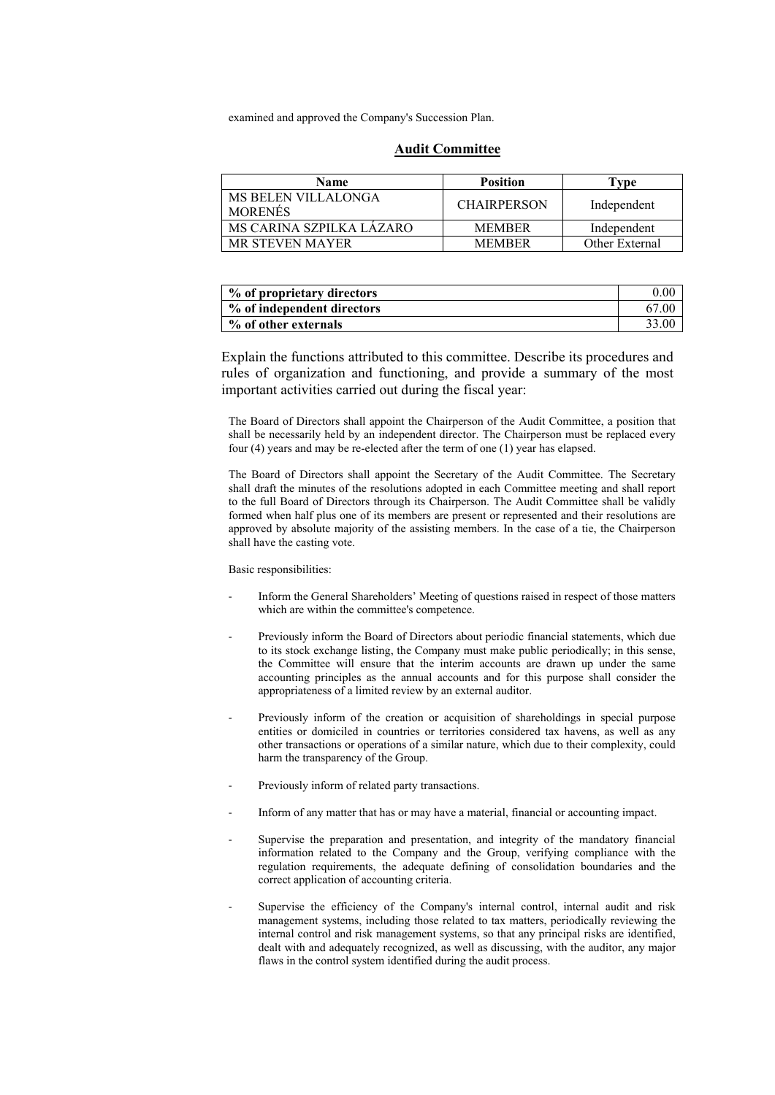examined and approved the Company's Succession Plan.

### **Audit Committee**

| <b>Name</b>                           | <b>Position</b>    | Type           |
|---------------------------------------|--------------------|----------------|
| MS BELEN VILLALONGA<br><b>MORENES</b> | <b>CHAIRPERSON</b> | Independent    |
| MS CARINA SZPILKA LÁZÁRO              | <b>MEMBER</b>      | Independent    |
| <b>MR STEVEN MAYER</b>                | <b>MEMBER</b>      | Other External |

| % of proprietary directors | 0.00  |
|----------------------------|-------|
| % of independent directors | 67.00 |
| % of other externals       | 33.00 |

Explain the functions attributed to this committee. Describe its procedures and rules of organization and functioning, and provide a summary of the most important activities carried out during the fiscal year:

The Board of Directors shall appoint the Chairperson of the Audit Committee, a position that shall be necessarily held by an independent director. The Chairperson must be replaced every four (4) years and may be re-elected after the term of one (1) year has elapsed.

The Board of Directors shall appoint the Secretary of the Audit Committee. The Secretary shall draft the minutes of the resolutions adopted in each Committee meeting and shall report to the full Board of Directors through its Chairperson. The Audit Committee shall be validly formed when half plus one of its members are present or represented and their resolutions are approved by absolute majority of the assisting members. In the case of a tie, the Chairperson shall have the casting vote.

#### Basic responsibilities:

- Inform the General Shareholders' Meeting of questions raised in respect of those matters which are within the committee's competence.
- Previously inform the Board of Directors about periodic financial statements, which due to its stock exchange listing, the Company must make public periodically; in this sense, the Committee will ensure that the interim accounts are drawn up under the same accounting principles as the annual accounts and for this purpose shall consider the appropriateness of a limited review by an external auditor.
- Previously inform of the creation or acquisition of shareholdings in special purpose entities or domiciled in countries or territories considered tax havens, as well as any other transactions or operations of a similar nature, which due to their complexity, could harm the transparency of the Group.
- Previously inform of related party transactions.
- Inform of any matter that has or may have a material, financial or accounting impact.
- Supervise the preparation and presentation, and integrity of the mandatory financial information related to the Company and the Group, verifying compliance with the regulation requirements, the adequate defining of consolidation boundaries and the correct application of accounting criteria.
- Supervise the efficiency of the Company's internal control, internal audit and risk management systems, including those related to tax matters, periodically reviewing the internal control and risk management systems, so that any principal risks are identified, dealt with and adequately recognized, as well as discussing, with the auditor, any major flaws in the control system identified during the audit process.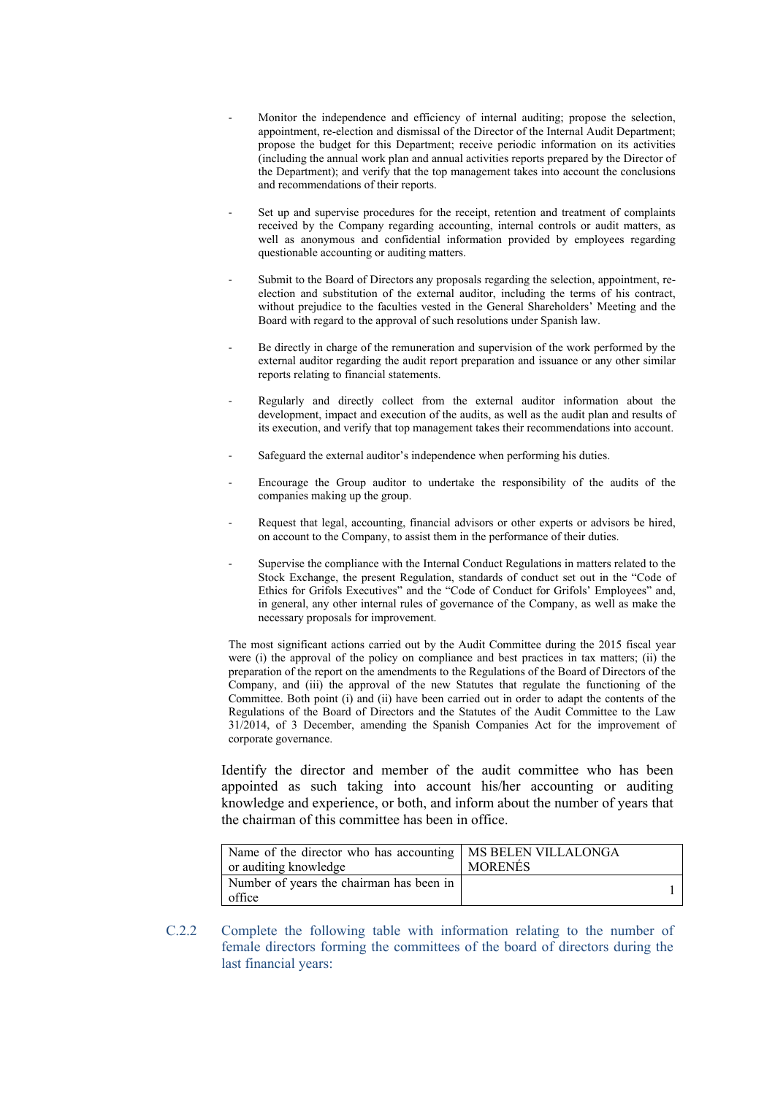- Monitor the independence and efficiency of internal auditing; propose the selection, appointment, re-election and dismissal of the Director of the Internal Audit Department; propose the budget for this Department; receive periodic information on its activities (including the annual work plan and annual activities reports prepared by the Director of the Department); and verify that the top management takes into account the conclusions and recommendations of their reports.
- Set up and supervise procedures for the receipt, retention and treatment of complaints received by the Company regarding accounting, internal controls or audit matters, as well as anonymous and confidential information provided by employees regarding questionable accounting or auditing matters.
- Submit to the Board of Directors any proposals regarding the selection, appointment, reelection and substitution of the external auditor, including the terms of his contract, without prejudice to the faculties vested in the General Shareholders' Meeting and the Board with regard to the approval of such resolutions under Spanish law.
- Be directly in charge of the remuneration and supervision of the work performed by the external auditor regarding the audit report preparation and issuance or any other similar reports relating to financial statements.
- Regularly and directly collect from the external auditor information about the development, impact and execution of the audits, as well as the audit plan and results of its execution, and verify that top management takes their recommendations into account.
- Safeguard the external auditor's independence when performing his duties.
- Encourage the Group auditor to undertake the responsibility of the audits of the companies making up the group.
- Request that legal, accounting, financial advisors or other experts or advisors be hired, on account to the Company, to assist them in the performance of their duties.
- Supervise the compliance with the Internal Conduct Regulations in matters related to the Stock Exchange, the present Regulation, standards of conduct set out in the "Code of Ethics for Grifols Executives" and the "Code of Conduct for Grifols' Employees" and, in general, any other internal rules of governance of the Company, as well as make the necessary proposals for improvement.

The most significant actions carried out by the Audit Committee during the 2015 fiscal year were (i) the approval of the policy on compliance and best practices in tax matters; (ii) the preparation of the report on the amendments to the Regulations of the Board of Directors of the Company, and (iii) the approval of the new Statutes that regulate the functioning of the Committee. Both point (i) and (ii) have been carried out in order to adapt the contents of the Regulations of the Board of Directors and the Statutes of the Audit Committee to the Law 31/2014, of 3 December, amending the Spanish Companies Act for the improvement of corporate governance.

Identify the director and member of the audit committee who has been appointed as such taking into account his/her accounting or auditing knowledge and experience, or both, and inform about the number of years that the chairman of this committee has been in office.

| Name of the director who has accounting   MS BELEN VILLALONGA<br>or auditing knowledge | <b>MORENÉS</b> |
|----------------------------------------------------------------------------------------|----------------|
| Number of years the chairman has been in<br>office                                     |                |

C.2.2 Complete the following table with information relating to the number of female directors forming the committees of the board of directors during the last financial years: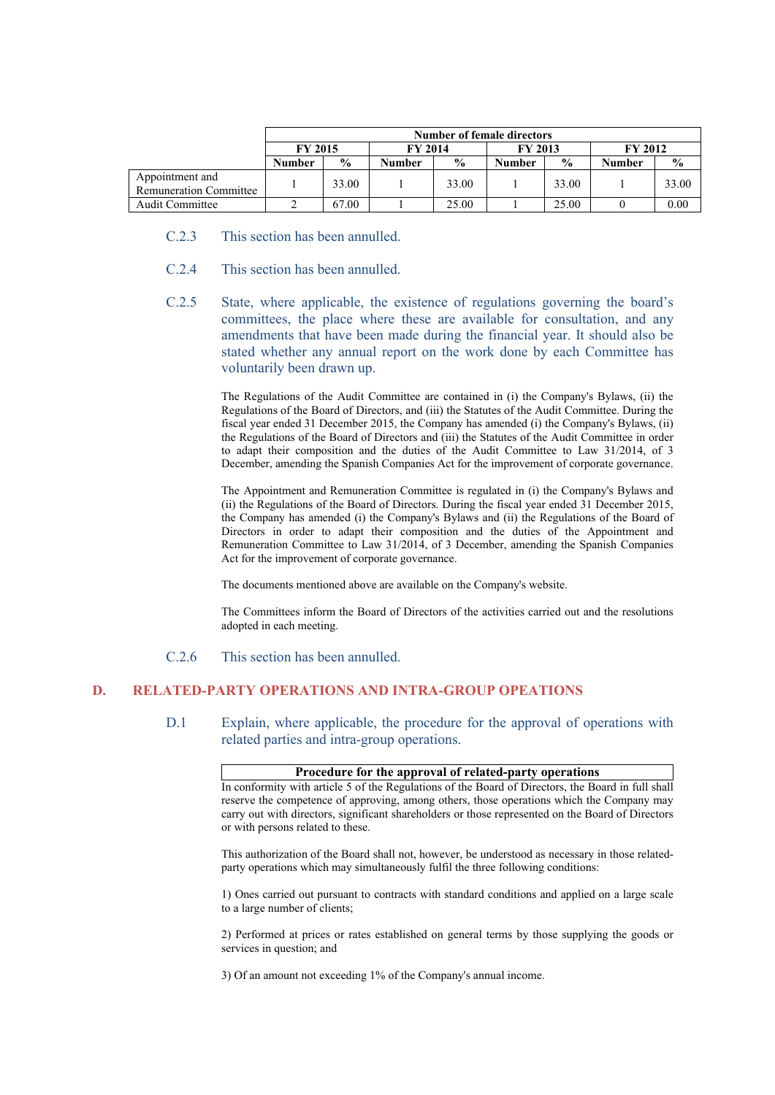|                                                  | <b>Number of female directors</b> |               |                |               |                |               |                |               |
|--------------------------------------------------|-----------------------------------|---------------|----------------|---------------|----------------|---------------|----------------|---------------|
|                                                  | <b>FY 2015</b>                    |               | <b>FY 2014</b> |               | <b>FY 2013</b> |               | <b>FY 2012</b> |               |
|                                                  | <b>Number</b>                     | $\frac{0}{0}$ | <b>Number</b>  | $\frac{6}{9}$ | <b>Number</b>  | $\frac{6}{9}$ | Number         | $\frac{6}{9}$ |
| Appointment and<br><b>Remuneration Committee</b> |                                   | 33.00         |                | 33.00         |                | 33.00         |                | 33.00         |
| <b>Audit Committee</b>                           |                                   | 67.00         |                | 25.00         |                | 25.00         |                | 0.00          |

- C.2.3 This section has been annulled.
- C.2.4 This section has been annulled.
- C.2.5 State, where applicable, the existence of regulations governing the board's committees, the place where these are available for consultation, and any amendments that have been made during the financial year. It should also be stated whether any annual report on the work done by each Committee has voluntarily been drawn up.

The Regulations of the Audit Committee are contained in (i) the Company's Bylaws, (ii) the Regulations of the Board of Directors, and (iii) the Statutes of the Audit Committee. During the fiscal year ended 31 December 2015, the Company has amended (i) the Company's Bylaws, (ii) the Regulations of the Board of Directors and (iii) the Statutes of the Audit Committee in order to adapt their composition and the duties of the Audit Committee to Law 31/2014, of 3 December, amending the Spanish Companies Act for the improvement of corporate governance.

The Appointment and Remuneration Committee is regulated in (i) the Company's Bylaws and (ii) the Regulations of the Board of Directors. During the fiscal year ended 31 December 2015, the Company has amended (i) the Company's Bylaws and (ii) the Regulations of the Board of Directors in order to adapt their composition and the duties of the Appointment and Remuneration Committee to Law 31/2014, of 3 December, amending the Spanish Companies Act for the improvement of corporate governance.

The documents mentioned above are available on the Company's website.

The Committees inform the Board of Directors of the activities carried out and the resolutions adopted in each meeting.

### C.2.6 This section has been annulled.

# **D. RELATED-PARTY OPERATIONS AND INTRA-GROUP OPEATIONS**

D.1 Explain, where applicable, the procedure for the approval of operations with related parties and intra-group operations.

### **Procedure for the approval of related-party operations**

In conformity with article 5 of the Regulations of the Board of Directors, the Board in full shall reserve the competence of approving, among others, those operations which the Company may carry out with directors, significant shareholders or those represented on the Board of Directors or with persons related to these.

This authorization of the Board shall not, however, be understood as necessary in those relatedparty operations which may simultaneously fulfil the three following conditions:

1) Ones carried out pursuant to contracts with standard conditions and applied on a large scale to a large number of clients;

2) Performed at prices or rates established on general terms by those supplying the goods or services in question; and

3) Of an amount not exceeding 1% of the Company's annual income.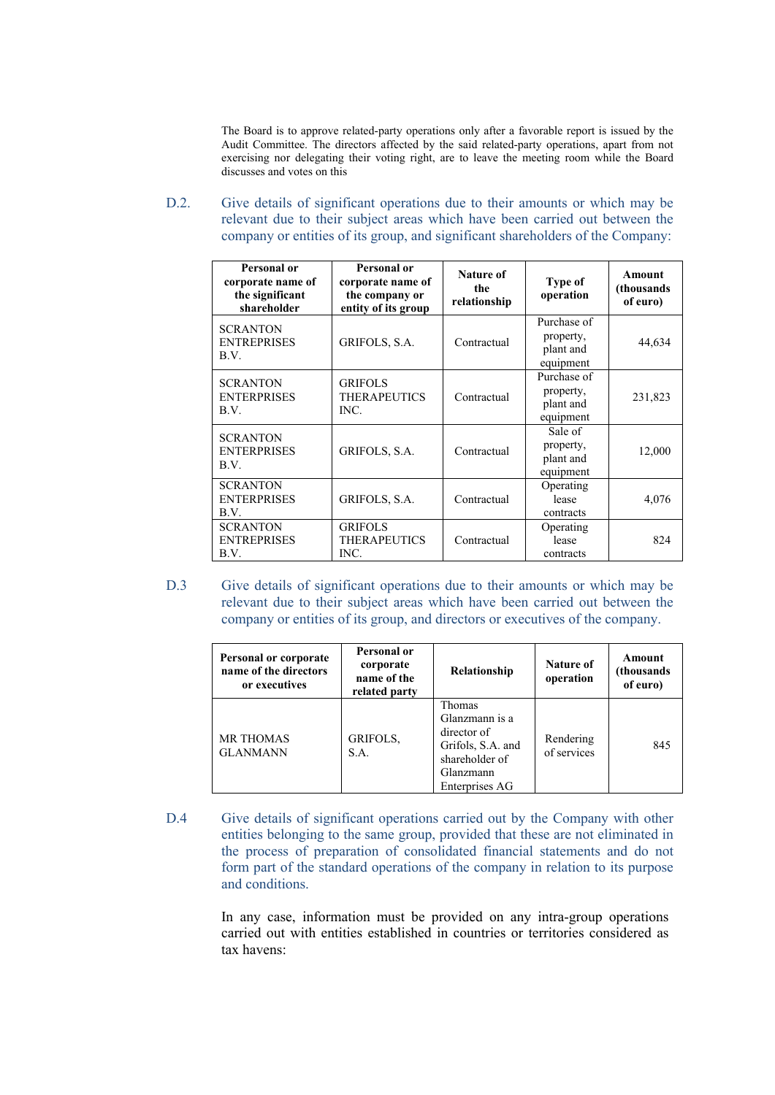The Board is to approve related-party operations only after a favorable report is issued by the Audit Committee. The directors affected by the said related-party operations, apart from not exercising nor delegating their voting right, are to leave the meeting room while the Board discusses and votes on this

D.2. Give details of significant operations due to their amounts or which may be relevant due to their subject areas which have been carried out between the company or entities of its group, and significant shareholders of the Company:

| Personal or<br>corporate name of<br>the significant<br>shareholder | Personal or<br>corporate name of<br>the company or<br>entity of its group | Nature of<br>the<br>relationship | Type of<br>operation                               | <b>Amount</b><br>(thousands)<br>of euro) |
|--------------------------------------------------------------------|---------------------------------------------------------------------------|----------------------------------|----------------------------------------------------|------------------------------------------|
| <b>SCRANTON</b><br><b>ENTREPRISES</b><br>B.V.                      | GRIFOLS, S.A.                                                             | Contractual                      | Purchase of<br>property,<br>plant and<br>equipment | 44,634                                   |
| <b>SCRANTON</b><br><b>ENTERPRISES</b><br>B.V.                      | <b>GRIFOLS</b><br><b>THERAPEUTICS</b><br>INC.                             | Contractual                      | Purchase of<br>property,<br>plant and<br>equipment | 231,823                                  |
| <b>SCRANTON</b><br><b>ENTERPRISES</b><br>B.V.                      | GRIFOLS, S.A.                                                             | Contractual                      | Sale of<br>property,<br>plant and<br>equipment     | 12,000                                   |
| <b>SCRANTON</b><br><b>ENTERPRISES</b><br>B.V.                      | GRIFOLS, S.A.                                                             | Contractual                      | Operating<br>lease<br>contracts                    | 4,076                                    |
| <b>SCRANTON</b><br><b>ENTREPRISES</b><br>B.V.                      | <b>GRIFOLS</b><br><b>THERAPEUTICS</b><br>INC.                             | Contractual                      | Operating<br>lease<br>contracts                    | 824                                      |

D.3 Give details of significant operations due to their amounts or which may be relevant due to their subject areas which have been carried out between the company or entities of its group, and directors or executives of the company.

| Personal or corporate<br>name of the directors<br>or executives | Personal or<br>corporate<br>name of the<br>related party | Relationship                                                                                                  | <b>Nature of</b><br>operation | Amount<br>(thousands<br>of euro) |
|-----------------------------------------------------------------|----------------------------------------------------------|---------------------------------------------------------------------------------------------------------------|-------------------------------|----------------------------------|
| <b>MR THOMAS</b><br><b>GLANMANN</b>                             | GRIFOLS,<br>S.A.                                         | Thomas<br>Glanzmann is a<br>director of<br>Grifols, S.A. and<br>shareholder of<br>Glanzmann<br>Enterprises AG | Rendering<br>of services      | 845                              |

D.4 Give details of significant operations carried out by the Company with other entities belonging to the same group, provided that these are not eliminated in the process of preparation of consolidated financial statements and do not form part of the standard operations of the company in relation to its purpose and conditions.

> In any case, information must be provided on any intra-group operations carried out with entities established in countries or territories considered as tax havens: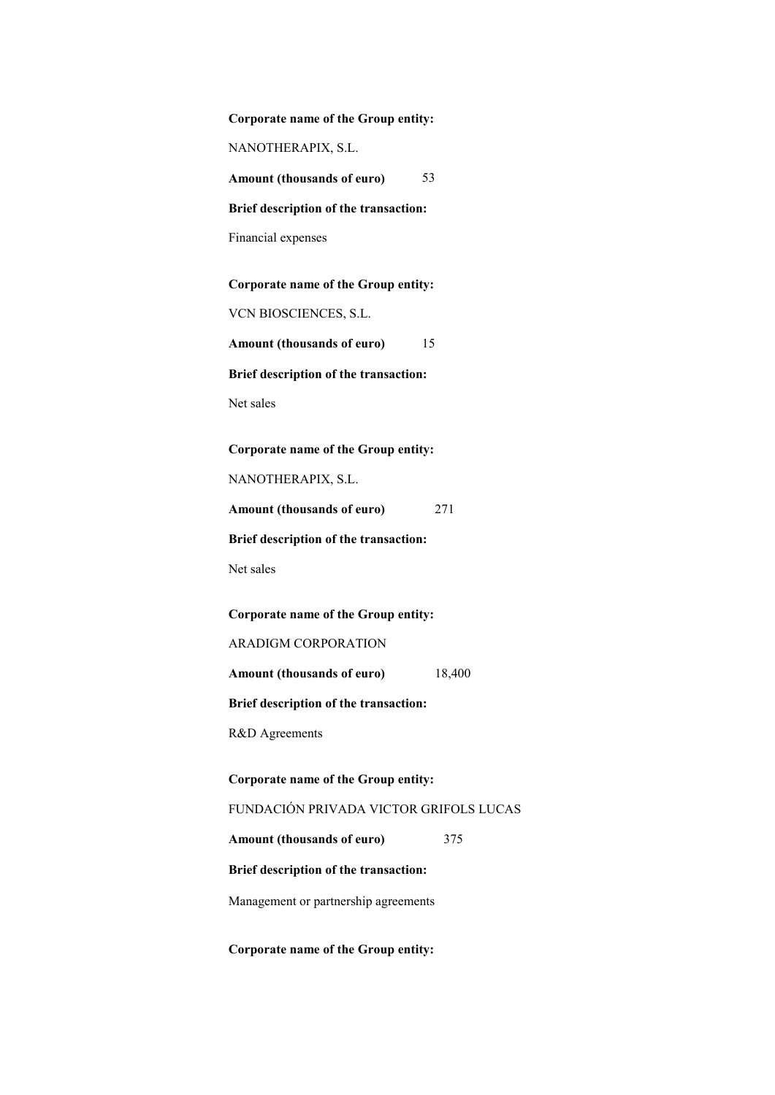| Corporate name of the Group entity:    |
|----------------------------------------|
| NANOTHERAPIX, S.L.                     |
| 53<br>Amount (thousands of euro)       |
| Brief description of the transaction:  |
| Financial expenses                     |
| Corporate name of the Group entity:    |
| VCN BIOSCIENCES, S.L.                  |
| Amount (thousands of euro)<br>15       |
| Brief description of the transaction:  |
| Net sales                              |
|                                        |
| Corporate name of the Group entity:    |
| NANOTHERAPIX, S.L.                     |
| 271<br>Amount (thousands of euro)      |
| Brief description of the transaction:  |
| Net sales                              |
| Corporate name of the Group entity:    |
| ARADIGM CORPORATION                    |
| 18,400<br>Amount (thousands of euro)   |
| Brief description of the transaction:  |
| R&D Agreements                         |
|                                        |
| Corporate name of the Group entity:    |
| FUNDACIÓN PRIVADA VICTOR GRIFOLS LUCAS |
| Amount (thousands of euro)<br>375      |
| Brief description of the transaction:  |
| Management or partnership agreements   |

**Corporate name of the Group entity:**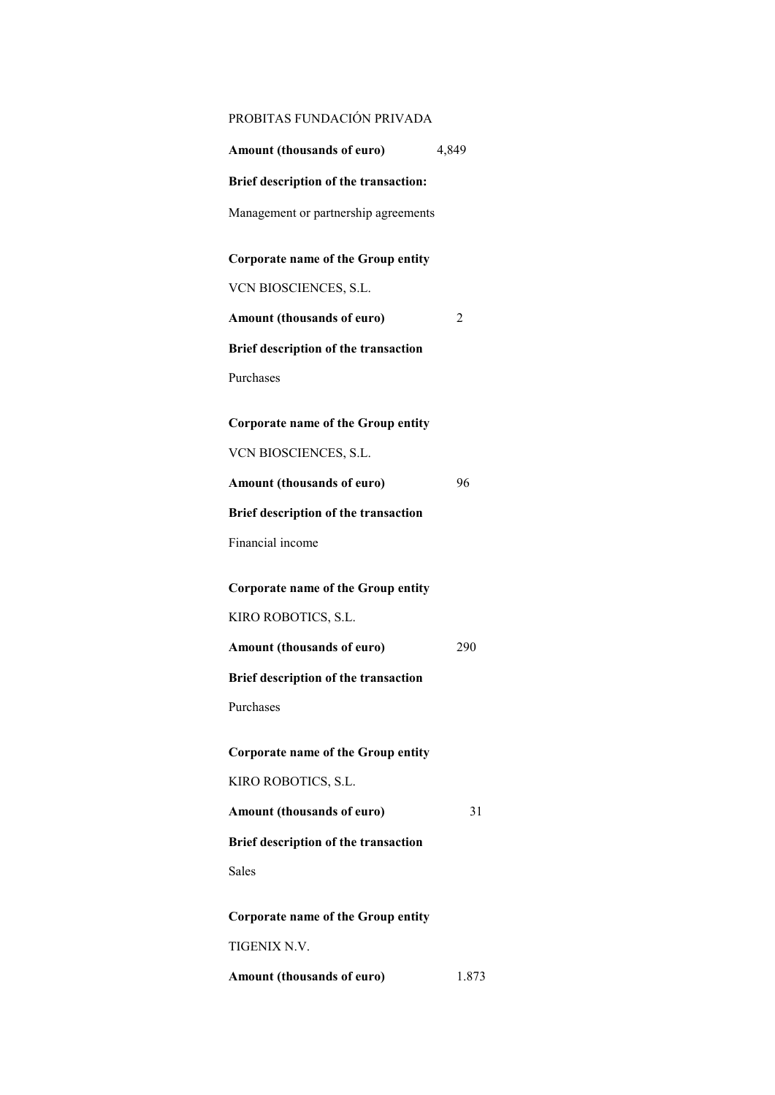| PROBITAS FUNDACIÓN PRIVADA            |       |
|---------------------------------------|-------|
| Amount (thousands of euro)            | 4,849 |
| Brief description of the transaction: |       |
| Management or partnership agreements  |       |
| Corporate name of the Group entity    |       |
| VCN BIOSCIENCES, S.L.                 |       |
| Amount (thousands of euro)            | 2     |
| Brief description of the transaction  |       |
| Purchases                             |       |
|                                       |       |
| Corporate name of the Group entity    |       |
| VCN BIOSCIENCES, S.L.                 |       |
| Amount (thousands of euro)            | 96    |
| Brief description of the transaction  |       |
| Financial income                      |       |
| Corporate name of the Group entity    |       |
| KIRO ROBOTICS, S.L.                   |       |
| Amount (thousands of euro)            | 290   |
| Brief description of the transaction  |       |
| Purchases                             |       |
|                                       |       |
| Corporate name of the Group entity    |       |
| KIRO ROBOTICS, S.L.                   |       |
| Amount (thousands of euro)            | 31    |
| Brief description of the transaction  |       |
| <b>Sales</b>                          |       |
| Corporate name of the Group entity    |       |
| <b>TIGENIX N.V.</b>                   |       |
| Amount (thousands of euro)            | 1.873 |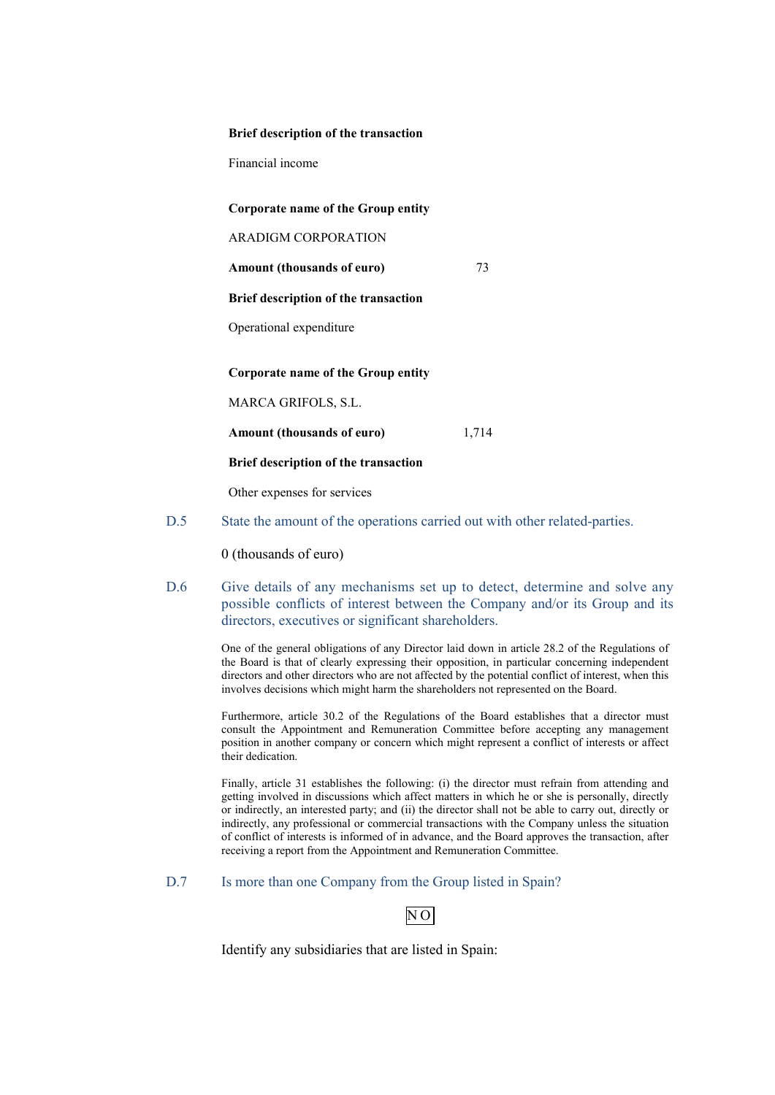#### **Brief description of the transaction**

Financial income

**Corporate name of the Group entity**

ARADIGM CORPORATION

Amount (thousands of euro) **73** 

**Brief description of the transaction**

Operational expenditure

**Corporate name of the Group entity**

MARCA GRIFOLS, S.L.

**Amount (thousands of euro)** 1,714

**Brief description of the transaction**

Other expenses for services

D.5 State the amount of the operations carried out with other related-parties.

0 (thousands of euro)

D.6 Give details of any mechanisms set up to detect, determine and solve any possible conflicts of interest between the Company and/or its Group and its directors, executives or significant shareholders.

> One of the general obligations of any Director laid down in article 28.2 of the Regulations of the Board is that of clearly expressing their opposition, in particular concerning independent directors and other directors who are not affected by the potential conflict of interest, when this involves decisions which might harm the shareholders not represented on the Board.

> Furthermore, article 30.2 of the Regulations of the Board establishes that a director must consult the Appointment and Remuneration Committee before accepting any management position in another company or concern which might represent a conflict of interests or affect their dedication.

> Finally, article 31 establishes the following: (i) the director must refrain from attending and getting involved in discussions which affect matters in which he or she is personally, directly or indirectly, an interested party; and (ii) the director shall not be able to carry out, directly or indirectly, any professional or commercial transactions with the Company unless the situation of conflict of interests is informed of in advance, and the Board approves the transaction, after receiving a report from the Appointment and Remuneration Committee.

D.7 Is more than one Company from the Group listed in Spain?

N O

Identify any subsidiaries that are listed in Spain: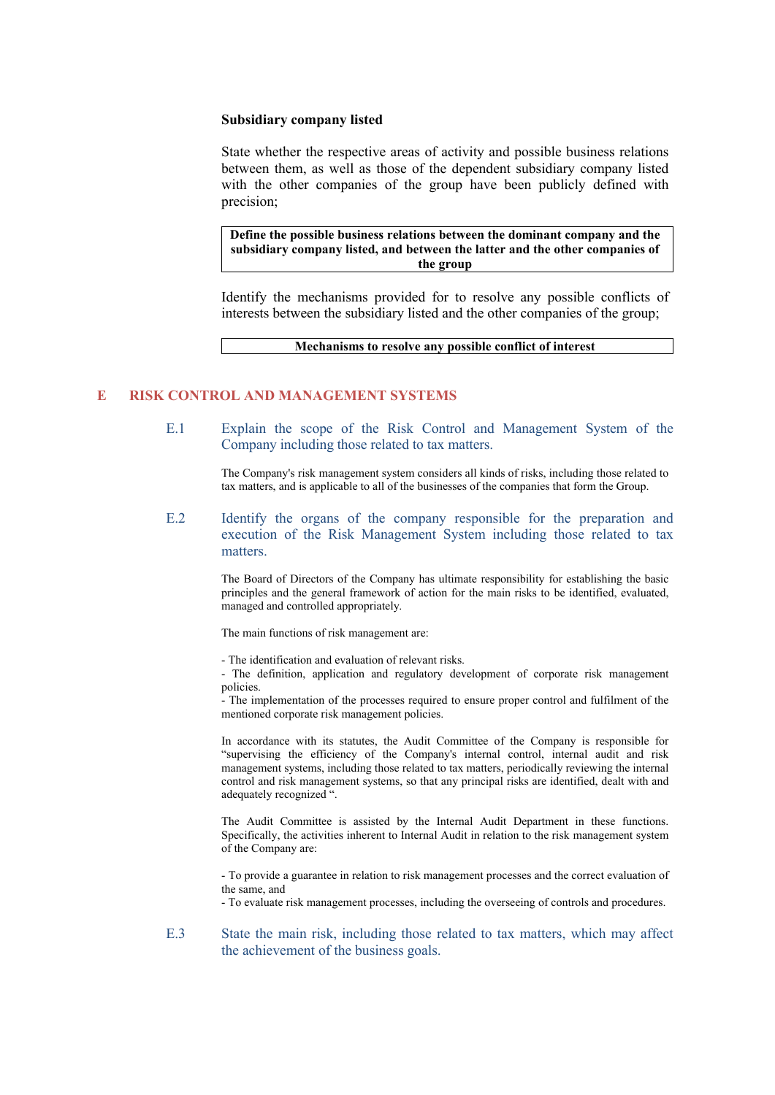### **Subsidiary company listed**

State whether the respective areas of activity and possible business relations between them, as well as those of the dependent subsidiary company listed with the other companies of the group have been publicly defined with precision;

**Define the possible business relations between the dominant company and the subsidiary company listed, and between the latter and the other companies of the group**

Identify the mechanisms provided for to resolve any possible conflicts of interests between the subsidiary listed and the other companies of the group;

**Mechanisms to resolve any possible conflict of interest**

# **E RISK CONTROL AND MANAGEMENT SYSTEMS**

E.1 Explain the scope of the Risk Control and Management System of the Company including those related to tax matters.

> The Company's risk management system considers all kinds of risks, including those related to tax matters, and is applicable to all of the businesses of the companies that form the Group.

E.2 Identify the organs of the company responsible for the preparation and execution of the Risk Management System including those related to tax matters.

> The Board of Directors of the Company has ultimate responsibility for establishing the basic principles and the general framework of action for the main risks to be identified, evaluated, managed and controlled appropriately.

The main functions of risk management are:

- The identification and evaluation of relevant risks.

- The definition, application and regulatory development of corporate risk management policies.

- The implementation of the processes required to ensure proper control and fulfilment of the mentioned corporate risk management policies.

In accordance with its statutes, the Audit Committee of the Company is responsible for "supervising the efficiency of the Company's internal control, internal audit and risk management systems, including those related to tax matters, periodically reviewing the internal control and risk management systems, so that any principal risks are identified, dealt with and adequately recognized ".

The Audit Committee is assisted by the Internal Audit Department in these functions. Specifically, the activities inherent to Internal Audit in relation to the risk management system of the Company are:

- To provide a guarantee in relation to risk management processes and the correct evaluation of the same, and

- To evaluate risk management processes, including the overseeing of controls and procedures.

E.3 State the main risk, including those related to tax matters, which may affect the achievement of the business goals.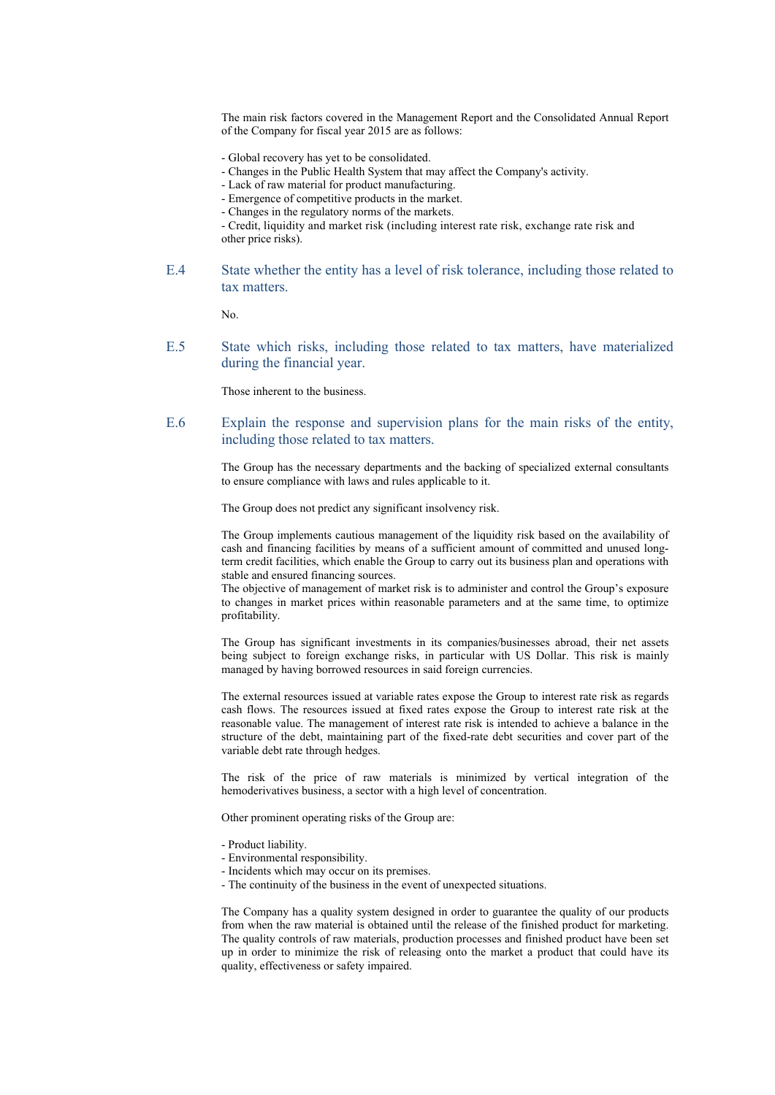The main risk factors covered in the Management Report and the Consolidated Annual Report of the Company for fiscal year 2015 are as follows:

- Global recovery has yet to be consolidated.
- Changes in the Public Health System that may affect the Company's activity.
- Lack of raw material for product manufacturing.
- Emergence of competitive products in the market.
- Changes in the regulatory norms of the markets.

- Credit, liquidity and market risk (including interest rate risk, exchange rate risk and other price risks).

E.4 State whether the entity has a level of risk tolerance, including those related to tax matters.

No.

E.5 State which risks, including those related to tax matters, have materialized during the financial year.

Those inherent to the business.

E.6 Explain the response and supervision plans for the main risks of the entity, including those related to tax matters.

> The Group has the necessary departments and the backing of specialized external consultants to ensure compliance with laws and rules applicable to it.

The Group does not predict any significant insolvency risk.

The Group implements cautious management of the liquidity risk based on the availability of cash and financing facilities by means of a sufficient amount of committed and unused longterm credit facilities, which enable the Group to carry out its business plan and operations with stable and ensured financing sources.

The objective of management of market risk is to administer and control the Group's exposure to changes in market prices within reasonable parameters and at the same time, to optimize profitability.

The Group has significant investments in its companies/businesses abroad, their net assets being subject to foreign exchange risks, in particular with US Dollar. This risk is mainly managed by having borrowed resources in said foreign currencies.

The external resources issued at variable rates expose the Group to interest rate risk as regards cash flows. The resources issued at fixed rates expose the Group to interest rate risk at the reasonable value. The management of interest rate risk is intended to achieve a balance in the structure of the debt, maintaining part of the fixed-rate debt securities and cover part of the variable debt rate through hedges.

The risk of the price of raw materials is minimized by vertical integration of the hemoderivatives business, a sector with a high level of concentration.

Other prominent operating risks of the Group are:

- Product liability.
- Environmental responsibility.
- Incidents which may occur on its premises.
- The continuity of the business in the event of unexpected situations.

The Company has a quality system designed in order to guarantee the quality of our products from when the raw material is obtained until the release of the finished product for marketing. The quality controls of raw materials, production processes and finished product have been set up in order to minimize the risk of releasing onto the market a product that could have its quality, effectiveness or safety impaired.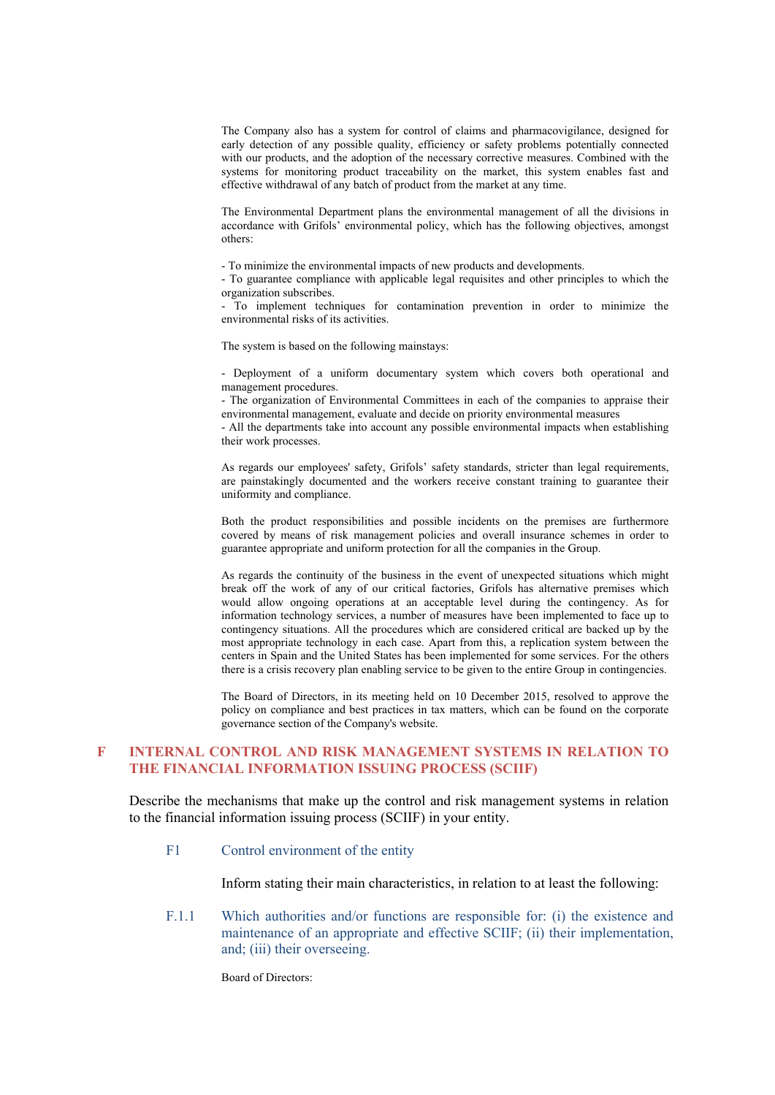The Company also has a system for control of claims and pharmacovigilance, designed for early detection of any possible quality, efficiency or safety problems potentially connected with our products, and the adoption of the necessary corrective measures. Combined with the systems for monitoring product traceability on the market, this system enables fast and effective withdrawal of any batch of product from the market at any time.

The Environmental Department plans the environmental management of all the divisions in accordance with Grifols' environmental policy, which has the following objectives, amongst others:

- To minimize the environmental impacts of new products and developments.

- To guarantee compliance with applicable legal requisites and other principles to which the organization subscribes.

- To implement techniques for contamination prevention in order to minimize the environmental risks of its activities.

The system is based on the following mainstays:

- Deployment of a uniform documentary system which covers both operational and management procedures.

- The organization of Environmental Committees in each of the companies to appraise their environmental management, evaluate and decide on priority environmental measures

- All the departments take into account any possible environmental impacts when establishing their work processes.

As regards our employees' safety, Grifols' safety standards, stricter than legal requirements, are painstakingly documented and the workers receive constant training to guarantee their uniformity and compliance.

Both the product responsibilities and possible incidents on the premises are furthermore covered by means of risk management policies and overall insurance schemes in order to guarantee appropriate and uniform protection for all the companies in the Group.

As regards the continuity of the business in the event of unexpected situations which might break off the work of any of our critical factories, Grifols has alternative premises which would allow ongoing operations at an acceptable level during the contingency. As for information technology services, a number of measures have been implemented to face up to contingency situations. All the procedures which are considered critical are backed up by the most appropriate technology in each case. Apart from this, a replication system between the centers in Spain and the United States has been implemented for some services. For the others there is a crisis recovery plan enabling service to be given to the entire Group in contingencies.

The Board of Directors, in its meeting held on 10 December 2015, resolved to approve the policy on compliance and best practices in tax matters, which can be found on the corporate governance section of the Company's website.

### **F INTERNAL CONTROL AND RISK MANAGEMENT SYSTEMS IN RELATION TO THE FINANCIAL INFORMATION ISSUING PROCESS (SCIIF)**

Describe the mechanisms that make up the control and risk management systems in relation to the financial information issuing process (SCIIF) in your entity.

### F1 Control environment of the entity

Inform stating their main characteristics, in relation to at least the following:

F.1.1 Which authorities and/or functions are responsible for: (i) the existence and maintenance of an appropriate and effective SCIIF; (ii) their implementation, and; (iii) their overseeing.

Board of Directors: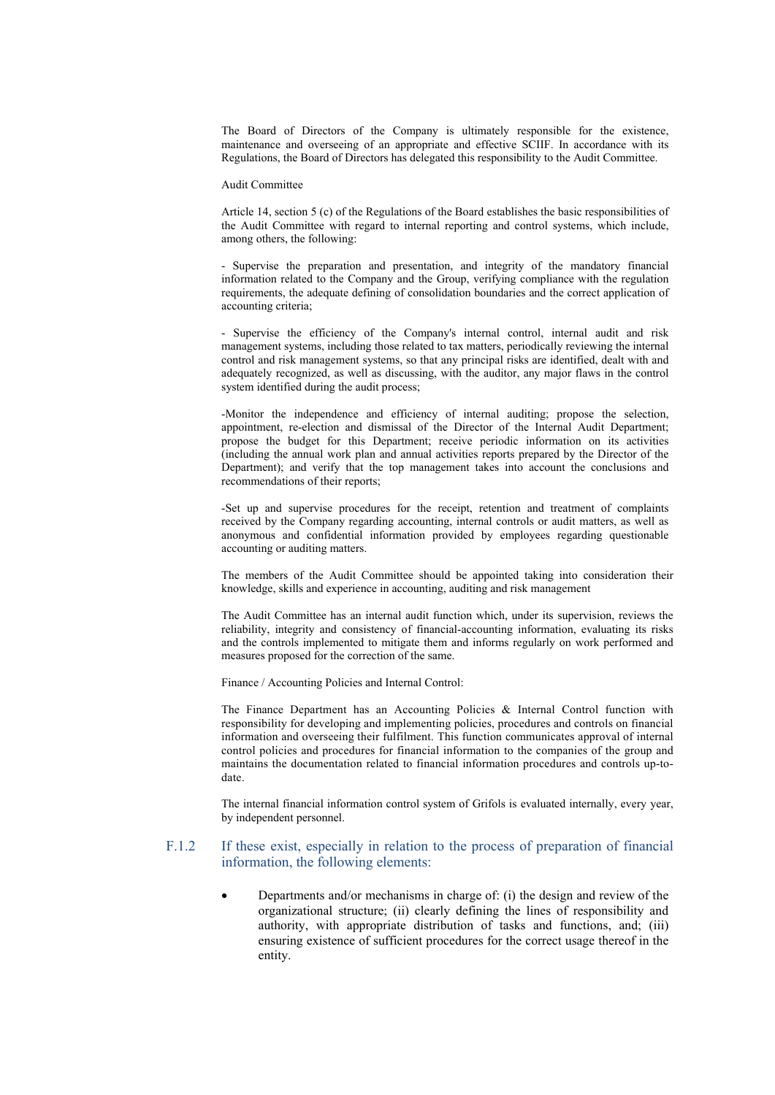The Board of Directors of the Company is ultimately responsible for the existence, maintenance and overseeing of an appropriate and effective SCIIF. In accordance with its Regulations, the Board of Directors has delegated this responsibility to the Audit Committee.

#### Audit Committee

Article 14, section 5 (c) of the Regulations of the Board establishes the basic responsibilities of the Audit Committee with regard to internal reporting and control systems, which include, among others, the following:

- Supervise the preparation and presentation, and integrity of the mandatory financial information related to the Company and the Group, verifying compliance with the regulation requirements, the adequate defining of consolidation boundaries and the correct application of accounting criteria;

- Supervise the efficiency of the Company's internal control, internal audit and risk management systems, including those related to tax matters, periodically reviewing the internal control and risk management systems, so that any principal risks are identified, dealt with and adequately recognized, as well as discussing, with the auditor, any major flaws in the control system identified during the audit process;

-Monitor the independence and efficiency of internal auditing; propose the selection, appointment, re-election and dismissal of the Director of the Internal Audit Department; propose the budget for this Department; receive periodic information on its activities (including the annual work plan and annual activities reports prepared by the Director of the Department); and verify that the top management takes into account the conclusions and recommendations of their reports;

-Set up and supervise procedures for the receipt, retention and treatment of complaints received by the Company regarding accounting, internal controls or audit matters, as well as anonymous and confidential information provided by employees regarding questionable accounting or auditing matters.

The members of the Audit Committee should be appointed taking into consideration their knowledge, skills and experience in accounting, auditing and risk management

The Audit Committee has an internal audit function which, under its supervision, reviews the reliability, integrity and consistency of financial-accounting information, evaluating its risks and the controls implemented to mitigate them and informs regularly on work performed and measures proposed for the correction of the same.

Finance / Accounting Policies and Internal Control:

The Finance Department has an Accounting Policies & Internal Control function with responsibility for developing and implementing policies, procedures and controls on financial information and overseeing their fulfilment. This function communicates approval of internal control policies and procedures for financial information to the companies of the group and maintains the documentation related to financial information procedures and controls up-todate.

The internal financial information control system of Grifols is evaluated internally, every year, by independent personnel.

### F.1.2 If these exist, especially in relation to the process of preparation of financial information, the following elements:

 Departments and/or mechanisms in charge of: (i) the design and review of the organizational structure; (ii) clearly defining the lines of responsibility and authority, with appropriate distribution of tasks and functions, and; (iii) ensuring existence of sufficient procedures for the correct usage thereof in the entity.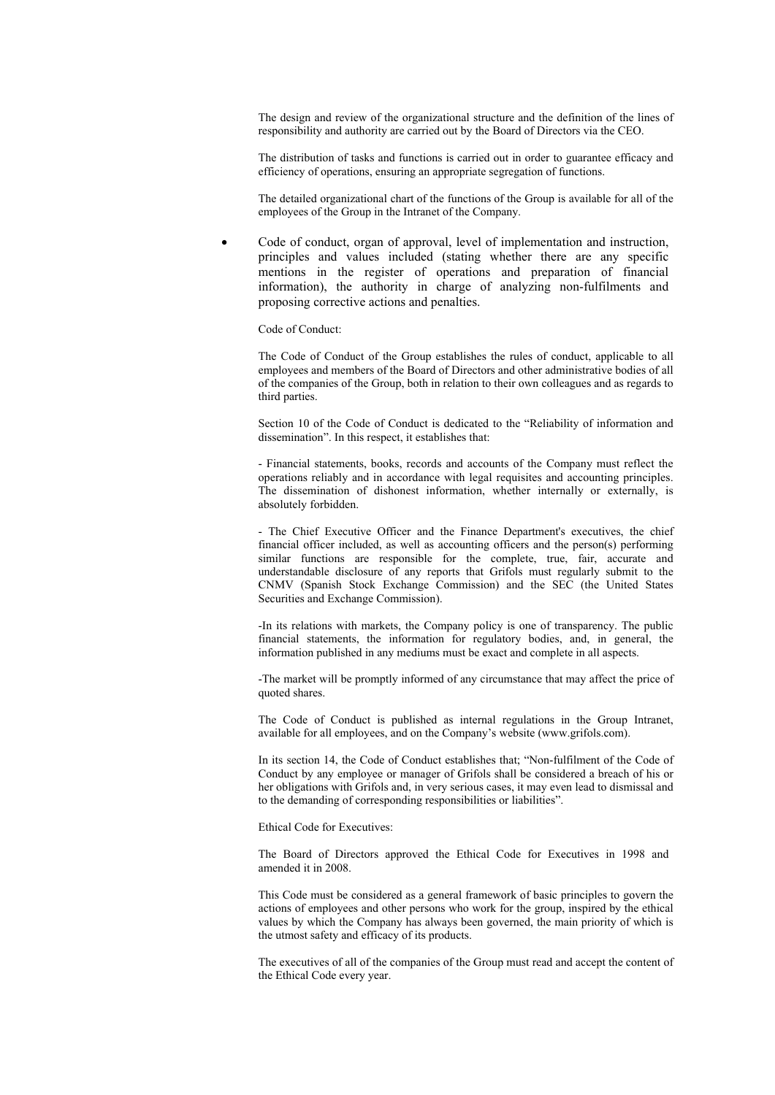The design and review of the organizational structure and the definition of the lines of responsibility and authority are carried out by the Board of Directors via the CEO.

The distribution of tasks and functions is carried out in order to guarantee efficacy and efficiency of operations, ensuring an appropriate segregation of functions.

The detailed organizational chart of the functions of the Group is available for all of the employees of the Group in the Intranet of the Company.

 Code of conduct, organ of approval, level of implementation and instruction, principles and values included (stating whether there are any specific mentions in the register of operations and preparation of financial information), the authority in charge of analyzing non-fulfilments and proposing corrective actions and penalties.

#### Code of Conduct:

The Code of Conduct of the Group establishes the rules of conduct, applicable to all employees and members of the Board of Directors and other administrative bodies of all of the companies of the Group, both in relation to their own colleagues and as regards to third parties.

Section 10 of the Code of Conduct is dedicated to the "Reliability of information and dissemination". In this respect, it establishes that:

- Financial statements, books, records and accounts of the Company must reflect the operations reliably and in accordance with legal requisites and accounting principles. The dissemination of dishonest information, whether internally or externally, is absolutely forbidden.

- The Chief Executive Officer and the Finance Department's executives, the chief financial officer included, as well as accounting officers and the person(s) performing similar functions are responsible for the complete, true, fair, accurate and understandable disclosure of any reports that Grifols must regularly submit to the CNMV (Spanish Stock Exchange Commission) and the SEC (the United States Securities and Exchange Commission).

-In its relations with markets, the Company policy is one of transparency. The public financial statements, the information for regulatory bodies, and, in general, the information published in any mediums must be exact and complete in all aspects.

-The market will be promptly informed of any circumstance that may affect the price of quoted shares.

The Code of Conduct is published as internal regulations in the Group Intranet, available for all employees, and on the Company's website ([www.grifols.com\)](http://www.grifols.com/).

In its section 14, the Code of Conduct establishes that; "Non-fulfilment of the Code of Conduct by any employee or manager of Grifols shall be considered a breach of his or her obligations with Grifols and, in very serious cases, it may even lead to dismissal and to the demanding of corresponding responsibilities or liabilities".

Ethical Code for Executives:

The Board of Directors approved the Ethical Code for Executives in 1998 and amended it in 2008.

This Code must be considered as a general framework of basic principles to govern the actions of employees and other persons who work for the group, inspired by the ethical values by which the Company has always been governed, the main priority of which is the utmost safety and efficacy of its products.

The executives of all of the companies of the Group must read and accept the content of the Ethical Code every year.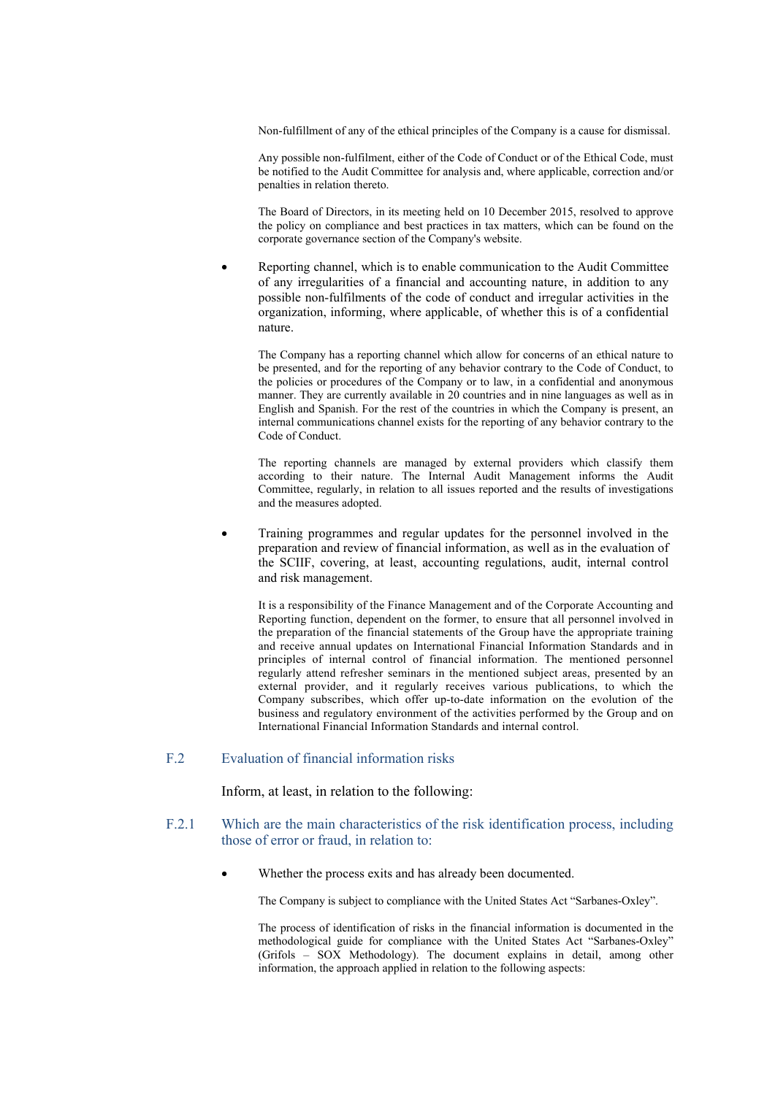Non-fulfillment of any of the ethical principles of the Company is a cause for dismissal.

Any possible non-fulfilment, either of the Code of Conduct or of the Ethical Code, must be notified to the Audit Committee for analysis and, where applicable, correction and/or penalties in relation thereto.

The Board of Directors, in its meeting held on 10 December 2015, resolved to approve the policy on compliance and best practices in tax matters, which can be found on the corporate governance section of the Company's website.

 Reporting channel, which is to enable communication to the Audit Committee of any irregularities of a financial and accounting nature, in addition to any possible non-fulfilments of the code of conduct and irregular activities in the organization, informing, where applicable, of whether this is of a confidential nature.

The Company has a reporting channel which allow for concerns of an ethical nature to be presented, and for the reporting of any behavior contrary to the Code of Conduct, to the policies or procedures of the Company or to law, in a confidential and anonymous manner. They are currently available in 20 countries and in nine languages as well as in English and Spanish. For the rest of the countries in which the Company is present, an internal communications channel exists for the reporting of any behavior contrary to the Code of Conduct.

The reporting channels are managed by external providers which classify them according to their nature. The Internal Audit Management informs the Audit Committee, regularly, in relation to all issues reported and the results of investigations and the measures adopted.

• Training programmes and regular updates for the personnel involved in the preparation and review of financial information, as well as in the evaluation of the SCIIF, covering, at least, accounting regulations, audit, internal control and risk management.

It is a responsibility of the Finance Management and of the Corporate Accounting and Reporting function, dependent on the former, to ensure that all personnel involved in the preparation of the financial statements of the Group have the appropriate training and receive annual updates on International Financial Information Standards and in principles of internal control of financial information. The mentioned personnel regularly attend refresher seminars in the mentioned subject areas, presented by an external provider, and it regularly receives various publications, to which the Company subscribes, which offer up-to-date information on the evolution of the business and regulatory environment of the activities performed by the Group and on International Financial Information Standards and internal control.

# F.2 Evaluation of financial information risks

Inform, at least, in relation to the following:

- F.2.1 Which are the main characteristics of the risk identification process, including those of error or fraud, in relation to:
	- Whether the process exits and has already been documented.

The Company is subject to compliance with the United States Act "Sarbanes-Oxley".

The process of identification of risks in the financial information is documented in the methodological guide for compliance with the United States Act "Sarbanes-Oxley" (Grifols – SOX Methodology). The document explains in detail, among other information, the approach applied in relation to the following aspects: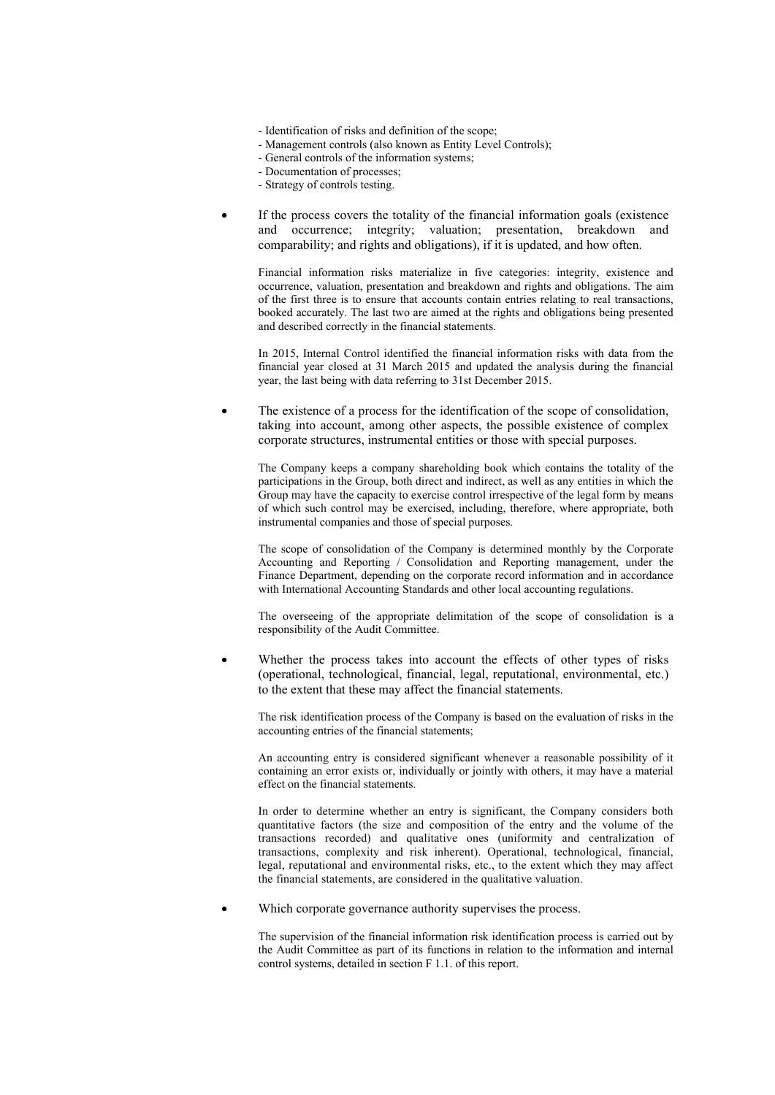- Identification of risks and definition of the scope;
- Management controls (also known as Entity Level Controls);
- General controls of the information systems;
- Documentation of processes;
- Strategy of controls testing.
- If the process covers the totality of the financial information goals (existence and occurrence; integrity; valuation; presentation, breakdown and comparability; and rights and obligations), if it is updated, and how often.

Financial information risks materialize in five categories: integrity, existence and occurrence, valuation, presentation and breakdown and rights and obligations. The aim of the first three is to ensure that accounts contain entries relating to real transactions, booked accurately. The last two are aimed at the rights and obligations being presented and described correctly in the financial statements.

In 2015, Internal Control identified the financial information risks with data from the financial year closed at 31 March 2015 and updated the analysis during the financial year, the last being with data referring to 31st December 2015.

 The existence of a process for the identification of the scope of consolidation, taking into account, among other aspects, the possible existence of complex corporate structures, instrumental entities or those with special purposes.

The Company keeps a company shareholding book which contains the totality of the participations in the Group, both direct and indirect, as well as any entities in which the Group may have the capacity to exercise control irrespective of the legal form by means of which such control may be exercised, including, therefore, where appropriate, both instrumental companies and those of special purposes.

The scope of consolidation of the Company is determined monthly by the Corporate Accounting and Reporting / Consolidation and Reporting management, under the Finance Department, depending on the corporate record information and in accordance with International Accounting Standards and other local accounting regulations.

The overseeing of the appropriate delimitation of the scope of consolidation is a responsibility of the Audit Committee.

 Whether the process takes into account the effects of other types of risks (operational, technological, financial, legal, reputational, environmental, etc.) to the extent that these may affect the financial statements.

The risk identification process of the Company is based on the evaluation of risks in the accounting entries of the financial statements;

An accounting entry is considered significant whenever a reasonable possibility of it containing an error exists or, individually or jointly with others, it may have a material effect on the financial statements.

In order to determine whether an entry is significant, the Company considers both quantitative factors (the size and composition of the entry and the volume of the transactions recorded) and qualitative ones (uniformity and centralization of transactions, complexity and risk inherent). Operational, technological, financial, legal, reputational and environmental risks, etc., to the extent which they may affect the financial statements, are considered in the qualitative valuation.

Which corporate governance authority supervises the process.

The supervision of the financial information risk identification process is carried out by the Audit Committee as part of its functions in relation to the information and internal control systems, detailed in section F 1.1. of this report.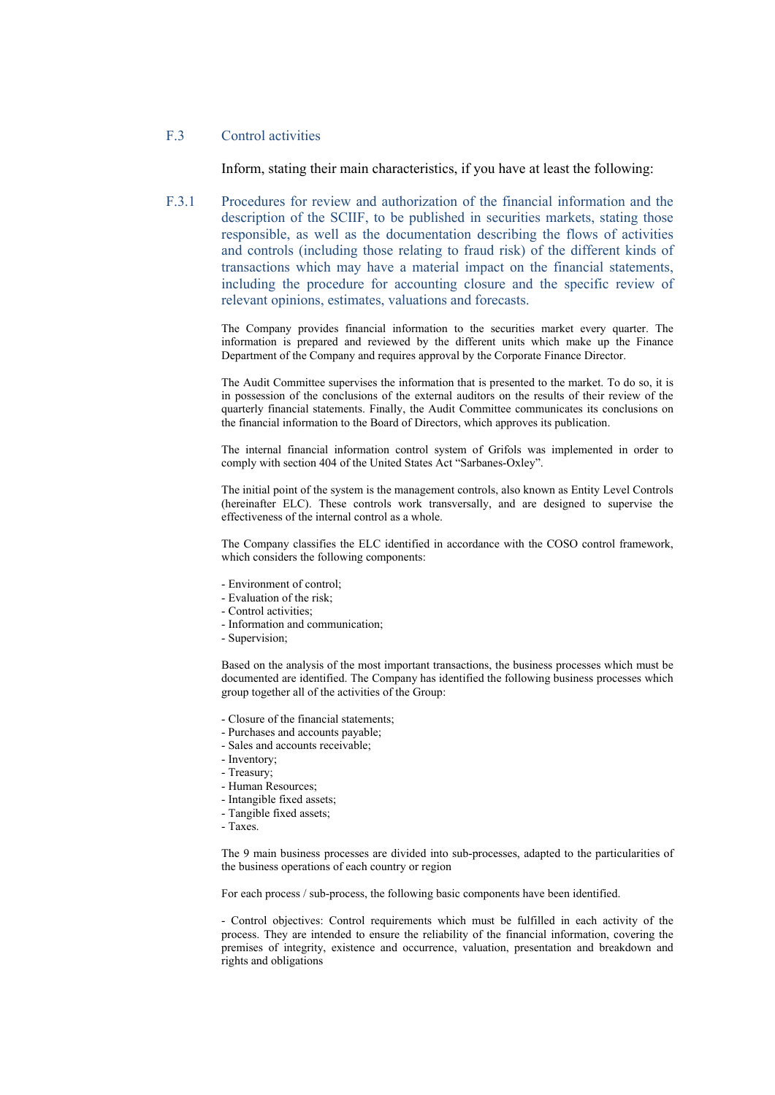### F.3 Control activities

Inform, stating their main characteristics, if you have at least the following:

F.3.1 Procedures for review and authorization of the financial information and the description of the SCIIF, to be published in securities markets, stating those responsible, as well as the documentation describing the flows of activities and controls (including those relating to fraud risk) of the different kinds of transactions which may have a material impact on the financial statements, including the procedure for accounting closure and the specific review of relevant opinions, estimates, valuations and forecasts.

> The Company provides financial information to the securities market every quarter. The information is prepared and reviewed by the different units which make up the Finance Department of the Company and requires approval by the Corporate Finance Director.

> The Audit Committee supervises the information that is presented to the market. To do so, it is in possession of the conclusions of the external auditors on the results of their review of the quarterly financial statements. Finally, the Audit Committee communicates its conclusions on the financial information to the Board of Directors, which approves its publication.

> The internal financial information control system of Grifols was implemented in order to comply with section 404 of the United States Act "Sarbanes-Oxley".

> The initial point of the system is the management controls, also known as Entity Level Controls (hereinafter ELC). These controls work transversally, and are designed to supervise the effectiveness of the internal control as a whole.

> The Company classifies the ELC identified in accordance with the COSO control framework, which considers the following components:

- Environment of control;
- Evaluation of the risk;
- Control activities;
- Information and communication;
- Supervision;

Based on the analysis of the most important transactions, the business processes which must be documented are identified. The Company has identified the following business processes which group together all of the activities of the Group:

- Closure of the financial statements;
- Purchases and accounts payable;
- Sales and accounts receivable;
- Inventory;
- Treasury;
- Human Resources;
- Intangible fixed assets;
- Tangible fixed assets;
- Taxes.

The 9 main business processes are divided into sub-processes, adapted to the particularities of the business operations of each country or region

For each process / sub-process, the following basic components have been identified.

- Control objectives: Control requirements which must be fulfilled in each activity of the process. They are intended to ensure the reliability of the financial information, covering the premises of integrity, existence and occurrence, valuation, presentation and breakdown and rights and obligations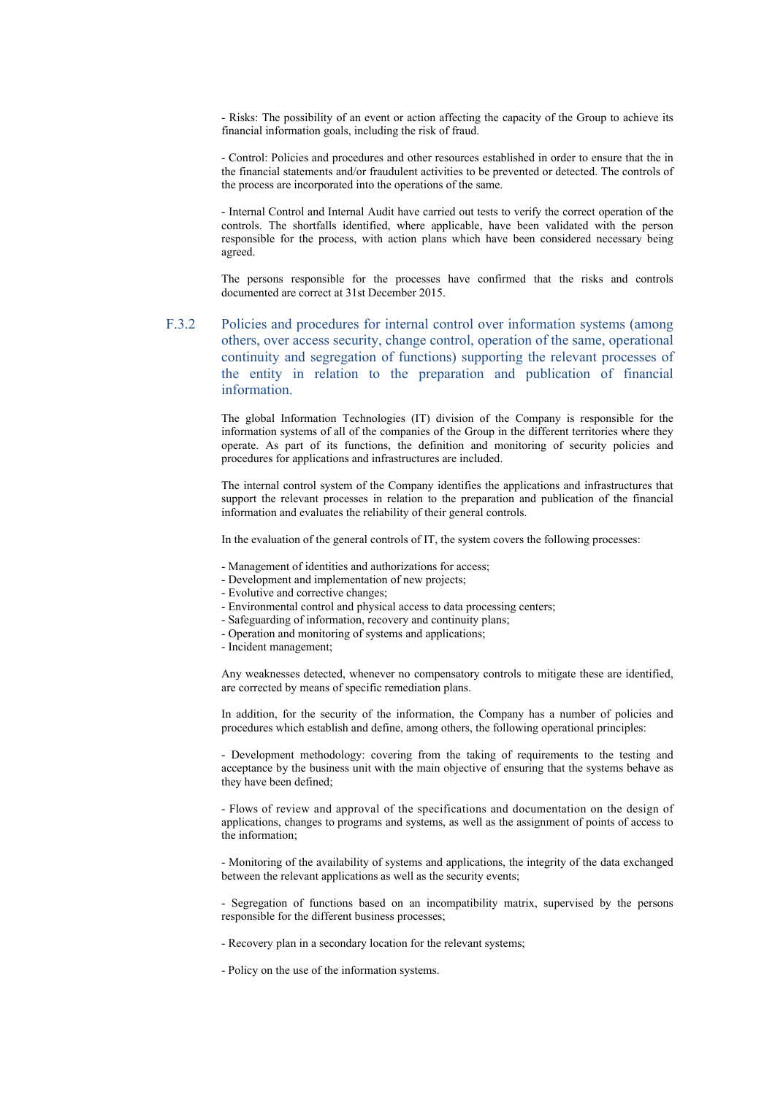- Risks: The possibility of an event or action affecting the capacity of the Group to achieve its financial information goals, including the risk of fraud.

- Control: Policies and procedures and other resources established in order to ensure that the in the financial statements and/or fraudulent activities to be prevented or detected. The controls of the process are incorporated into the operations of the same.

- Internal Control and Internal Audit have carried out tests to verify the correct operation of the controls. The shortfalls identified, where applicable, have been validated with the person responsible for the process, with action plans which have been considered necessary being agreed.

The persons responsible for the processes have confirmed that the risks and controls documented are correct at 31st December 2015.

F.3.2 Policies and procedures for internal control over information systems (among others, over access security, change control, operation of the same, operational continuity and segregation of functions) supporting the relevant processes of the entity in relation to the preparation and publication of financial information.

> The global Information Technologies (IT) division of the Company is responsible for the information systems of all of the companies of the Group in the different territories where they operate. As part of its functions, the definition and monitoring of security policies and procedures for applications and infrastructures are included.

> The internal control system of the Company identifies the applications and infrastructures that support the relevant processes in relation to the preparation and publication of the financial information and evaluates the reliability of their general controls.

In the evaluation of the general controls of IT, the system covers the following processes:

- Management of identities and authorizations for access;
- Development and implementation of new projects;
- Evolutive and corrective changes;
- Environmental control and physical access to data processing centers;
- Safeguarding of information, recovery and continuity plans;
- Operation and monitoring of systems and applications;
- Incident management;

Any weaknesses detected, whenever no compensatory controls to mitigate these are identified, are corrected by means of specific remediation plans.

In addition, for the security of the information, the Company has a number of policies and procedures which establish and define, among others, the following operational principles:

- Development methodology: covering from the taking of requirements to the testing and acceptance by the business unit with the main objective of ensuring that the systems behave as they have been defined;

- Flows of review and approval of the specifications and documentation on the design of applications, changes to programs and systems, as well as the assignment of points of access to the information;

- Monitoring of the availability of systems and applications, the integrity of the data exchanged between the relevant applications as well as the security events;

- Segregation of functions based on an incompatibility matrix, supervised by the persons responsible for the different business processes;

- Recovery plan in a secondary location for the relevant systems;
- Policy on the use of the information systems.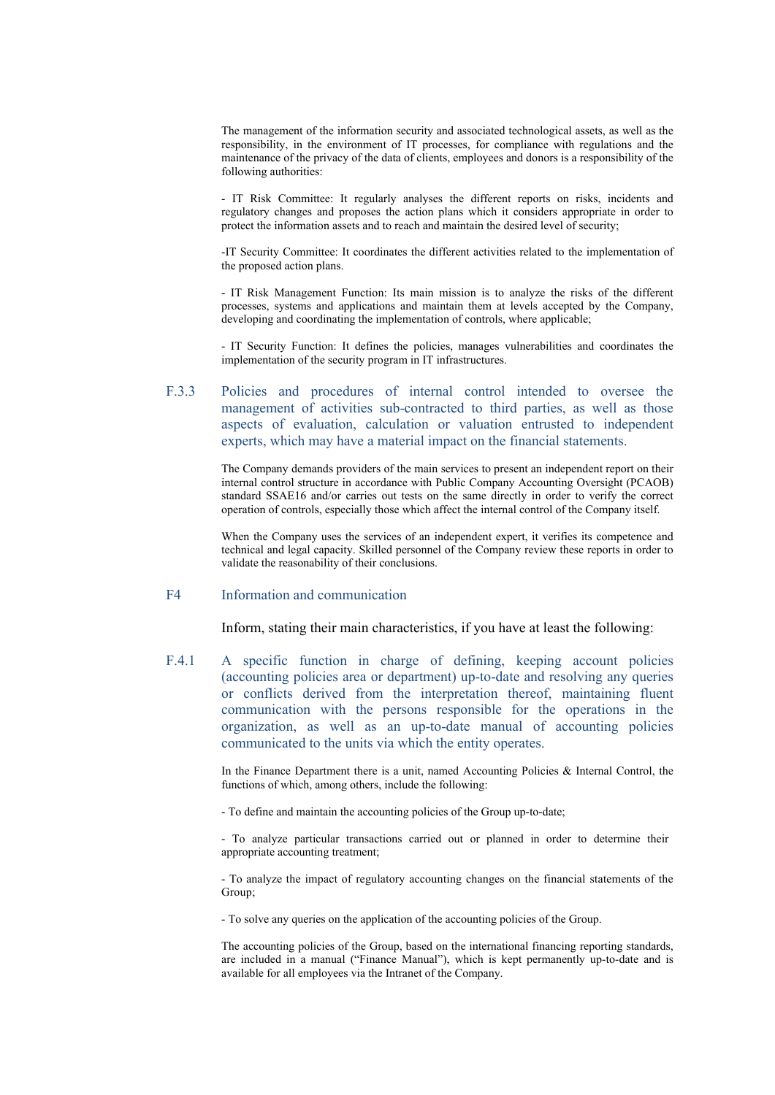The management of the information security and associated technological assets, as well as the responsibility, in the environment of IT processes, for compliance with regulations and the maintenance of the privacy of the data of clients, employees and donors is a responsibility of the following authorities:

- IT Risk Committee: It regularly analyses the different reports on risks, incidents and regulatory changes and proposes the action plans which it considers appropriate in order to protect the information assets and to reach and maintain the desired level of security;

-IT Security Committee: It coordinates the different activities related to the implementation of the proposed action plans.

- IT Risk Management Function: Its main mission is to analyze the risks of the different processes, systems and applications and maintain them at levels accepted by the Company, developing and coordinating the implementation of controls, where applicable;

- IT Security Function: It defines the policies, manages vulnerabilities and coordinates the implementation of the security program in IT infrastructures.

# F.3.3 Policies and procedures of internal control intended to oversee the management of activities sub-contracted to third parties, as well as those aspects of evaluation, calculation or valuation entrusted to independent experts, which may have a material impact on the financial statements.

The Company demands providers of the main services to present an independent report on their internal control structure in accordance with Public Company Accounting Oversight (PCAOB) standard SSAE16 and/or carries out tests on the same directly in order to verify the correct operation of controls, especially those which affect the internal control of the Company itself.

When the Company uses the services of an independent expert, it verifies its competence and technical and legal capacity. Skilled personnel of the Company review these reports in order to validate the reasonability of their conclusions.

### F4 Information and communication

Inform, stating their main characteristics, if you have at least the following:

F.4.1 A specific function in charge of defining, keeping account policies (accounting policies area or department) up-to-date and resolving any queries or conflicts derived from the interpretation thereof, maintaining fluent communication with the persons responsible for the operations in the organization, as well as an up-to-date manual of accounting policies communicated to the units via which the entity operates.

> In the Finance Department there is a unit, named Accounting Policies  $\&$  Internal Control, the functions of which, among others, include the following:

- To define and maintain the accounting policies of the Group up-to-date;

- To analyze particular transactions carried out or planned in order to determine their appropriate accounting treatment;

- To analyze the impact of regulatory accounting changes on the financial statements of the Group;

- To solve any queries on the application of the accounting policies of the Group.

The accounting policies of the Group, based on the international financing reporting standards, are included in a manual ("Finance Manual"), which is kept permanently up-to-date and is available for all employees via the Intranet of the Company.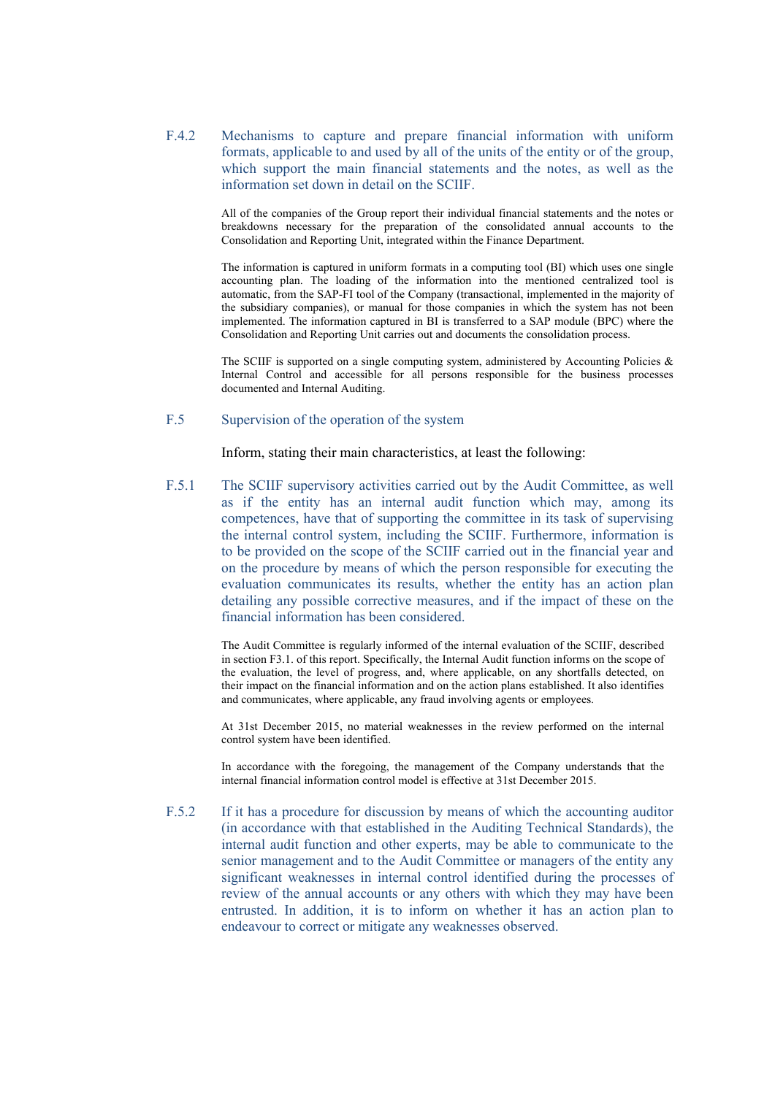F.4.2 Mechanisms to capture and prepare financial information with uniform formats, applicable to and used by all of the units of the entity or of the group, which support the main financial statements and the notes, as well as the information set down in detail on the SCIIF.

> All of the companies of the Group report their individual financial statements and the notes or breakdowns necessary for the preparation of the consolidated annual accounts to the Consolidation and Reporting Unit, integrated within the Finance Department.

> The information is captured in uniform formats in a computing tool (BI) which uses one single accounting plan. The loading of the information into the mentioned centralized tool is automatic, from the SAP-FI tool of the Company (transactional, implemented in the majority of the subsidiary companies), or manual for those companies in which the system has not been implemented. The information captured in BI is transferred to a SAP module (BPC) where the Consolidation and Reporting Unit carries out and documents the consolidation process.

> The SCIIF is supported on a single computing system, administered by Accounting Policies  $\&$ Internal Control and accessible for all persons responsible for the business processes documented and Internal Auditing.

# F.5 Supervision of the operation of the system

Inform, stating their main characteristics, at least the following:

F.5.1 The SCIIF supervisory activities carried out by the Audit Committee, as well as if the entity has an internal audit function which may, among its competences, have that of supporting the committee in its task of supervising the internal control system, including the SCIIF. Furthermore, information is to be provided on the scope of the SCIIF carried out in the financial year and on the procedure by means of which the person responsible for executing the evaluation communicates its results, whether the entity has an action plan detailing any possible corrective measures, and if the impact of these on the financial information has been considered.

> The Audit Committee is regularly informed of the internal evaluation of the SCIIF, described in section F3.1. of this report. Specifically, the Internal Audit function informs on the scope of the evaluation, the level of progress, and, where applicable, on any shortfalls detected, on their impact on the financial information and on the action plans established. It also identifies and communicates, where applicable, any fraud involving agents or employees.

> At 31st December 2015, no material weaknesses in the review performed on the internal control system have been identified.

> In accordance with the foregoing, the management of the Company understands that the internal financial information control model is effective at 31st December 2015.

F.5.2 If it has a procedure for discussion by means of which the accounting auditor (in accordance with that established in the Auditing Technical Standards), the internal audit function and other experts, may be able to communicate to the senior management and to the Audit Committee or managers of the entity any significant weaknesses in internal control identified during the processes of review of the annual accounts or any others with which they may have been entrusted. In addition, it is to inform on whether it has an action plan to endeavour to correct or mitigate any weaknesses observed.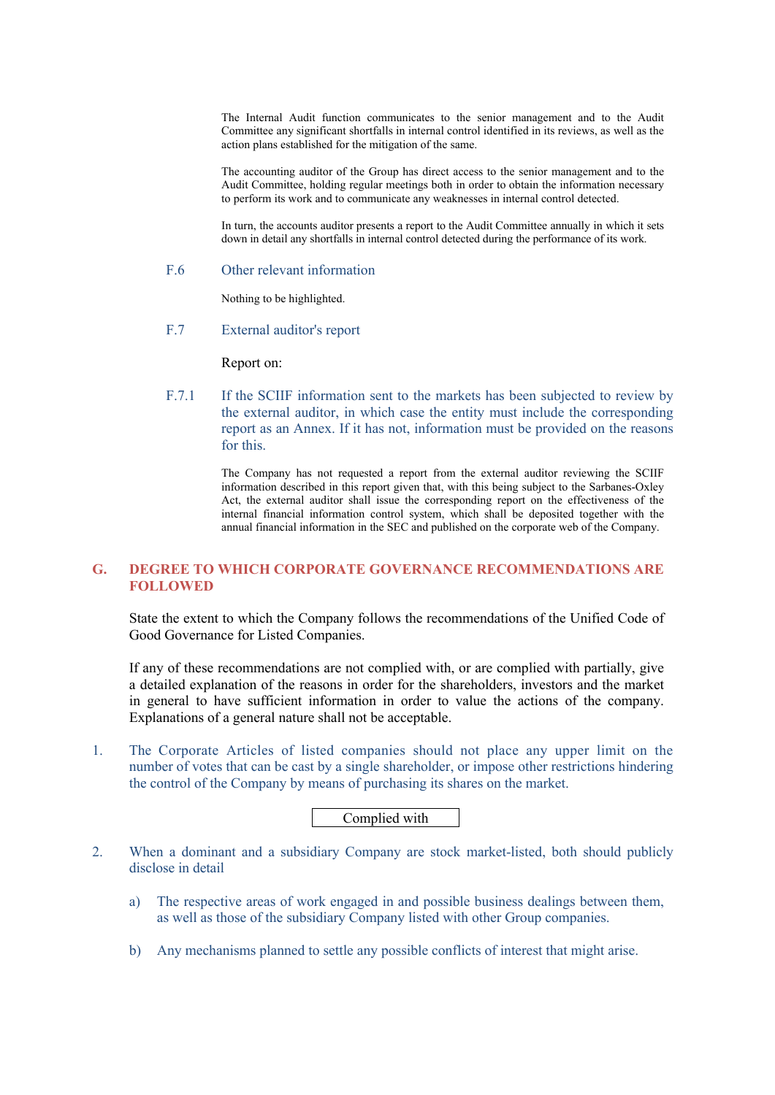The Internal Audit function communicates to the senior management and to the Audit Committee any significant shortfalls in internal control identified in its reviews, as well as the action plans established for the mitigation of the same.

The accounting auditor of the Group has direct access to the senior management and to the Audit Committee, holding regular meetings both in order to obtain the information necessary to perform its work and to communicate any weaknesses in internal control detected.

In turn, the accounts auditor presents a report to the Audit Committee annually in which it sets down in detail any shortfalls in internal control detected during the performance of its work.

### F.6 Other relevant information

Nothing to be highlighted.

F.7 External auditor's report

Report on:

F.7.1 If the SCIIF information sent to the markets has been subjected to review by the external auditor, in which case the entity must include the corresponding report as an Annex. If it has not, information must be provided on the reasons for this.

> The Company has not requested a report from the external auditor reviewing the SCIIF information described in this report given that, with this being subject to the Sarbanes-Oxley Act, the external auditor shall issue the corresponding report on the effectiveness of the internal financial information control system, which shall be deposited together with the annual financial information in the SEC and published on the corporate web of the Company.

# **G. DEGREE TO WHICH CORPORATE GOVERNANCE RECOMMENDATIONS ARE FOLLOWED**

State the extent to which the Company follows the recommendations of the Unified Code of Good Governance for Listed Companies.

If any of these recommendations are not complied with, or are complied with partially, give a detailed explanation of the reasons in order for the shareholders, investors and the market in general to have sufficient information in order to value the actions of the company. Explanations of a general nature shall not be acceptable.

1. The Corporate Articles of listed companies should not place any upper limit on the number of votes that can be cast by a single shareholder, or impose other restrictions hindering the control of the Company by means of purchasing its shares on the market.

Complied with

- 2. When a dominant and a subsidiary Company are stock market-listed, both should publicly disclose in detail
	- a) The respective areas of work engaged in and possible business dealings between them, as well as those of the subsidiary Company listed with other Group companies.
	- b) Any mechanisms planned to settle any possible conflicts of interest that might arise.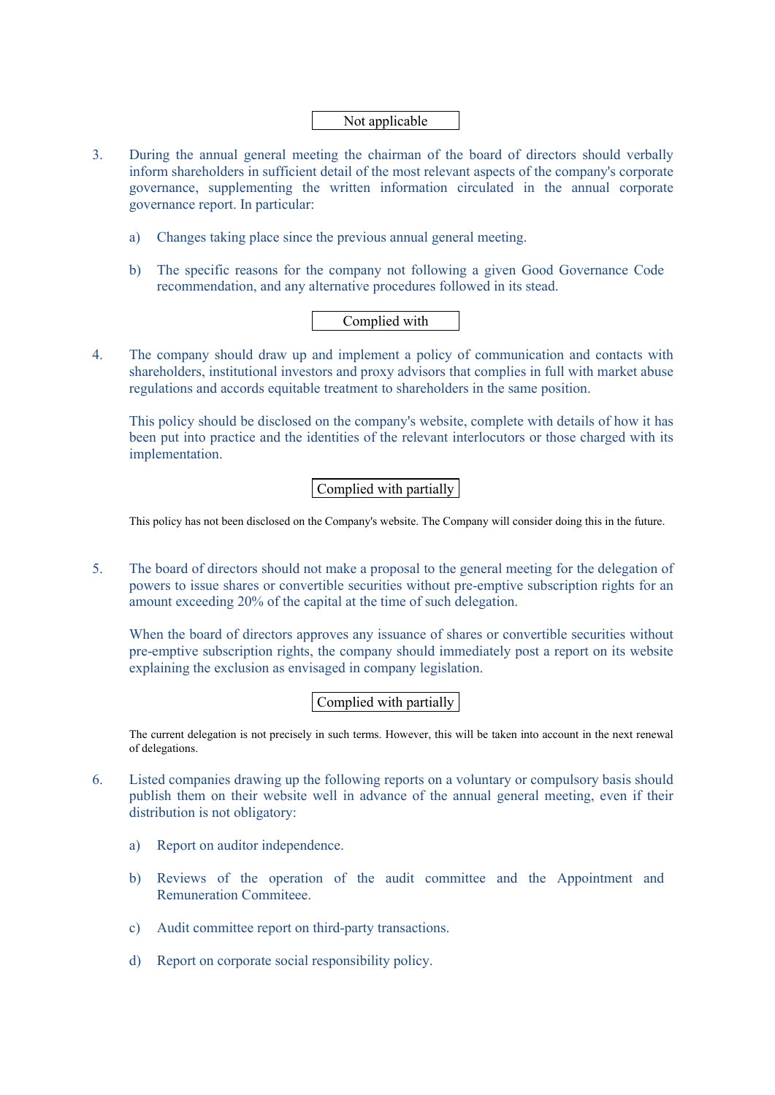# Not applicable

- 3. During the annual general meeting the chairman of the board of directors should verbally inform shareholders in sufficient detail of the most relevant aspects of the company's corporate governance, supplementing the written information circulated in the annual corporate governance report. In particular:
	- a) Changes taking place since the previous annual general meeting.
	- b) The specific reasons for the company not following a given Good Governance Code recommendation, and any alternative procedures followed in its stead.

# Complied with

4. The company should draw up and implement a policy of communication and contacts with shareholders, institutional investors and proxy advisors that complies in full with market abuse regulations and accords equitable treatment to shareholders in the same position.

This policy should be disclosed on the company's website, complete with details of how it has been put into practice and the identities of the relevant interlocutors or those charged with its implementation.

# Complied with partially

This policy has not been disclosed on the Company's website. The Company will consider doing this in the future.

5. The board of directors should not make a proposal to the general meeting for the delegation of powers to issue shares or convertible securities without pre-emptive subscription rights for an amount exceeding 20% of the capital at the time of such delegation.

When the board of directors approves any issuance of shares or convertible securities without pre-emptive subscription rights, the company should immediately post a report on its website explaining the exclusion as envisaged in company legislation.

# Complied with partially

The current delegation is not precisely in such terms. However, this will be taken into account in the next renewal of delegations.

- 6. Listed companies drawing up the following reports on a voluntary or compulsory basis should publish them on their website well in advance of the annual general meeting, even if their distribution is not obligatory:
	- a) Report on auditor independence.
	- b) Reviews of the operation of the audit committee and the Appointment and Remuneration Commiteee.
	- c) Audit committee report on third-party transactions.
	- d) Report on corporate social responsibility policy.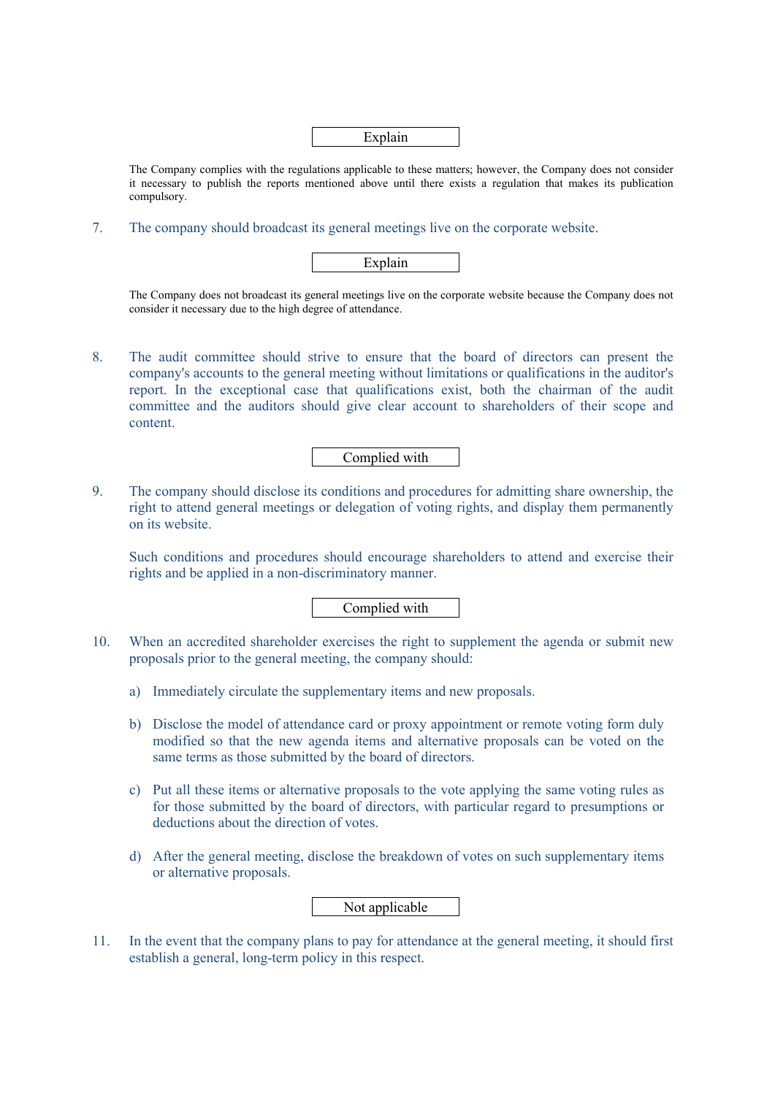|--|

The Company complies with the regulations applicable to these matters; however, the Company does not consider it necessary to publish the reports mentioned above until there exists a regulation that makes its publication compulsory.

7. The company should broadcast its general meetings live on the corporate website.

| n<br><u>_</u> |  |
|---------------|--|
|               |  |

The Company does not broadcast its general meetings live on the corporate website because the Company does not consider it necessary due to the high degree of attendance.

8. The audit committee should strive to ensure that the board of directors can present the company's accounts to the general meeting without limitations or qualifications in the auditor's report. In the exceptional case that qualifications exist, both the chairman of the audit committee and the auditors should give clear account to shareholders of their scope and content.

Complied with

9. The company should disclose its conditions and procedures for admitting share ownership, the right to attend general meetings or delegation of voting rights, and display them permanently on its website.

Such conditions and procedures should encourage shareholders to attend and exercise their rights and be applied in a non-discriminatory manner.

Complied with

- 10. When an accredited shareholder exercises the right to supplement the agenda or submit new proposals prior to the general meeting, the company should:
	- a) Immediately circulate the supplementary items and new proposals.
	- b) Disclose the model of attendance card or proxy appointment or remote voting form duly modified so that the new agenda items and alternative proposals can be voted on the same terms as those submitted by the board of directors.
	- c) Put all these items or alternative proposals to the vote applying the same voting rules as for those submitted by the board of directors, with particular regard to presumptions or deductions about the direction of votes.
	- d) After the general meeting, disclose the breakdown of votes on such supplementary items or alternative proposals.

# Not applicable

11. In the event that the company plans to pay for attendance at the general meeting, it should first establish a general, long-term policy in this respect.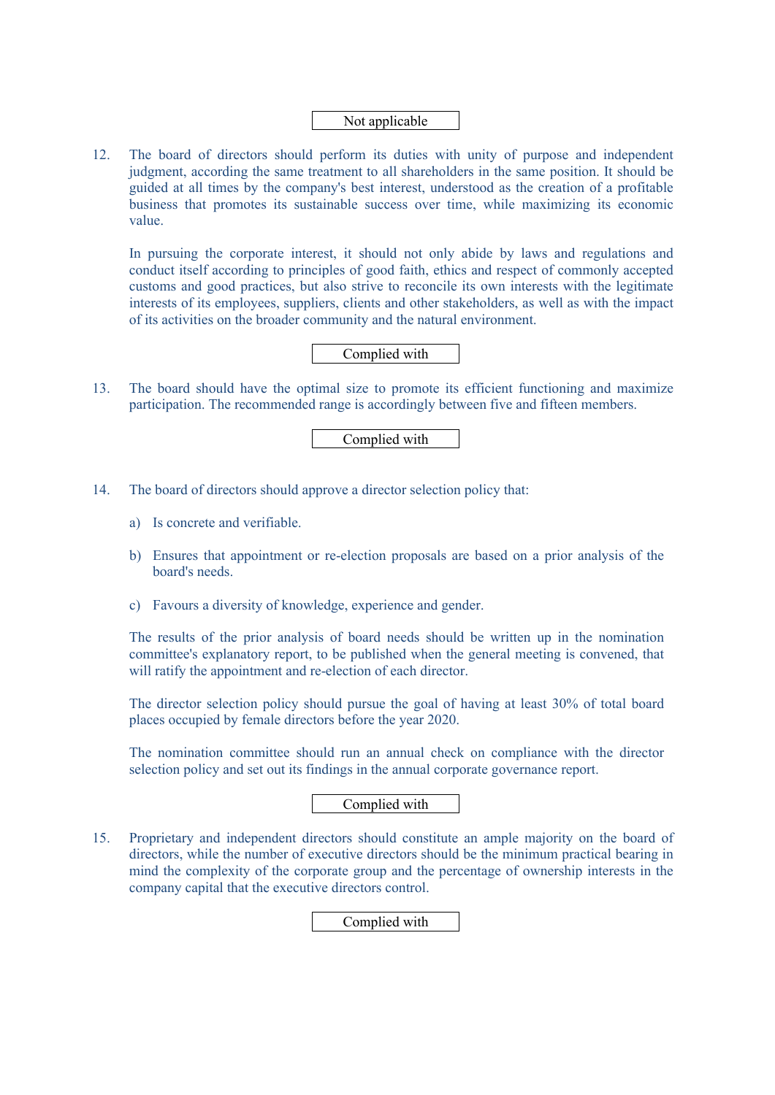# Not applicable

12. The board of directors should perform its duties with unity of purpose and independent judgment, according the same treatment to all shareholders in the same position. It should be guided at all times by the company's best interest, understood as the creation of a profitable business that promotes its sustainable success over time, while maximizing its economic value.

In pursuing the corporate interest, it should not only abide by laws and regulations and conduct itself according to principles of good faith, ethics and respect of commonly accepted customs and good practices, but also strive to reconcile its own interests with the legitimate interests of its employees, suppliers, clients and other stakeholders, as well as with the impact of its activities on the broader community and the natural environment.

# Complied with

13. The board should have the optimal size to promote its efficient functioning and maximize participation. The recommended range is accordingly between five and fifteen members.

Complied with

- 14. The board of directors should approve a director selection policy that:
	- a) Is concrete and verifiable.
	- b) Ensures that appointment or re-election proposals are based on a prior analysis of the board's needs.
	- c) Favours a diversity of knowledge, experience and gender.

The results of the prior analysis of board needs should be written up in the nomination committee's explanatory report, to be published when the general meeting is convened, that will ratify the appointment and re-election of each director.

The director selection policy should pursue the goal of having at least 30% of total board places occupied by female directors before the year 2020.

The nomination committee should run an annual check on compliance with the director selection policy and set out its findings in the annual corporate governance report.

# Complied with

15. Proprietary and independent directors should constitute an ample majority on the board of directors, while the number of executive directors should be the minimum practical bearing in mind the complexity of the corporate group and the percentage of ownership interests in the company capital that the executive directors control.

Complied with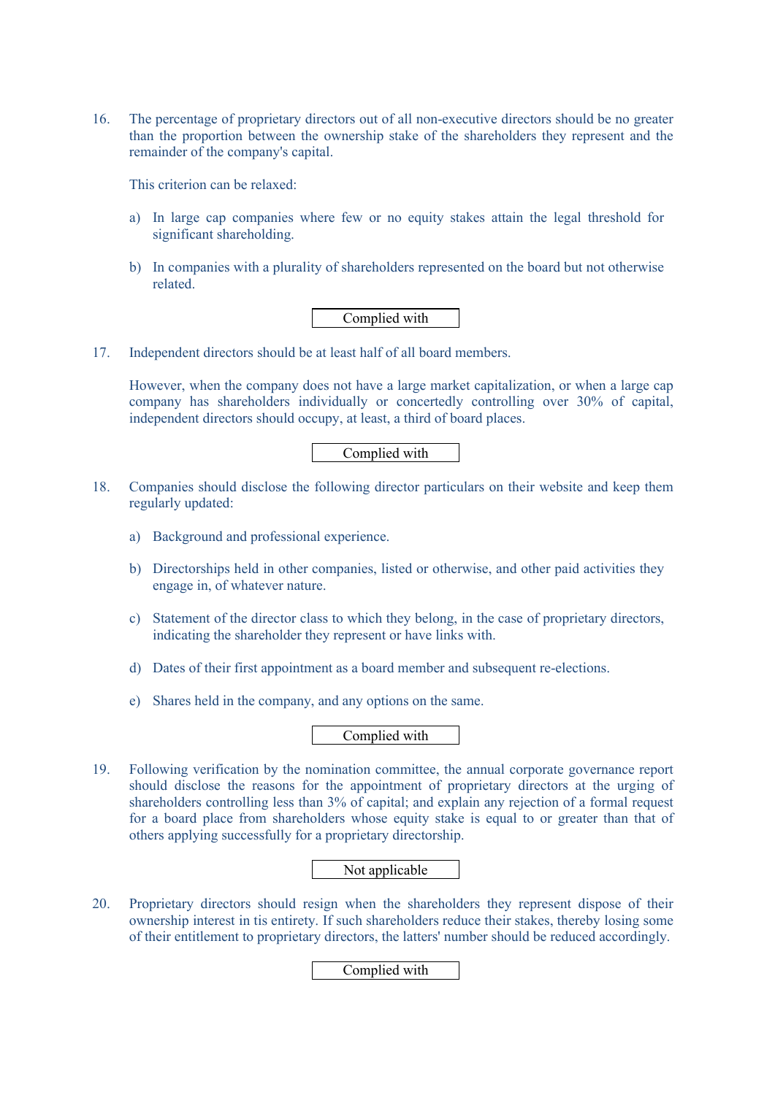16. The percentage of proprietary directors out of all non-executive directors should be no greater than the proportion between the ownership stake of the shareholders they represent and the remainder of the company's capital.

This criterion can be relaxed:

- a) In large cap companies where few or no equity stakes attain the legal threshold for significant shareholding.
- b) In companies with a plurality of shareholders represented on the board but not otherwise related.

# Complied with

17. Independent directors should be at least half of all board members.

However, when the company does not have a large market capitalization, or when a large cap company has shareholders individually or concertedly controlling over 30% of capital, independent directors should occupy, at least, a third of board places.

# Complied with

- 18. Companies should disclose the following director particulars on their website and keep them regularly updated:
	- a) Background and professional experience.
	- b) Directorships held in other companies, listed or otherwise, and other paid activities they engage in, of whatever nature.
	- c) Statement of the director class to which they belong, in the case of proprietary directors, indicating the shareholder they represent or have links with.
	- d) Dates of their first appointment as a board member and subsequent re-elections.
	- e) Shares held in the company, and any options on the same.

# Complied with

19. Following verification by the nomination committee, the annual corporate governance report should disclose the reasons for the appointment of proprietary directors at the urging of shareholders controlling less than 3% of capital; and explain any rejection of a formal request for a board place from shareholders whose equity stake is equal to or greater than that of others applying successfully for a proprietary directorship.

# Not applicable

20. Proprietary directors should resign when the shareholders they represent dispose of their ownership interest in tis entirety. If such shareholders reduce their stakes, thereby losing some of their entitlement to proprietary directors, the latters' number should be reduced accordingly.

# Complied with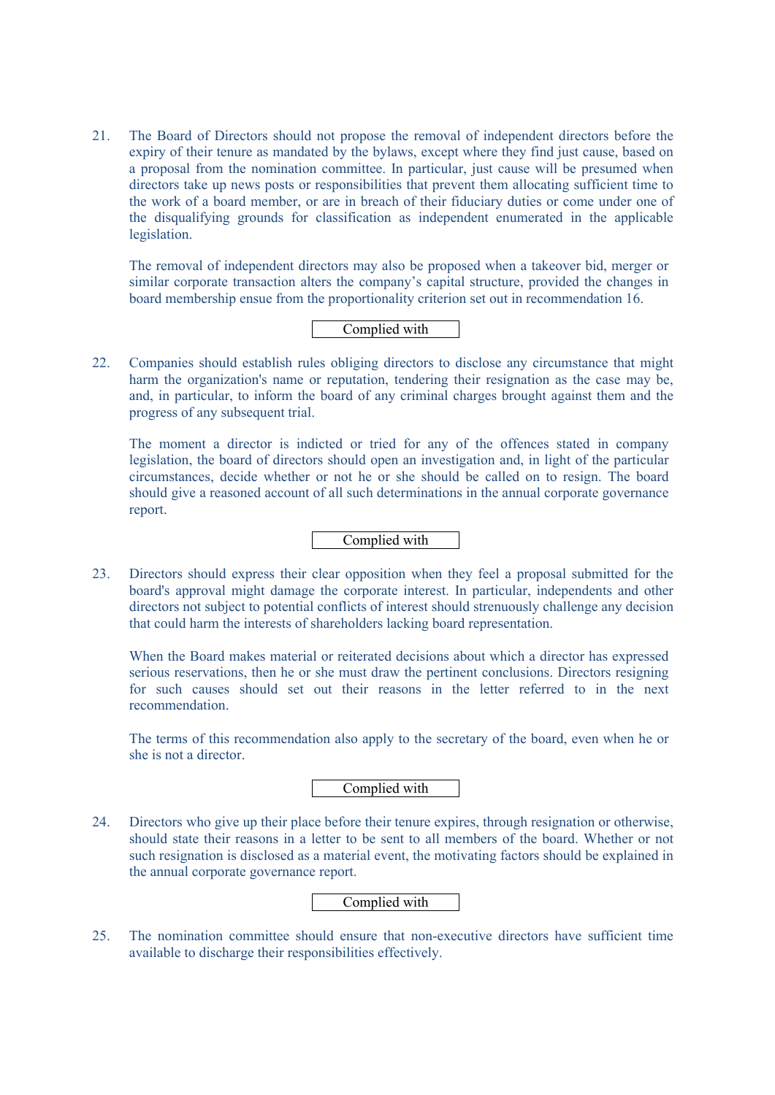21. The Board of Directors should not propose the removal of independent directors before the expiry of their tenure as mandated by the bylaws, except where they find just cause, based on a proposal from the nomination committee. In particular, just cause will be presumed when directors take up news posts or responsibilities that prevent them allocating sufficient time to the work of a board member, or are in breach of their fiduciary duties or come under one of the disqualifying grounds for classification as independent enumerated in the applicable legislation.

The removal of independent directors may also be proposed when a takeover bid, merger or similar corporate transaction alters the company's capital structure, provided the changes in board membership ensue from the proportionality criterion set out in recommendation 16.

### Complied with

22. Companies should establish rules obliging directors to disclose any circumstance that might harm the organization's name or reputation, tendering their resignation as the case may be, and, in particular, to inform the board of any criminal charges brought against them and the progress of any subsequent trial.

The moment a director is indicted or tried for any of the offences stated in company legislation, the board of directors should open an investigation and, in light of the particular circumstances, decide whether or not he or she should be called on to resign. The board should give a reasoned account of all such determinations in the annual corporate governance report.

# Complied with

23. Directors should express their clear opposition when they feel a proposal submitted for the board's approval might damage the corporate interest. In particular, independents and other directors not subject to potential conflicts of interest should strenuously challenge any decision that could harm the interests of shareholders lacking board representation.

When the Board makes material or reiterated decisions about which a director has expressed serious reservations, then he or she must draw the pertinent conclusions. Directors resigning for such causes should set out their reasons in the letter referred to in the next recommendation.

The terms of this recommendation also apply to the secretary of the board, even when he or she is not a director.

# Complied with

24. Directors who give up their place before their tenure expires, through resignation or otherwise, should state their reasons in a letter to be sent to all members of the board. Whether or not such resignation is disclosed as a material event, the motivating factors should be explained in the annual corporate governance report.

### Complied with

25. The nomination committee should ensure that non-executive directors have sufficient time available to discharge their responsibilities effectively.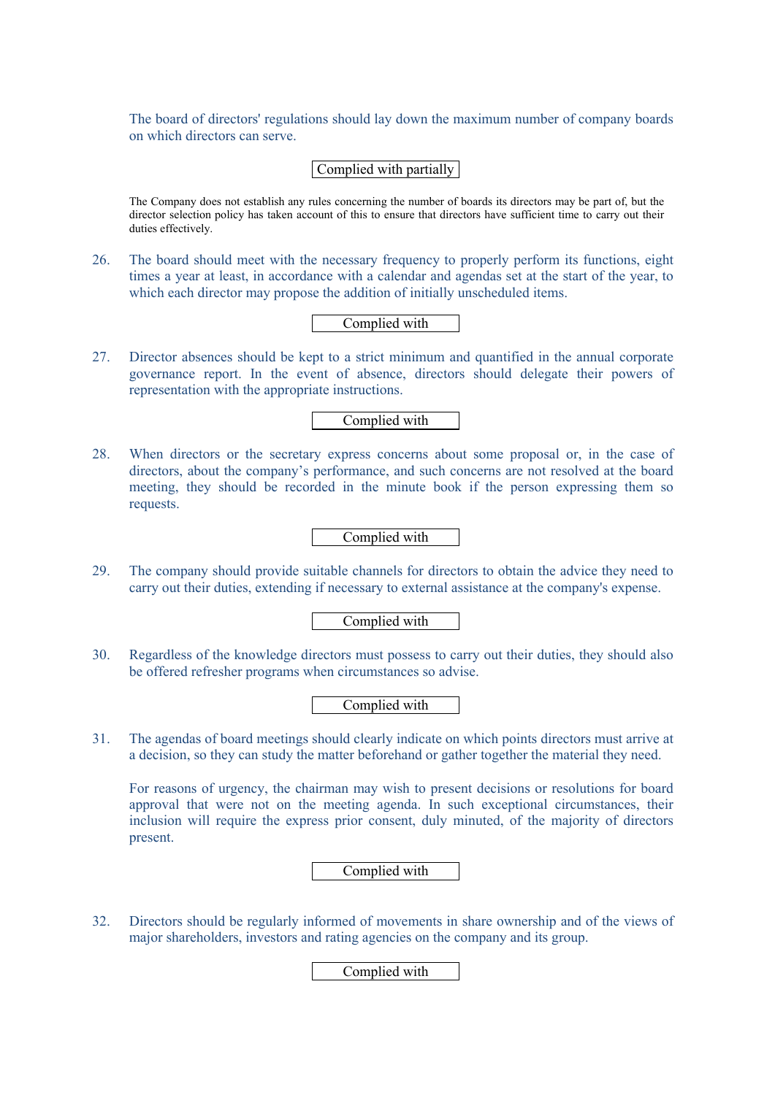The board of directors' regulations should lay down the maximum number of company boards on which directors can serve.

# Complied with partially

The Company does not establish any rules concerning the number of boards its directors may be part of, but the director selection policy has taken account of this to ensure that directors have sufficient time to carry out their duties effectively.

26. The board should meet with the necessary frequency to properly perform its functions, eight times a year at least, in accordance with a calendar and agendas set at the start of the year, to which each director may propose the addition of initially unscheduled items.

Complied with

27. Director absences should be kept to a strict minimum and quantified in the annual corporate governance report. In the event of absence, directors should delegate their powers of representation with the appropriate instructions.

Complied with

28. When directors or the secretary express concerns about some proposal or, in the case of directors, about the company's performance, and such concerns are not resolved at the board meeting, they should be recorded in the minute book if the person expressing them so requests.

Complied with

29. The company should provide suitable channels for directors to obtain the advice they need to carry out their duties, extending if necessary to external assistance at the company's expense.

Complied with

30. Regardless of the knowledge directors must possess to carry out their duties, they should also be offered refresher programs when circumstances so advise.

Complied with

31. The agendas of board meetings should clearly indicate on which points directors must arrive at a decision, so they can study the matter beforehand or gather together the material they need.

For reasons of urgency, the chairman may wish to present decisions or resolutions for board approval that were not on the meeting agenda. In such exceptional circumstances, their inclusion will require the express prior consent, duly minuted, of the majority of directors present.

Complied with

32. Directors should be regularly informed of movements in share ownership and of the views of major shareholders, investors and rating agencies on the company and its group.

Complied with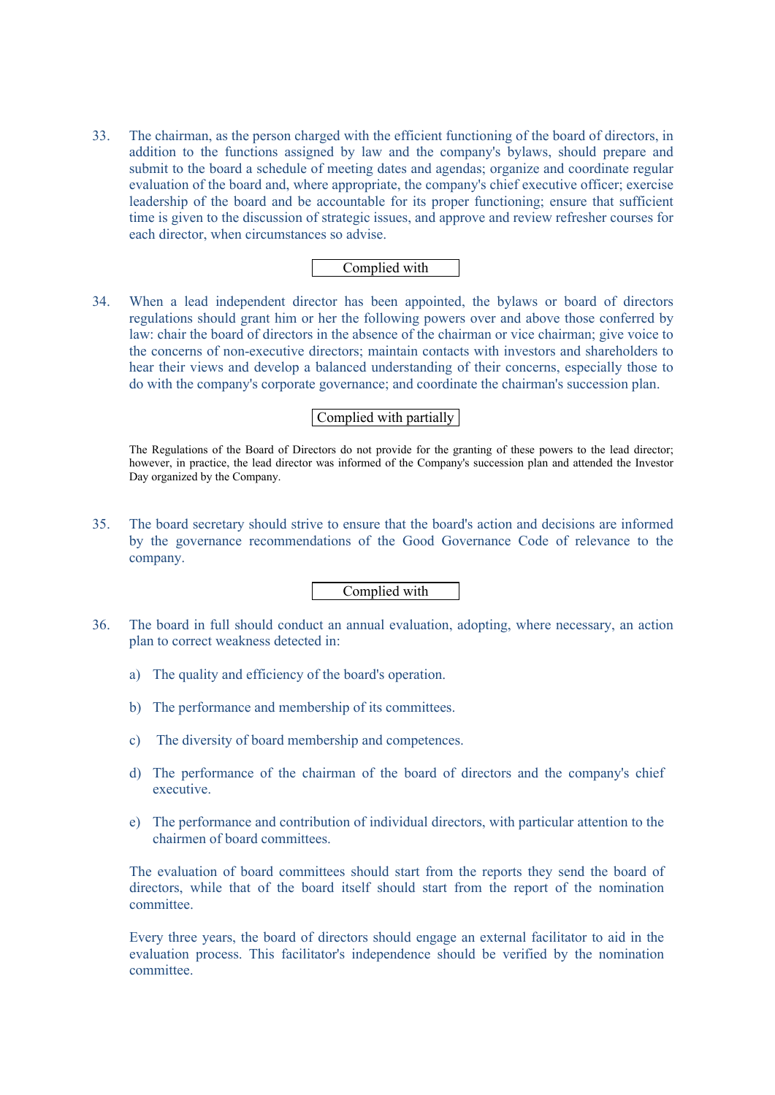33. The chairman, as the person charged with the efficient functioning of the board of directors, in addition to the functions assigned by law and the company's bylaws, should prepare and submit to the board a schedule of meeting dates and agendas; organize and coordinate regular evaluation of the board and, where appropriate, the company's chief executive officer; exercise leadership of the board and be accountable for its proper functioning; ensure that sufficient time is given to the discussion of strategic issues, and approve and review refresher courses for each director, when circumstances so advise.

# Complied with

34. When a lead independent director has been appointed, the bylaws or board of directors regulations should grant him or her the following powers over and above those conferred by law: chair the board of directors in the absence of the chairman or vice chairman; give voice to the concerns of non-executive directors; maintain contacts with investors and shareholders to hear their views and develop a balanced understanding of their concerns, especially those to do with the company's corporate governance; and coordinate the chairman's succession plan.

### Complied with partially

The Regulations of the Board of Directors do not provide for the granting of these powers to the lead director; however, in practice, the lead director was informed of the Company's succession plan and attended the Investor Day organized by the Company.

35. The board secretary should strive to ensure that the board's action and decisions are informed by the governance recommendations of the Good Governance Code of relevance to the company.

# Complied with

- 36. The board in full should conduct an annual evaluation, adopting, where necessary, an action plan to correct weakness detected in:
	- a) The quality and efficiency of the board's operation.
	- b) The performance and membership of its committees.
	- c) The diversity of board membership and competences.
	- d) The performance of the chairman of the board of directors and the company's chief executive.
	- e) The performance and contribution of individual directors, with particular attention to the chairmen of board committees.

The evaluation of board committees should start from the reports they send the board of directors, while that of the board itself should start from the report of the nomination committee.

Every three years, the board of directors should engage an external facilitator to aid in the evaluation process. This facilitator's independence should be verified by the nomination committee.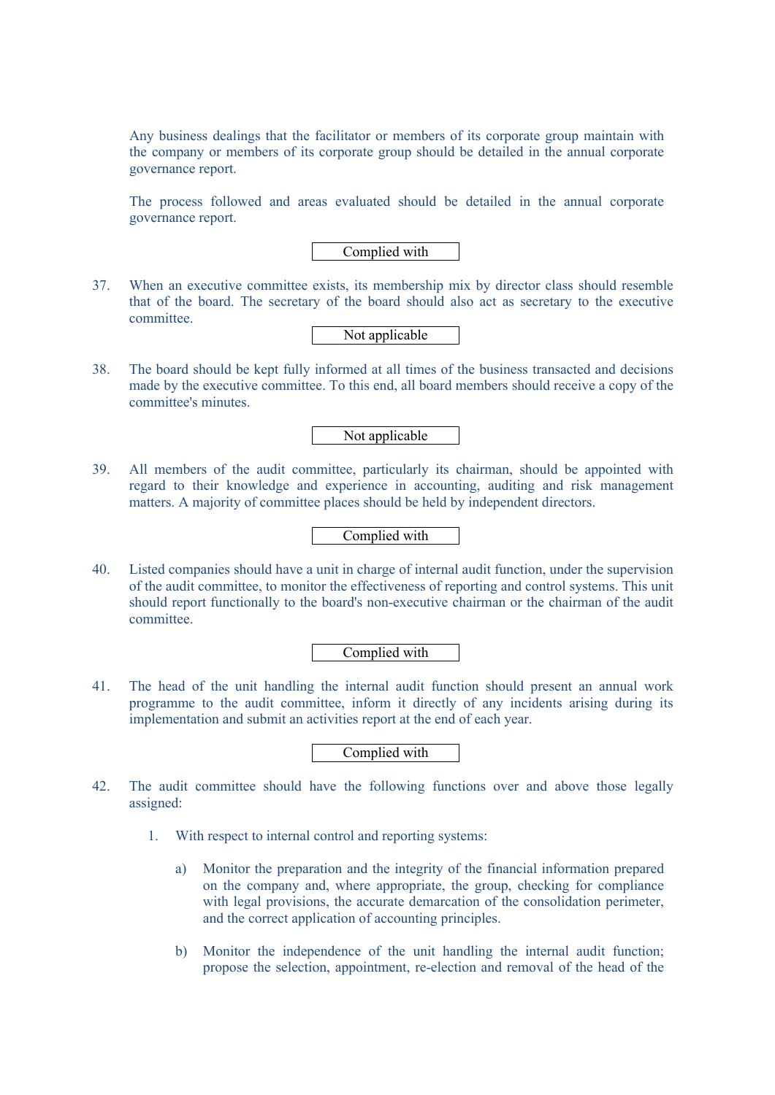Any business dealings that the facilitator or members of its corporate group maintain with the company or members of its corporate group should be detailed in the annual corporate governance report.

The process followed and areas evaluated should be detailed in the annual corporate governance report.

Complied with

37. When an executive committee exists, its membership mix by director class should resemble that of the board. The secretary of the board should also act as secretary to the executive committee.

Not applicable

38. The board should be kept fully informed at all times of the business transacted and decisions made by the executive committee. To this end, all board members should receive a copy of the committee's minutes.

Not applicable

39. All members of the audit committee, particularly its chairman, should be appointed with regard to their knowledge and experience in accounting, auditing and risk management matters. A majority of committee places should be held by independent directors.

### Complied with

40. Listed companies should have a unit in charge of internal audit function, under the supervision of the audit committee, to monitor the effectiveness of reporting and control systems. This unit should report functionally to the board's non-executive chairman or the chairman of the audit committee.

Complied with

41. The head of the unit handling the internal audit function should present an annual work programme to the audit committee, inform it directly of any incidents arising during its implementation and submit an activities report at the end of each year.

Complied with

- 42. The audit committee should have the following functions over and above those legally assigned:
	- 1. With respect to internal control and reporting systems:
		- a) Monitor the preparation and the integrity of the financial information prepared on the company and, where appropriate, the group, checking for compliance with legal provisions, the accurate demarcation of the consolidation perimeter, and the correct application of accounting principles.
		- b) Monitor the independence of the unit handling the internal audit function; propose the selection, appointment, re-election and removal of the head of the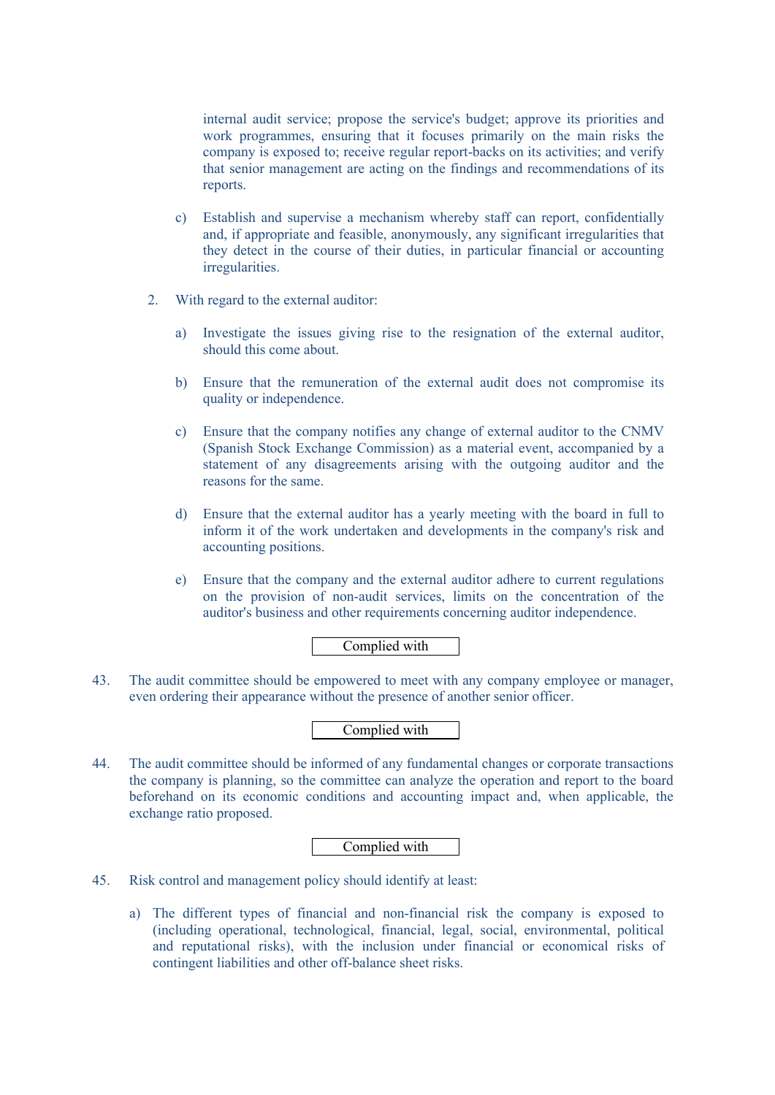internal audit service; propose the service's budget; approve its priorities and work programmes, ensuring that it focuses primarily on the main risks the company is exposed to; receive regular report-backs on its activities; and verify that senior management are acting on the findings and recommendations of its reports.

- c) Establish and supervise a mechanism whereby staff can report, confidentially and, if appropriate and feasible, anonymously, any significant irregularities that they detect in the course of their duties, in particular financial or accounting irregularities.
- 2. With regard to the external auditor:
	- a) Investigate the issues giving rise to the resignation of the external auditor, should this come about.
	- b) Ensure that the remuneration of the external audit does not compromise its quality or independence.
	- c) Ensure that the company notifies any change of external auditor to the CNMV (Spanish Stock Exchange Commission) as a material event, accompanied by a statement of any disagreements arising with the outgoing auditor and the reasons for the same.
	- d) Ensure that the external auditor has a yearly meeting with the board in full to inform it of the work undertaken and developments in the company's risk and accounting positions.
	- e) Ensure that the company and the external auditor adhere to current regulations on the provision of non-audit services, limits on the concentration of the auditor's business and other requirements concerning auditor independence.

# Complied with

43. The audit committee should be empowered to meet with any company employee or manager, even ordering their appearance without the presence of another senior officer.

# Complied with

44. The audit committee should be informed of any fundamental changes or corporate transactions the company is planning, so the committee can analyze the operation and report to the board beforehand on its economic conditions and accounting impact and, when applicable, the exchange ratio proposed.

# Complied with

- 45. Risk control and management policy should identify at least:
	- a) The different types of financial and non-financial risk the company is exposed to (including operational, technological, financial, legal, social, environmental, political and reputational risks), with the inclusion under financial or economical risks of contingent liabilities and other off-balance sheet risks.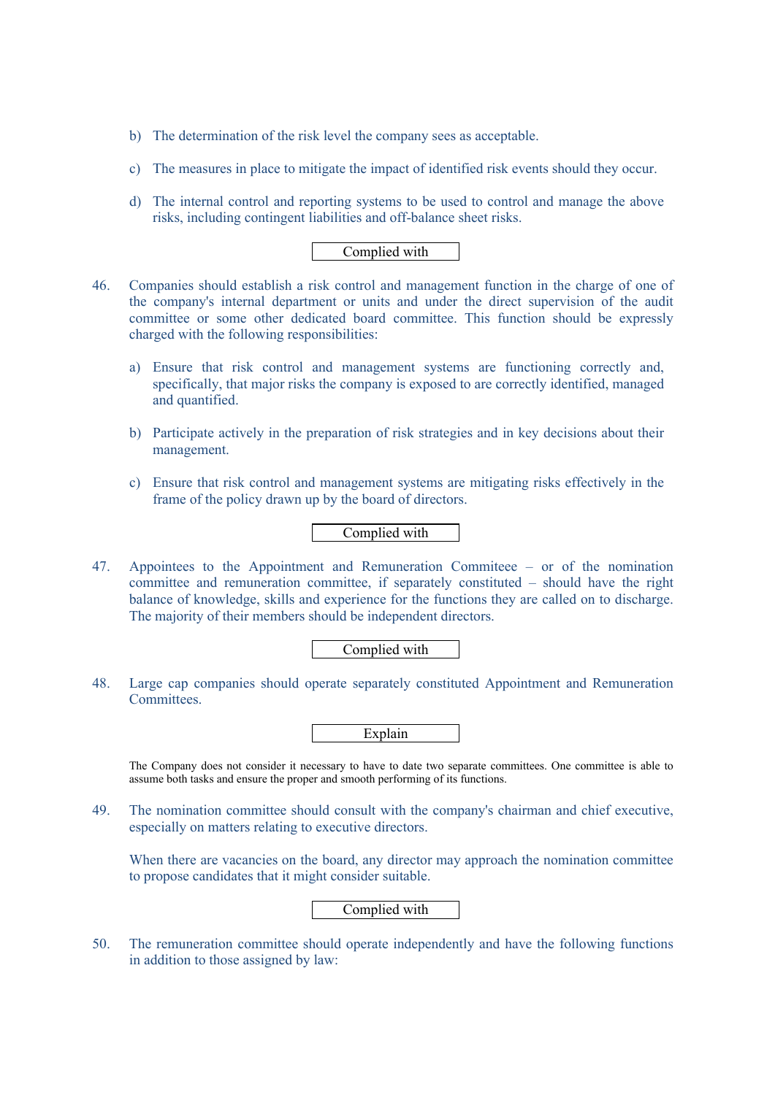- b) The determination of the risk level the company sees as acceptable.
- c) The measures in place to mitigate the impact of identified risk events should they occur.
- d) The internal control and reporting systems to be used to control and manage the above risks, including contingent liabilities and off-balance sheet risks.

- 46. Companies should establish a risk control and management function in the charge of one of the company's internal department or units and under the direct supervision of the audit committee or some other dedicated board committee. This function should be expressly charged with the following responsibilities:
	- a) Ensure that risk control and management systems are functioning correctly and, specifically, that major risks the company is exposed to are correctly identified, managed and quantified.
	- b) Participate actively in the preparation of risk strategies and in key decisions about their management.
	- c) Ensure that risk control and management systems are mitigating risks effectively in the frame of the policy drawn up by the board of directors.

Complied with

47. Appointees to the Appointment and Remuneration Commiteee – or of the nomination committee and remuneration committee, if separately constituted – should have the right balance of knowledge, skills and experience for the functions they are called on to discharge. The majority of their members should be independent directors.

Complied with

48. Large cap companies should operate separately constituted Appointment and Remuneration Committees.

The Company does not consider it necessary to have to date two separate committees. One committee is able to assume both tasks and ensure the proper and smooth performing of its functions.

49. The nomination committee should consult with the company's chairman and chief executive, especially on matters relating to executive directors.

When there are vacancies on the board, any director may approach the nomination committee to propose candidates that it might consider suitable.

Complied with

50. The remuneration committee should operate independently and have the following functions in addition to those assigned by law: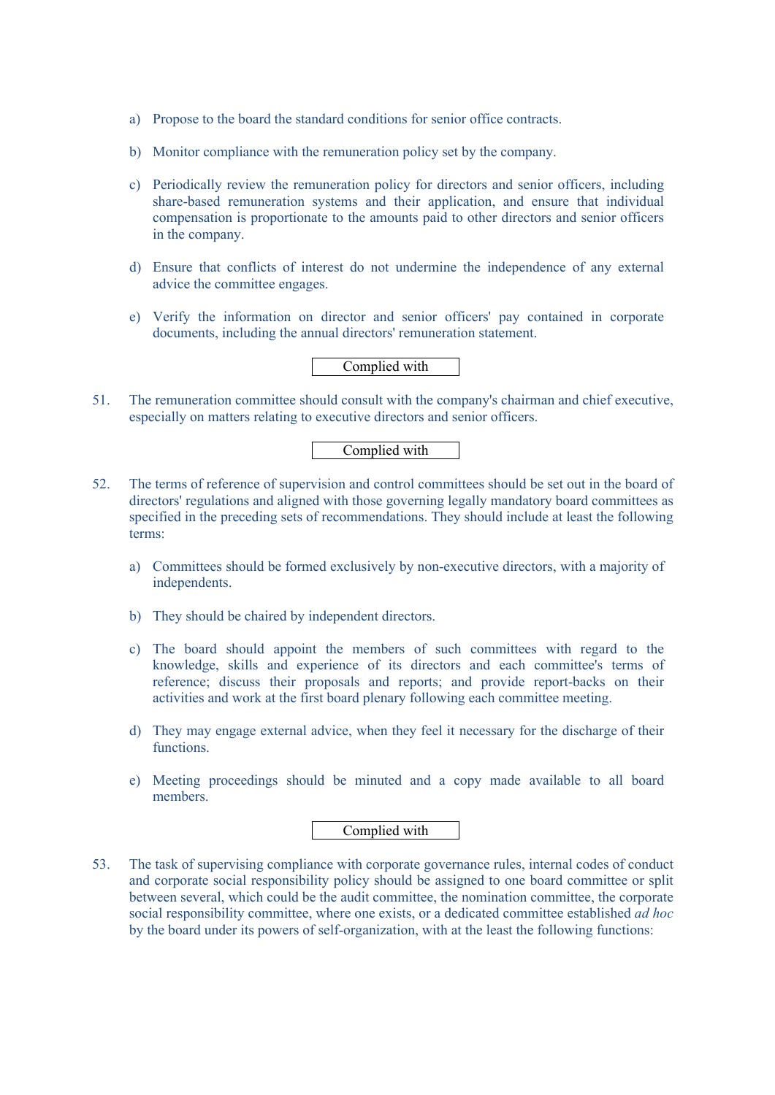- a) Propose to the board the standard conditions for senior office contracts.
- b) Monitor compliance with the remuneration policy set by the company.
- c) Periodically review the remuneration policy for directors and senior officers, including share-based remuneration systems and their application, and ensure that individual compensation is proportionate to the amounts paid to other directors and senior officers in the company.
- d) Ensure that conflicts of interest do not undermine the independence of any external advice the committee engages.
- e) Verify the information on director and senior officers' pay contained in corporate documents, including the annual directors' remuneration statement.

51. The remuneration committee should consult with the company's chairman and chief executive, especially on matters relating to executive directors and senior officers.

# Complied with

- 52. The terms of reference of supervision and control committees should be set out in the board of directors' regulations and aligned with those governing legally mandatory board committees as specified in the preceding sets of recommendations. They should include at least the following terms:
	- a) Committees should be formed exclusively by non-executive directors, with a majority of independents.
	- b) They should be chaired by independent directors.
	- c) The board should appoint the members of such committees with regard to the knowledge, skills and experience of its directors and each committee's terms of reference; discuss their proposals and reports; and provide report-backs on their activities and work at the first board plenary following each committee meeting.
	- d) They may engage external advice, when they feel it necessary for the discharge of their functions.
	- e) Meeting proceedings should be minuted and a copy made available to all board members.

### Complied with

53. The task of supervising compliance with corporate governance rules, internal codes of conduct and corporate social responsibility policy should be assigned to one board committee or split between several, which could be the audit committee, the nomination committee, the corporate social responsibility committee, where one exists, or a dedicated committee established *ad hoc* by the board under its powers of self-organization, with at the least the following functions: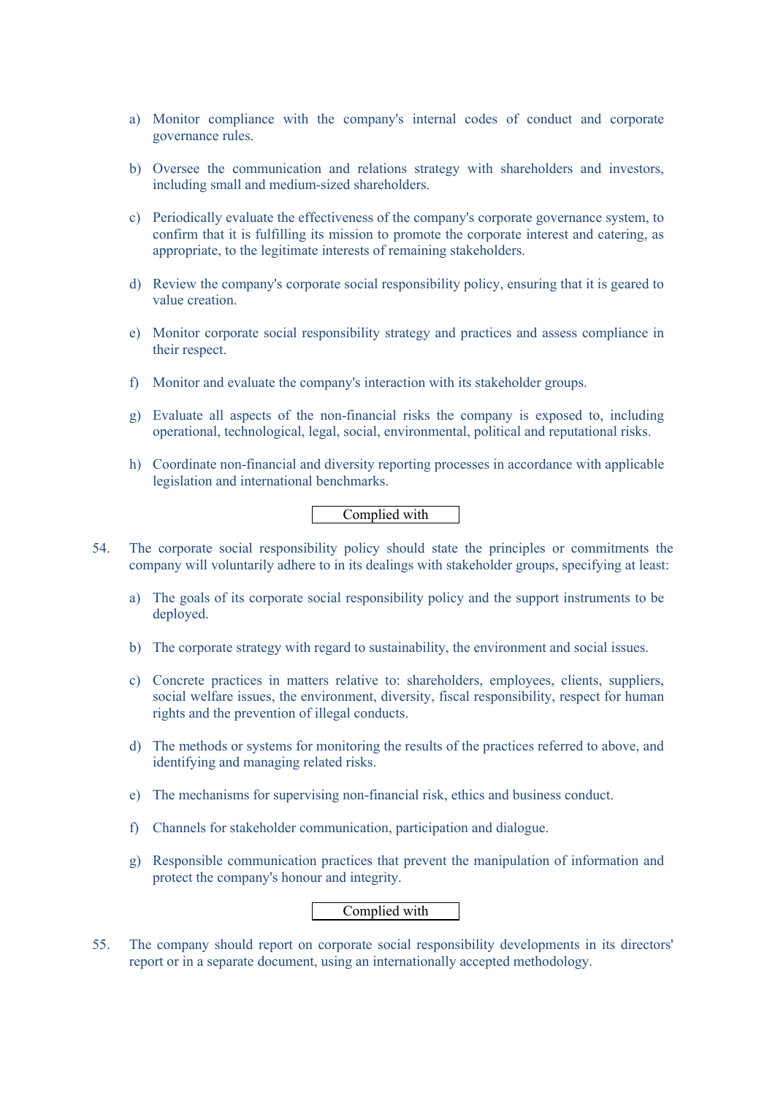- a) Monitor compliance with the company's internal codes of conduct and corporate governance rules.
- b) Oversee the communication and relations strategy with shareholders and investors, including small and medium-sized shareholders.
- c) Periodically evaluate the effectiveness of the company's corporate governance system, to confirm that it is fulfilling its mission to promote the corporate interest and catering, as appropriate, to the legitimate interests of remaining stakeholders.
- d) Review the company's corporate social responsibility policy, ensuring that it is geared to value creation.
- e) Monitor corporate social responsibility strategy and practices and assess compliance in their respect.
- f) Monitor and evaluate the company's interaction with its stakeholder groups.
- g) Evaluate all aspects of the non-financial risks the company is exposed to, including operational, technological, legal, social, environmental, political and reputational risks.
- h) Coordinate non-financial and diversity reporting processes in accordance with applicable legislation and international benchmarks.

- 54. The corporate social responsibility policy should state the principles or commitments the company will voluntarily adhere to in its dealings with stakeholder groups, specifying at least:
	- a) The goals of its corporate social responsibility policy and the support instruments to be deployed.
	- b) The corporate strategy with regard to sustainability, the environment and social issues.
	- c) Concrete practices in matters relative to: shareholders, employees, clients, suppliers, social welfare issues, the environment, diversity, fiscal responsibility, respect for human rights and the prevention of illegal conducts.
	- d) The methods or systems for monitoring the results of the practices referred to above, and identifying and managing related risks.
	- e) The mechanisms for supervising non-financial risk, ethics and business conduct.
	- f) Channels for stakeholder communication, participation and dialogue.
	- g) Responsible communication practices that prevent the manipulation of information and protect the company's honour and integrity.

# Complied with

55. The company should report on corporate social responsibility developments in its directors' report or in a separate document, using an internationally accepted methodology.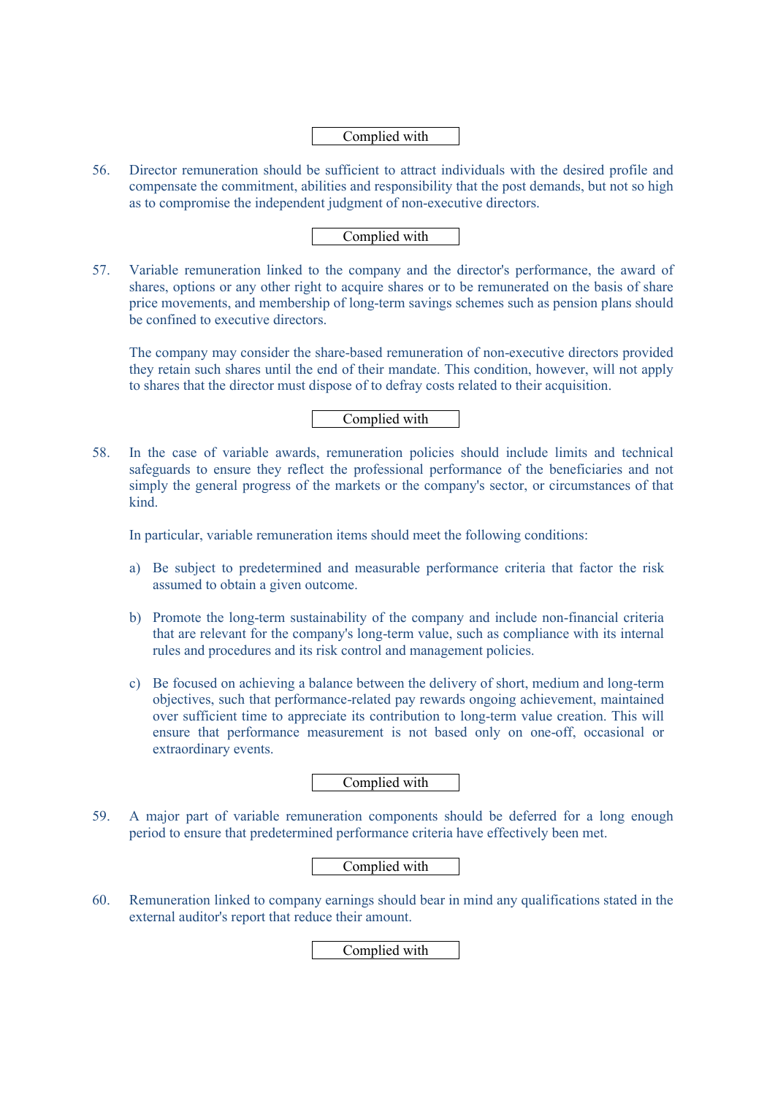- 56. Director remuneration should be sufficient to attract individuals with the desired profile and compensate the commitment, abilities and responsibility that the post demands, but not so high as to compromise the independent judgment of non-executive directors.
	- Complied with
- 57. Variable remuneration linked to the company and the director's performance, the award of shares, options or any other right to acquire shares or to be remunerated on the basis of share price movements, and membership of long-term savings schemes such as pension plans should be confined to executive directors.

The company may consider the share-based remuneration of non-executive directors provided they retain such shares until the end of their mandate. This condition, however, will not apply to shares that the director must dispose of to defray costs related to their acquisition.

# Complied with

58. In the case of variable awards, remuneration policies should include limits and technical safeguards to ensure they reflect the professional performance of the beneficiaries and not simply the general progress of the markets or the company's sector, or circumstances of that kind.

In particular, variable remuneration items should meet the following conditions:

- a) Be subject to predetermined and measurable performance criteria that factor the risk assumed to obtain a given outcome.
- b) Promote the long-term sustainability of the company and include non-financial criteria that are relevant for the company's long-term value, such as compliance with its internal rules and procedures and its risk control and management policies.
- c) Be focused on achieving a balance between the delivery of short, medium and long-term objectives, such that performance-related pay rewards ongoing achievement, maintained over sufficient time to appreciate its contribution to long-term value creation. This will ensure that performance measurement is not based only on one-off, occasional or extraordinary events.

# Complied with

59. A major part of variable remuneration components should be deferred for a long enough period to ensure that predetermined performance criteria have effectively been met.

# Complied with

60. Remuneration linked to company earnings should bear in mind any qualifications stated in the external auditor's report that reduce their amount.

Complied with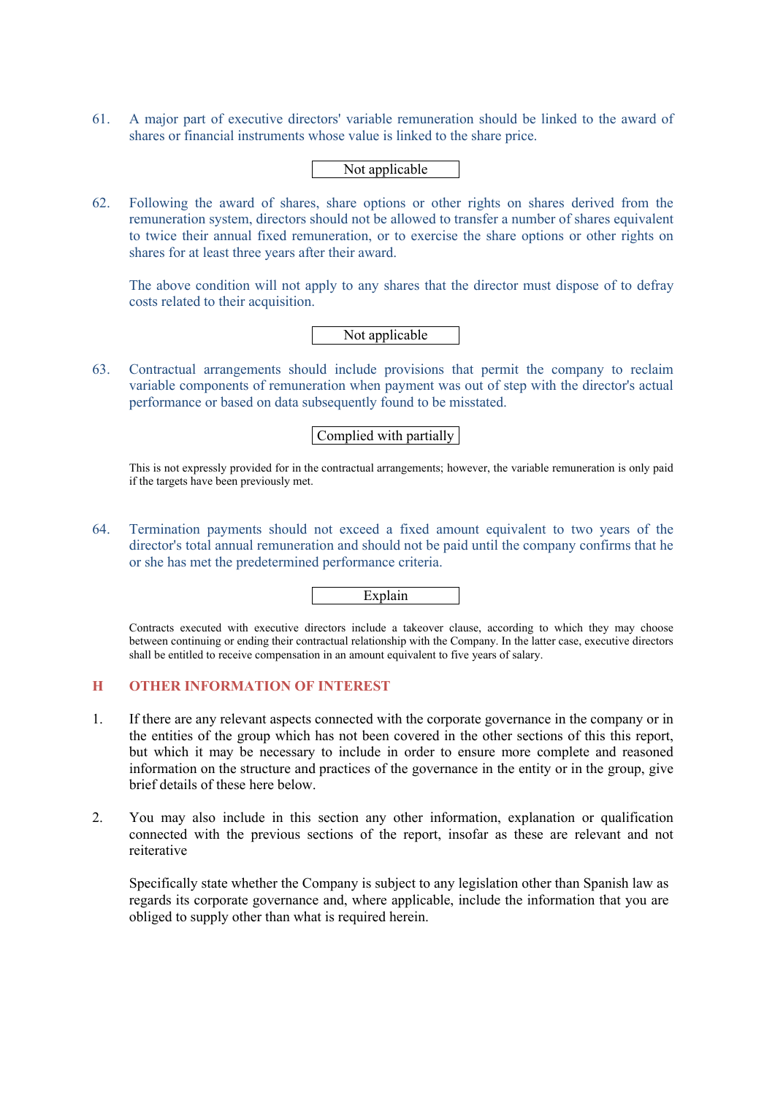61. A major part of executive directors' variable remuneration should be linked to the award of shares or financial instruments whose value is linked to the share price.

# Not applicable

62. Following the award of shares, share options or other rights on shares derived from the remuneration system, directors should not be allowed to transfer a number of shares equivalent to twice their annual fixed remuneration, or to exercise the share options or other rights on shares for at least three years after their award.

The above condition will not apply to any shares that the director must dispose of to defray costs related to their acquisition.

# Not applicable

63. Contractual arrangements should include provisions that permit the company to reclaim variable components of remuneration when payment was out of step with the director's actual performance or based on data subsequently found to be misstated.

# Complied with partially

This is not expressly provided for in the contractual arrangements; however, the variable remuneration is only paid if the targets have been previously met.

64. Termination payments should not exceed a fixed amount equivalent to two years of the director's total annual remuneration and should not be paid until the company confirms that he or she has met the predetermined performance criteria.

Explain

Contracts executed with executive directors include a takeover clause, according to which they may choose between continuing or ending their contractual relationship with the Company. In the latter case, executive directors shall be entitled to receive compensation in an amount equivalent to five years of salary.

# **H OTHER INFORMATION OF INTEREST**

- 1. If there are any relevant aspects connected with the corporate governance in the company or in the entities of the group which has not been covered in the other sections of this this report, but which it may be necessary to include in order to ensure more complete and reasoned information on the structure and practices of the governance in the entity or in the group, give brief details of these here below.
- 2. You may also include in this section any other information, explanation or qualification connected with the previous sections of the report, insofar as these are relevant and not reiterative

Specifically state whether the Company is subject to any legislation other than Spanish law as regards its corporate governance and, where applicable, include the information that you are obliged to supply other than what is required herein.